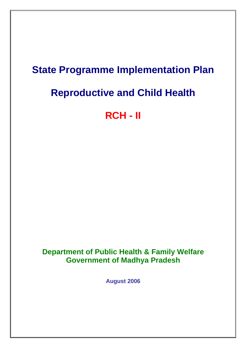## **State Programme Implementation Plan**

# **Reproductive and Child Health**

# **RCH - II**

**Department of Public Health & Family Welfare Government of Madhya Pradesh**

**August 2006**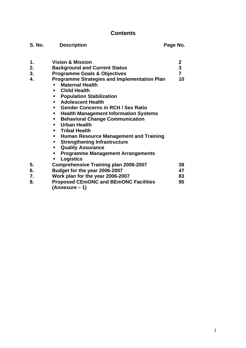## **Contents**

| <b>S. No.</b> | <b>Description</b>                                  | Page No.                |
|---------------|-----------------------------------------------------|-------------------------|
| 1.            | <b>Vision &amp; Mission</b>                         | $\boldsymbol{2}$        |
| 2.            | <b>Background and Current Status</b>                | $\overline{\mathbf{3}}$ |
| 3.            | <b>Programme Goals &amp; Objectives</b>             | $\overline{7}$          |
| 4.            | <b>Programme Strategies and Implementation Plan</b> | 10                      |
|               | <b>Maternal Health</b>                              |                         |
|               | <b>Child Health</b>                                 |                         |
|               | <b>Population Stabilization</b><br>п                |                         |
|               | <b>Adolescent Health</b><br>п                       |                         |
|               | <b>Gender Concerns in RCH / Sex Ratio</b>           |                         |
|               | <b>Health Management Information Systems</b><br>٠   |                         |
|               | <b>Behavioral Change Communication</b>              |                         |
|               | <b>Urban Health</b>                                 |                         |
|               | <b>Tribal Health</b>                                |                         |
|               | <b>Human Resource Management and Training</b><br>п  |                         |
|               | <b>Strengthening Infrastructure</b><br>п            |                         |
|               | <b>Quality Assurance</b><br>٠                       |                         |
|               | <b>Programme Management Arrangements</b><br>٠       |                         |
|               | <b>Logistics</b><br>п                               |                         |
| 5.            | <b>Comprehensive Training plan 2006-2007</b>        | 38                      |
| 6.            | Budget for the year 2006-2007                       | 47                      |
| 7.            | Work plan for the year 2006-2007                    | 83                      |
| 8.            | <b>Proposed CEmONC and BEmONC Facilities</b>        | 95                      |
|               | (Annexure - 1)                                      |                         |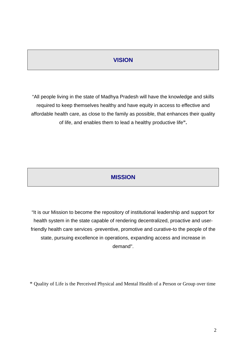## **VISION**

"All people living in the state of Madhya Pradesh will have the knowledge and skills required to keep themselves healthy and have equity in access to effective and affordable health care, as close to the family as possible, that enhances their quality of life, and enables them to lead a healthy productive life**".**

## **MISSION**

"It is our Mission to become the repository of institutional leadership and support for health system in the state capable of rendering decentralized, proactive and userfriendly health care services -preventive, promotive and curative-to the people of the state, pursuing excellence in operations, expanding access and increase in demand".

\* Quality of Life is the Perceived Physical and Mental Health of a Person or Group over time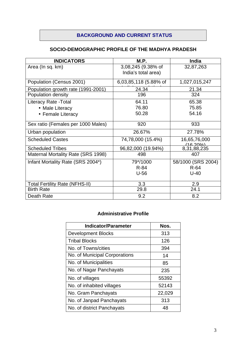## **BACKGROUND AND CURRENT STATUS**

## **SOCIO-DEMOGRAPHIC PROFILE OF THE MADHYA PRADESH**

| <b>INDICATORS</b>                         | M.P.                  | <b>India</b>                     |
|-------------------------------------------|-----------------------|----------------------------------|
| Area (In sq. km)                          | 3,08,245 (9.38% of    | 32,87,263                        |
|                                           | India's total area)   |                                  |
| Population (Census 2001)                  | 6,03,85,118 (5.88% of | 1,027,015,247                    |
| Population growth rate (1991-2001)        | 24.34                 | 21.34                            |
| Population density                        | 196                   | 324                              |
| <b>Literacy Rate - Total</b>              | 64.11                 | 65.38                            |
| • Male Literacy                           | 76.80                 | 75.85                            |
| • Female Literacy                         | 50.28                 | 54.16                            |
| Sex ratio (Females per 1000 Males)        | 920                   | 933                              |
| Urban population                          | 26.67%                | 27.78%                           |
| <b>Scheduled Castes</b>                   | 74,78,000 (15.4%)     | 16,65,76,000<br><u>(16 2001)</u> |
| <b>Scheduled Tribes</b>                   | 96,82,000 (19.94%)    | 8,31,88,235                      |
| <b>Maternal Mortality Rate (SRS 1998)</b> | 498                   | 407                              |
| Infant Mortality Rate (SRS 2004*)         | 79*/1000              | 58/1000 (SRS 2004)               |
|                                           | $R-84$                | $R-64$                           |
|                                           | $U-56$                | $U-40$                           |
| <b>Total Fertility Rate (NFHS-II)</b>     | 3.3                   | 2.9                              |
| <b>Birth Rate</b>                         | 29.8                  | 24.1                             |
| Death Rate                                | 9.2                   | 8.2                              |

## **Administrative Profile**

| <b>Indicator/Parameter</b>    | Nos.   |
|-------------------------------|--------|
| <b>Development Blocks</b>     | 313    |
| <b>Tribal Blocks</b>          | 126    |
| No. of Towns/cities           | 394    |
| No. of Municipal Corporations | 14     |
| No. of Municipalities         | 85     |
| No. of Nagar Panchayats       | 235    |
| No. of villages               | 55392  |
| No. of inhabited villages     | 52143  |
| No. Gram Panchayats           | 22,029 |
| No. of Janpad Panchayats      | 313    |
| No. of district Panchayats    | 48     |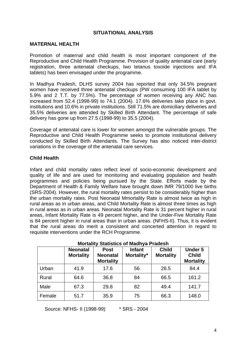#### **SITUATIONAL ANALYSIS**

#### **MATERNAL HEALTH**

Promotion of maternal and child health is most important component of the Reproductive and Child Health Programme. Provision of quality antenatal care (early registration, three antenatal checkups, two tetanus toxoide injections and IFA tablets) has been envisaged under the programme.

In Madhya Pradesh, DLHS survey 2004 has reported that only 34.5% pregnant women have received three antenatal checkups (PW consuming 100 IFA tablet by 5.9% and 2 T.T. by 77.5%). The percentage of women receiving any ANC has increased from 52.4 (1998-99) to 74.1 (2004). 17.6% deliveries take place in govt. institutions and 10.6% in private institutions. Still 71.5% are domiciliary deliveries and 35.5% deliveries are attended by Skilled Birth Attendant. The percentage of safe delivery has gone up from 27.5 (1998-99) to 35.5 (2004).

Coverage of antenatal care is lower for women amongst the vulnerable groups. The Reproductive and Child Health Programme seeks to promote institutional delivery conducted by Skilled Birth Attendants. The Survey has also noticed inter-district variations in the coverage of the antenatal care services.

## **Child Health**

Infant and child mortality rates reflect level of socio-economic development and quality of life and are used for monitoring and evaluating population and health programmes and policies being pursued by the State. Efforts made by the Department of Health & Family Welfare have brought down IMR 79/1000 live births (SRS-2004). However, the rural mortality rates persist to be considerably higher than the urban mortality rates. Post Neonatal Mmortality Rate is almost twice as high in rural areas as in urban areas, and Child Mortality Rate is almost three times as high in rural areas as in urban areas. Neonatal Mortality Rate is 31 percent higher in rural areas, Infant Mortality Rate is 49 percent higher, and the Under-Five Mortality Rate is 84 percent higher in rural areas than in urban areas. (NFHS-II). Thus, it is evident that the rural areas do merit a consistent and concerted attention in regard to requisite interventions under the RCH Programme.

|        | <b>Neonatal</b><br><b>Mortality</b> | <b>Post</b><br><b>Neonatal</b><br><b>Mortality</b> | <b>Infant</b><br>Mortality* | <b>Child</b><br><b>Mortality</b> | <b>Under 5</b><br><b>Child</b><br><b>Mortality</b> |
|--------|-------------------------------------|----------------------------------------------------|-----------------------------|----------------------------------|----------------------------------------------------|
| Urban  | 41.9                                | 17.6                                               | 56                          | 26.5                             | 84.4                                               |
| Rural  | 64.6                                | 36.8                                               | 84                          | 66.5                             | 161.2                                              |
| Male   | 67.3                                | 29.8                                               | 82                          | 49.4                             | 141.7                                              |
| Female | 51.7                                | 35.9                                               | 75                          | 66.3                             | 148.0                                              |

#### **Mortality Statistics of Madhya Pradesh**

Source: NFHS- II (1998-99) \* SRS - 2004

4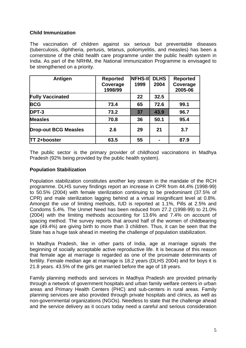## **Child Immunization**

The vaccination of children against six serious but preventable diseases (tuberculosis, diphtheria, pertusis, tetanus, poliomyelitis, and measles) has been a cornerstone of the child health care programme under the public health system in India. As part of the NRHM, the National Immunization Programme is envisaged to be strengthened on a priority.

| Antigen                     | <b>Reported</b> | <b>NFHS-II</b> | <b>DLHS</b> | <b>Reported</b> |
|-----------------------------|-----------------|----------------|-------------|-----------------|
|                             | Coverage        | 1999           | 2004        | Coverage        |
|                             | 1998/99         |                |             | 2005-06         |
| <b>Fully Vaccinated</b>     |                 | 22             | 32.5        |                 |
| <b>BCG</b>                  | 73.4            | 65             | 72.6        | 99.1            |
| DPT-3                       | 73.2            | 37             | 43.9        | 96.7            |
| <b>Measles</b>              | 70.8            | 36             | 50.1        | 95.4            |
| <b>Drop-out BCG Measles</b> | 2.6             | 29             | 21          | 3.7             |
| <b>TT 2+booster</b>         | 63.5            | 55             |             | 87.9            |

The public sector is the primary provider of childhood vaccinations in Madhya Pradesh (92% being provided by the public health system).

## **Population Stabilization**

Population stabilization constitutes another key stream in the mandate of the RCH programme. DLHS survey findings report an increase in CPR from 44.4% (1998-99) to 50.5% (2004) with female sterilization continuing to be predominant (37.5% of CPR) and male sterilization lagging behind at a virtual insignificant level at 0.8%. Amongst the use of limiting methods, IUD is reported at 1.1%, Pills at 2.5% and Condoms 5.4%. The Unmet Need has been reduced from 27.2 (1998-99) to 21.0% (2004) with the limiting methods accounting for 13.6% and 7.4% on account of spacing method. The survey reports that around half of the women of childbearing age (49.4%) are giving birth to more than 3 children. Thus, it can be seen that the State has a huge task ahead in meeting the challenge of population stabilization.

In Madhya Pradesh, like in other parts of India, age at marriage signals the beginning of socially acceptable active reproductive life. It is because of this reason that female age at marriage is regarded as one of the proximate determinants of fertility. Female median age at marriage is 18.2 years (DLHS 2004) and for boys it is 21.8 years. 43.5% of the girls get married before the age of 18 years.

Family planning methods and services in Madhya Pradesh are provided primarily through a network of government hospitals and urban family welfare centers in urban areas and Primary Health Centers (PHC) and sub-centers in rural areas. Family planning services are also provided through private hospitals and clinics, as well as non-governmental organizations (NGOs). Needless to state that the challenge ahead and the service delivery as it occurs today need a careful and serious consideration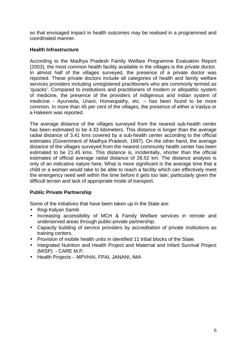so that envisaged impact in health outcomes may be realised in a programmed and coordinated manner.

## **Health Infrastructure**

According to the Madhya Pradesh Family Welfare Programme Evaluation Report (2003), the most common health facility available in the villages is the private doctor. In almost half of the villages surveyed, the presence of a private doctor was reported. These private doctors include all categories of health and family welfare services providers including unregistered practitioners who are commonly termed as 'quacks'. Compared to institutions and practitioners of modern or allopathic system of medicine, the presence of the providers of indigenous and Indian system of medicine - Ayurveda, Unani, Homeopathy, etc. – has been found to be more common. In more than 45 per cent of the villages, the presence of either a Vaidya or a Hakeem was reported.

The average distance of the villages surveyed from the nearest sub-health center has been estimated to be 4.33 kilometers. This distance is longer than the average radial distance of 3.41 kms covered by a sub-health center according to the official estimates (Government of Madhya Pradesh, 1997). On the other hand, the average distance of the villages surveyed from the nearest community health center has been estimated to be 21.45 kms. This distance is, incidentally, shorter than the official estimates of official average radial distance of 26.52 km. The distance analysis is only of an indicative nature here. What is more significant is the average time that a child or a woman would take to be able to reach a facility which can effectively meet the emergency need well within the time before it gets too late; particularly given the difficult terrain and lack of appropriate mode of transport.

## **Public Private Partnership**

Some of the initiatives that have been taken up in the State are:

- Rogi Kalyan Samiti
- Increasing accessibility of MCH & Family Welfare services in remote and underserved areas through public-private partnership.
- Capacity building of service providers by accreditation of private institutions as training centers.
- Provision of mobile health units in identified 11 tribal blocks of the State.
- Integrated Nutrition and Health Project and Maternal and Infant Survival Project (MISP) - CARE M.P.
- Health Projects MPVHAI, FPAI, JANANI, IMA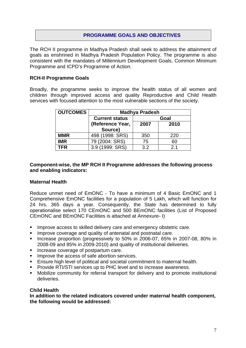## **PROGRAMME GOALS AND OBJECTIVES**

The RCH II programme in Madhya Pradesh shall seek to address the attainment of goals as enshrined in Madhya Pradesh Population Policy. The programme is also consistent with the mandates of Millennium Development Goals, Common Minimum Programme and ICPD's Programme of Action.

## **RCH-II Programme Goals**

Broadly, the programme seeks to improve the health status of all women and children through improved access and quality Reproductive and Child Health services with focused attention to the most vulnerable sections of the society.

| <b>OUTCOMES</b> | <b>Madhya Pradesh</b>           |      |                |  |
|-----------------|---------------------------------|------|----------------|--|
|                 | <b>Current status</b>           |      | Goal           |  |
|                 | (Reference Year,                | 2007 | 2010           |  |
|                 | Source)                         |      |                |  |
| <b>MMR</b>      | 498 (1998: SRS)                 | 350  | 220            |  |
| <b>IMR</b>      | 79 (2004: SRS)                  | 75   | 60             |  |
| TFR             | (1999: SRS)<br>3.9 <sup>°</sup> | 3.2  | 2 <sub>1</sub> |  |

#### **Component-wise, the MP RCH II Programme addresses the following process and enabling indicators:**

#### **Maternal Health**

Reduce unmet need of EmONC - To have a minimum of 4 Basic EmONC and 1 Comprehensive EmONC facilities for a population of 5 Lakh, which will function for 24 hrs. 365 days a year. Consequently, the State has determined to fully operationalise select 170 CEmONC and 500 BEmONC facilities (List of Proposed CEmONC and BEmONC Facilities is attached at Annexure- I)

- **IMPROVE ACCESS to skilled delivery care and emergency obstetric care.**
- **IMPROVE COVET AGE AND QUALITY OF ANTERIATE IN A LIM IMPROVE COVET AND QUARE.**
- **Increase proportion (progressively to 50% in 2006-07, 65% in 2007-08, 80% in** 2008-09 and 85% in 2009-2010) and quality of institutional deliveries.
- **Increase coverage of postpartum care.**
- **IMPROVE THE ACCESS OF SAFE ABORTION SERVICES.**
- **Ensure high level of political and societal commitment to maternal health.**
- **Provide RTI/STI services up to PHC level and to increase awareness.**
- **Mobilize community for referral transport for delivery and to promote institutional** deliveries.

#### **Child Health**

**In addition to the related indicators covered under maternal health component, the following would be addressed:**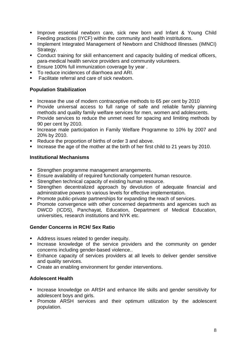- **Improve essential newborn care, sick new born and Infant & Young Child** Feeding practices (IYCF) within the community and health instritutions.
- **Implement Integrated Management of Newborn and Childhood Illnesses (IMNCI)** Strategy.
- Conduct training for skill enhancement and capacity building of medical officers, para-medical health service providers and community volunteers.
- **Ensure 100% full immunization coverage by year.**
- To reduce incidences of diarrhoea and ARI.
- **EXECUTE:** Facilitate referral and care of sick newborn.

## **Population Stabilization**

- **If** Increase the use of modern contraceptive methods to 65 per cent by 2010
- **•** Provide universal access to full range of safe and reliable family planning methods and quality family welfare services for men, women and adolescents.
- **•** Provide services to reduce the unmet need for spacing and limiting methods by 90 per cent by 2010.
- **EXEDENT Increase male participation in Family Welfare Programme to 10% by 2007 and** 20% by 2010.
- Reduce the proportion of births of order 3 and above.
- Increase the age of the mother at the birth of her first child to 21 years by 2010.

#### **Institutional Mechanisms**

- **Strengthen programme management arrangements.**
- **Ensure availability of required functionally competent human resource.**
- **Strengthen technical capacity of existing human resource.**
- **Strengthen decentralized approach by devolution of adequate financial and** administrative powers to various levels for effective implementation.
- **Promote public-private partnerships for expanding the reach of services.**
- **Promote convergence with other concerned departments and agencies such as** DWCD (ICDS), Panchayat, Education, Department of Medical Education, universities, research institutions and NYK etc.

#### **Gender Concerns in RCH/ Sex Ratio**

- Address issues related to gender inequity.
- **Increase knowledge of the service providers and the community on gender** concerns including gender-based violence..
- **Enhance capacity of services providers at all levels to deliver gender sensitive** and quality services.
- Create an enabling environment for gender interventions.

#### **Adolescent Health**

- **EXED Increase knowledge on ARSH and enhance life skills and gender sensitivity for** adolescent boys and girls.
- **•** Promote ARSH services and their optimum utilization by the adolescent population.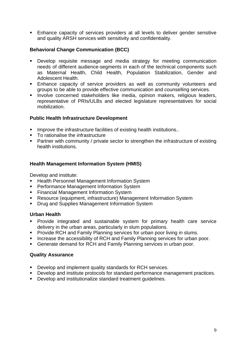**Enhance capacity of services providers at all levels to deliver gender sensitive** and quality ARSH services with sensitivity and confidentiality.

## **Behavioral Change Communication (BCC)**

- **•** Develop requisite message and media strategy for meeting communication needs of different audience-segments in each of the technical components such as Maternal Health, Child Health, Population Stabilization, Gender and Adolescent Health.
- **Enhance capacity of service providers as well as community volunteers and** groups to be able to provide effective communication and counselling services.
- **Involve concerned stakeholders like media, opinion makers, religious leaders,** representative of PRIs/ULBs and elected legislature representatives for social mobilization.

## **Public Health Infrastructure Development**

- ß Improve the infrastructure facilities of existing health institutions..
- To rationalise the infrastructure
- Partner with community / private sector to strengthen the infrastructure of existing health institutions.

## **Health Management Information System (HMIS)**

Develop and institute:

- **EXECT:** Health Personnel Management Information System
- **Performance Management Information System**
- **Financial Management Information System**
- **Resource (equipment, infrastructure) Management Information System**
- **Drug and Supplies Management Information System**

## **Urban Health**

- **•** Provide integrated and sustainable system for primary health care service delivery in the urban areas, particularly in slum populations.
- **Provide RCH and Family Planning services for urban poor living in slums.**
- **Increase the accessibility of RCH and Family Planning services for urban poor.**
- **Generate demand for RCH and Family Planning services in urban poor.**

## **Quality Assurance**

- **Develop and implement quality standards for RCH services.**
- **Develop and institute protocols for standard performance management practices.**
- **Develop and institutionalize standard treatment quidelines.**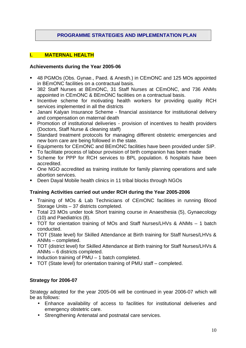## **PROGRAMME STRATEGIES AND IMPLEMENTATION PLAN**

#### **I. MATERNAL HEALTH**

#### **Achievements during the Year 2005-06**

- ß 48 PGMOs (Obs. Gynae., Paed. & Anesth.) in CEmONC and 125 MOs appointed in BEmONC facilities on a contractual basis.
- **382 Staff Nurses at BEmONC, 31 Staff Nurses at CEmONC, and 736 ANMs** appointed in CEmONC & BEmONC facilities on a contractual basis.
- **Incentive scheme for motivating health workers for providing quality RCH** services implemented in all the districts
- **Janani Kalyan Insurance Scheme financial assistance for institutional delivery** and compensation on maternal death
- **•** Promotion of institutional deliveries provision of incentives to health providers (Doctors, Staff Nurse & cleaning staff)
- **Standard treatment protocols for managing different obstetric emergencies and** new born care are being followed in the state.
- **Equipments for CEmONC and BEmONC facilities have been provided under SIP.**
- To facilitate process of labour provision of birth companion has been made
- **Scheme for PPP for RCH services to BPL population. 6 hospitals have been** accredited.
- One NGO accredited as training institute for family planning operations and safe abortion services.
- Deen Daval Mobile health clinics in 11 tribal blocks through NGOs

## **Training Activities carried out under RCH during the Year 2005-2006**

- **Training of MOs & Lab Technicians of CEmONC facilities in running Blood** Storage Units – 37 districts completed.
- **Total 23 MOs under took Short training course in Anaesthesia (5), Gynaecology** (10) and Paediatrics (8).
- **TOT** for orientation training of MOs and Staff Nurses/LHVs & ANMs 1 batch conducted.
- **TOT (State level) for Skilled Attendance at Birth training for Staff Nurses/LHVs &** ANMs – completed.
- **TOT (district level) for Skilled Attendance at Birth training for Staff Nurses/LHVs &** ANMs – 6 districts completed.
- $\blacksquare$  Induction training of PMU 1 batch completed.
- TOT (State level) for orientation training of PMU staff completed.

## **Strategy for 2006-07**

Strategy adopted for the year 2005-06 will be continued in year 2006-07 which will be as follows:

- Enhance availability of access to facilities for institutional deliveries and emergency obstetric care.
- Strengthening Antenatal and postnatal care services.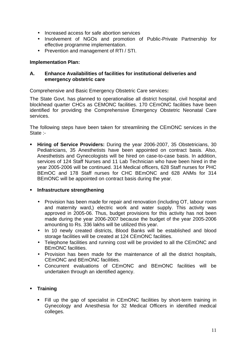- Increased access for safe abortion services
- Involvement of NGOs and promotion of Public-Private Partnership for effective programme implementation.
- Prevention and management of RTI / STI.

## **Implementation Plan:**

## **A. Enhance Availabilities of facilities for institutional deliveries and emergency obstetric care**

Comprehensive and Basic Emergency Obstetric Care services**:**

The State Govt. has planned to operationalise all district hospital, civil hospital and blockhead quarter CHCs as CEMONC facilities. 170 CEmONC facilities have been identified for providing the Comprehensive Emergency Obstetric Neonatal Care services.

The following steps have been taken for streamlining the CEmONC services in the State :-

**Hiring of Service Providers:** During the year 2006-2007, 35 Obstetricians, 30 Pediatricians, 35 Anesthetists have been appointed on contract basis. Also, Anesthetists and Gynecologists will be hired on case-to-case basis. In addition, services of 124 Staff Nurses and 11 Lab Technician who have been hired in the year 2005-2006 will be continued. 314 Medical officers, 628 Staff nurses for PHC BEmOC and 178 Staff nurses for CHC BEmONC and 628 ANMs for 314 BEmONC will be appointed on contract basis during the year.

## **EXECUTE:** Infrastructure strengthening

- Provision has been made for repair and renovation (including OT, labour room and maternity ward,) electric work and water supply. This activity was approved in 2005-06. Thus, budget provisions for this activity has not been made during the year 2006-2007 because the budget of the year 2005-2006 amounting to Rs. 336 lakhs will be utilized this year.
- In 10 newly created districts, Blood Banks will be established and blood storage facilities will be created at 124 CEmONC facilities.
- Telephone facilities and running cost will be provided to all the CEmONC and BEmONC facilities.
- Provision has been made for the maintenance of all the district hospitals, CEmONC and BEmONC facilities.
- Concurrent evaluations of CEmONC and BEmONC facilities will be undertaken through an identified agency.

## ß **Training**

• Fill up the gap of specialist in CEmONC facilities by short-term training in Gynecology and Anesthesia for 32 Medical Officers in identified medical colleges.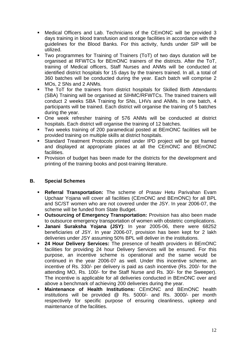- **Medical Officers and Lab. Technicians of the CEmONC will be provided 3** days training in blood transfusion and storage facilities in accordance with the guidelines for the Blood Banks. For this activity, funds under SIP will be utilized.
- Two programmes for Training of Trainers (ToT) of two days duration will be organised at RFWTCs for BEmONC trainers of the districts. After the ToT, training of Medical officers, Staff Nurses and ANMs will be conducted at identified district hospitals for 15 days by the trainers trained. In all, a total of 360 batches will be conducted during the year. Each batch will comprise 2 MOs, 2 SNs and 2 ANMs.
- ß The ToT for the trainers from district hospitals for Skilled Birth Attendants (SBA) Training will be organised at SIHMC/RFWTCs. The trained trainers will conduct 2 weeks SBA Training for SNs, LHVs and ANMs. In one batch, 4 participants will be trained. Each district will organise the training of 5 batches during the year.
- One week refresher training of 576 ANMs will be conducted at district hospitals. Each district will organise the training of 12 batches.
- ß Two weeks training of 200 paramedical posted at BEmONC facilities will be provided training on multiple skills at district hospitals.
- **Standard Treatment Protocols printed under IPD project will be got framed** and displayed at appropriate places at all the CEmONC and BEmONC facilities.
- **Provision of budget has been made for the districts for the development and** printing of the training books and post-training literature.

## **B. Special Schemes**

- **Referral Transportation:** The scheme of Prasav Hetu Parivahan Evam Upchaar Yojana will cover all facilities (CEmONC and BEmONC) for all BPL and SC/ST women who are not covered under the JSY. In year 2006-07, the scheme will be funded from State Budget.
- **Outsourcing of Emergency Transportation:** Provision has also been made to outsource emergency transportation of women with obstetric complications.
- ß **Janani Suraksha Yojana (JSY)**: In year 2005-06, there were 68252 beneficiaries of JSY. In year 2006-07, provision has been kept for 2 lakh deliveries under JSY assuming 50% BPL will deliver in the institutions.
- **24 Hour Delivery Services:** The presence of health providers in BEmONC facilities for providing 24 hour Delivery Services will be ensured. For this purpose, an incentive scheme is operational and the same would be continued in the year 2006-07 as well. Under this incentive scheme, an incentive of Rs. 330/- per delivery is paid as cash incentive (Rs. 200/- for the attending MO, Rs. 100/- for the Staff Nurse and Rs. 30/- for the Sweeper). The incentive is applicable for all deliveries conducted in BEmONC over and above a benchmark of achieving 200 deliveries during the year.
- ß **Maintenance of Health Institutions:** CEmONC and BEmONC health institutions will be provided @ Rs. 5000/- and Rs. 3000/- per month respectively for specific purpose of ensuring cleanliness, upkeep and maintenance of the facilities.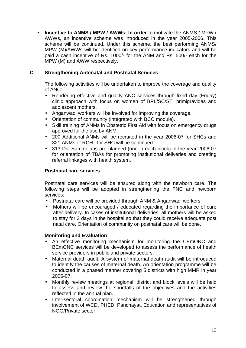ß **Incentive to ANMS / MPW / AWWs: In order** to motivate the ANMS / MPW / AWWs, an incentive scheme was introduced in the year 2005-2006. This scheme will be continued. Under this scheme, the best performing ANMS/ MPW (M)/AWWs will be identified on key performance indicators and will be paid a cash incentive of Rs. 1000/- for the ANM and Rs. 500/- each for the MPW (M) and AWW respectively.

## **C. Strengthening Antenatal and Postnatal Services**

The following activities will be undertaken to improve the coverage and quality of ANC:

- Rendering effective and quality ANC services through fixed day (Friday) clinic approach with focus on women of BPL/SC/ST, primigravidas and adolescent mothers.
- Anganwadi workers will be involved for improving the coverage.
- Orientation of community (integrated with BCC module).
- Skill training of ANMs in Obstetric First Aid with focus on emergency drugs approved for the use by ANM.
- 200 Additional ANMs will be recruited in the year 2006-07 for SHCs and 321 ANMs of RCH I for SHC will be continued.
- 313 Dai Sammelans are planned (one in each block) in the year 2006-07 for orientation of TBAs for promoting institutional deliveries and creating referral linkages with health system.

## **Postnatal care services**

Postnatal care services will be ensured along with the newborn care. The following steps will be adopted in strengthening the PNC and newborn services:

- Postnatal care will be provided through ANM & Anganwadi workers.
- Mothers will be encouraged / educated regarding the importance of care after delivery. In cases of institutional deliveries, all mothers will be asked to stay for 3 days in the hospital so that they could receive adequate post natal care. Orientation of community on postnatal care will be done.

## **Monitoring and Evaluation**

- An effective monitoring mechanism for monitoring the CEmONC and BEmONC services will be developed to assess the performance of health service providers in public and private sectors.
- Maternal death audit: A system of maternal death audit will be introduced to identify the causes of maternal death. An orientation programme will be conducted in a phased manner covering 5 districts with high MMR in year 2006-07.
- Monthly review meetings at regional, district and block levels will be held to assess and review the shortfalls of the objectives and the activities reflected in the annual plan.
- Inter-sectoral coordination mechanism will be strengthened through involvement of WCD, PHED, Panchayat, Education and representatives of NGO/Private sector.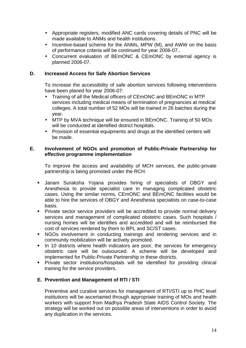- Appropriate registers, modified ANC cards covering details of PNC will be made available to ANMs and health institutions.
- Incentive-based scheme for the ANMs, MPW (M), and AWW on the basis of performance criteria will be continued for year 2006-07..
- Concurrent evaluation of BEmONC & CEmONC by external agency is planned 2006-07.

#### **D. Increased Access for Safe Abortion Services**

To increase the accessibility of safe abortion services following interventions have been planed for year 2006-07:

- Training of all the Medical officers of CEmONC and BEmONC in MTP services including medical means of termination of pregnancies at medical colleges. A total number of 52 MOs will be trained in 26 batches during the year.
- MTP by MVA technique will be ensured in BEmONC. Training of 50 MOs will be conducted at identified district hospitals.
- Provision of essential equipments and drugs at the identified centers will be made.

## **E. Involvement of NGOs and promotion of Public-Private Partnership for effective programme implementation**

To improve the access and availability of MCH services, the public-private partnership is being promoted under the RCH.

- **Janani Suraksha Yojana provides hiring of specialists of OBGY and** Anesthesia to provide specialist care in managing complicated obstetric cases. Using the similar norms, CEmONC and BEmONC facilities would be able to hire the services of OBGY and Anesthesia specialists on case-to-case basis.
- **Private sector service providers will be accredited to provide normal delivery** services and management of complicated obstetric cases. Such hospitals / nursing homes will be identifies and accredited and will be reimbursed the cost of services rendered by them to BPL and SC/ST cases.
- KGOs involvement in conducting trainings and rendering services and in community mobilization will be actively promoted.
- $\blacksquare$  In 10 districts where health indicators are poor, the services for emergency obstetric care will be outsourced. A scheme will be developed and implemented for Public-Private Partnership in these districts.
- **•** Private sector institutions/hospitals will be identified for providing clinical training for the service providers.

## **E. Prevention and Management of RTI / STI**

Preventive and curative services for management of RTI/STI up to PHC level institutions will be ascertained through appropriate training of MOs and health workers with support from Madhya Pradesh State AIDS Control Society. The strategy will be worked out on possible areas of interventions in order to avoid any duplication in the services.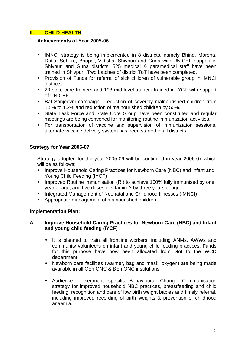## **II. CHILD HEALTH**

#### **Achievements of Year 2005-06**

- IMNCI strategy is being implemented in 8 districts, namely Bhind, Morena, Datia, Sehore, Bhopal, Vidisha, Shivpuri and Guna with UNICEF support in Shivpuri and Guna districts. 525 medical & paramedical staff have been trained in Shivpuri. Two batches of district ToT have been completed.
- Provision of Funds for referral of sick children of vulnerable group in IMNCI districts.
- 23 state core trainers and 193 mid level trainers trained in IYCF with support of UNICEF.
- Bal Sanjeevni campaign reduction of severely malnourished children from 5.5% to 1.2% and reduction of malnourished children by 50%.
- State Task Force and State Core Group have been constituted and regular meetings are being convened for monitoring routine immunization activities.
- For transportation of vaccine and supervision of immunization sessions, alternate vaccine delivery system has been started in all districts**.**

## **Strategy for Year 2006-07**

Strategy adopted for the year 2005-06 will be continued in year 2006-07 which will be as follows:

- Improve Household Caring Practices for Newborn Care (NBC) and Infant and Young Child Feeding (IYCF)
- Improved Routine Immunisation (RI) to achieve 100% fully immunised by one year of age, and five doses of vitamin A by three years of age.
- Integrated Management of Neonatal and Childhood Illnesses (IMNCI)
- Appropriate management of malnourished children.

#### **Implementation Plan:**

## **A. Improve Household Caring Practices for Newborn Care (NBC) and Infant and young child feeding (IYCF)**

- It is planned to train all frontline workers, including ANMs, AWWs and community volunteers on infant and young child feeding practices. Funds for this purpose have now been allocated from GoI to the WCD department.
- Newborn care facilities (warmer, bag and mask, oxygen) are being made available in all CEmONC & BEmONC institutions.
- Audience segment specific Behavioural Change Communication strategy for improved household NBC practices, breastfeeding and child feeding, recognition and care of low birth weight babies and timely referral, including improved recording of birth weights & prevention of childhood anaemia.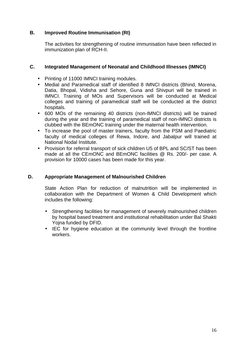## **B. Improved Routine Immunisation (RI)**

The activities for strengthening of routine immunisation have been reflected in immunization plan of RCH-II.

## **C. Integrated Management of Neonatal and Childhood Illnesses (IMNCI)**

- Printing of 11000 IMNCI training modules.
- Medial and Paramedical staff of identified 8 IMNCI districts (Bhind, Morena, Datia, Bhopal, Vidisha and Sehore, Guna and Shivpuri will be trained in IMNCI. Training of MOs and Supervisors will be conducted at Medical colleges and training of paramedical staff will be conducted at the district hospitals.
- 600 MOs of the remaining 40 districts (non-IMNCI districts) will be trained during the year and the training of paramedical staff of non-IMNCI districts is clubbed with the BEmONC training under the maternal health intervention.
- To increase the pool of master trainers, faculty from the PSM and Paediatric faculty of medical colleges of Rewa, Indore, and Jabalpur will trained at National Nodal Institute.
- Provision for referral transport of sick children U5 of BPL and SC/ST has been made at all the CEmONC and BEmONC facilities @ Rs. 200/- per case. A provision for 10000 cases has been made for this year.

#### **D. Appropriate Management of Malnourished Children**

State Action Plan for reduction of malnutrition will be implemented in collaboration with the Department of Women & Child Development which includes the following:

- Strengthening facilities for management of severely malnourished children by hospital based treatment and institutional rehabilitation under Bal Shakti Yojna funded by DFID.
- IEC for hygiene education at the community level through the frontline workers.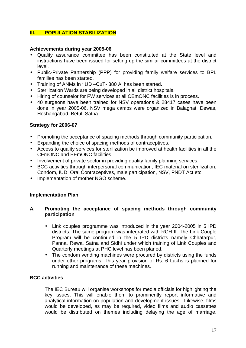## **III. POPULATION STABILIZATION**

#### **Achievements during year 2005-06**

- Quality assurance committee has been constituted at the State level and instructions have been issued for setting up the similar committees at the district level.
- Public-Private Partnership (PPP) for providing family welfare services to BPL families has been started.
- Training of ANMs in 'IUD –CuT- 380 A' has been started.
- Sterilization Wards are being developed in all district hospitals.
- Hiring of counselor for FW services at all CEmONC facilities is in process.
- 40 surgeons have been trained for NSV operations & 28417 cases have been done in year 2005-06. NSV mega camps were organized in Balaghat, Dewas, Hoshangabad, Betul, Satna

## **Strategy for 2006-07**

- Promoting the acceptance of spacing methods through community participation.
- Expanding the choice of spacing methods of contraceptives.
- Access to quality services for sterilization be improved at health facilities in all the CEmONC and BEmONC facilities.
- Involvement of private sector in providing quality family planning services.
- BCC activities through interpersonal communication, IEC material on sterilization, Condom, IUD, Oral Contraceptives, male participation, NSV, PNDT Act etc.
- Implementation of mother NGO scheme.

#### **Implementation Plan**

#### **A. Promoting the acceptance of spacing methods through community participation**

- Link couples programme was introduced in the year 2004-2005 in 5 IPD districts. The same program was integrated with RCH II. The Link Couple Program will be continued in the 5 IPD districts namely Chhatarpur, Panna, Rewa, Satna and Sidhi under which training of Link Couples and Quarterly meetings at PHC level has been planed.
- The condom vending machines were procured by districts using the funds under other programs. This year provision of Rs. 6 Lakhs is planned for running and maintenance of these machines.

#### **BCC activities**

The IEC Bureau will organise workshops for media officials for highlighting the key issues. This will enable them to prominently report informative and analytical information on population and development issues. Likewise, films would be developed, as may be required, video films and audio cassettes would be distributed on themes including delaying the age of marriage,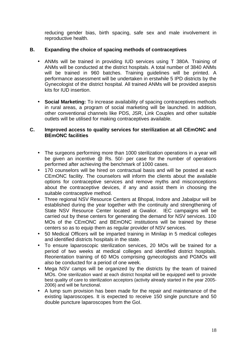reducing gender bias, birth spacing, safe sex and male involvement in reproductive health.

## **B. Expanding the choice of spacing methods of contraceptives**

- ANMs will be trained in providing IUD services using T 380A. Training of ANMs will be conducted at the district hospitals. A total number of 3840 ANMs will be trained in 960 batches. Training guidelines will be printed. A performance assessment will be undertaken in erstwhile 5 IPD districts by the Gynecologist of the district hospital. All trained ANMs will be provided asepsis kits for IUD insertion.
- **Social Marketing:** To increase availability of spacing contraceptives methods in rural areas, a program of social marketing will be launched. In addition, other conventional channels like PDS, JSR, Link Couples and other suitable outlets will be utilised for making contraceptives available.

## **C. Improved access to quality services for sterilization at all CEmONC and BEmONC facilities**

- The surgeons performing more than 1000 sterilization operations in a year will be given an incentive @ Rs. 50/- per case for the number of operations performed after achieving the benchmark of 1000 cases.
- 170 counselors will be hired on contractual basis and will be posted at each CEmONC facility. The counselors will inform the clients about the available options for contraceptive services and remove myths and misconceptions about the contraceptive devices, if any and assist them in choosing the suitable contraceptive method.
- Three regional NSV Resource Centers at Bhopal, Indore and Jabalpur will be established during the year together with the continuity and strengthening of State NSV Resource Center located at Gwalior. IEC campaigns will be carried out by these centers for generating the demand for NSV services. 100 MOs of the CEmONC and BEmONC institutions will be trained by these centers so as to equip them as regular provider of NSV services.
- 50 Medical Officers will be imparted training in Minilap in 5 medical colleges and identified districts hospitals in the state.
- To ensure laparoscopic sterilization services, 20 MOs will be trained for a period of two weeks at medical colleges and identified district hospitals. Reorientation training of 60 MOs comprising gynecologists and PGMOs will also be conducted for a period of one week.
- Mega NSV camps will be organized by the districts by the team of trained MOs. One sterilization ward at each district hospital will be equipped well to provide best quality of care to sterilization acceptors (activity already started in the year 2005- 2006) and will be functional.
- A lump sum provision has been made for the repair and maintenance of the existing laparoscopes. It is expected to receive 150 single puncture and 50 double puncture laparoscopes from the GoI.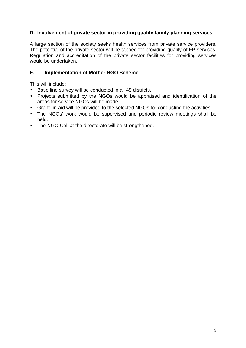## **D. Involvement of private sector in providing quality family planning services**

A large section of the society seeks health services from private service providers. The potential of the private sector will be tapped for providing quality of FP services. Regulation and accreditation of the private sector facilities for providing services would be undertaken.

## **E. Implementation of Mother NGO Scheme**

This will include:

- Base line survey will be conducted in all 48 districts.
- Projects submitted by the NGOs would be appraised and identification of the areas for service NGOs will be made.
- Grant- in-aid will be provided to the selected NGOs for conducting the activities.
- The NGOs' work would be supervised and periodic review meetings shall be held.
- The NGO Cell at the directorate will be strengthened.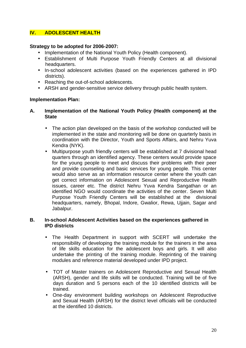## **IV. ADOLESCENT HEALTH**

#### **Strategy to be adopted for 2006-2007:**

- Implementation of the National Youth Policy (Health component).
- Establishment of Multi Purpose Youth Friendly Centers at all divisional headquarters.
- In-school adolescent activities (based on the experiences gathered in IPD districts).
- Reaching the out-of-school adolescents.
- ARSH and gender-sensitive service delivery through public health system.

#### **Implementation Plan:**

#### **A. Implementation of the National Youth Policy (Health component) at the State**

- The action plan developed on the basis of the workshop conducted will be implemented in the state and monitoring will be done on quarterly basis in coordination with the Director, Youth and Sports Affairs, and Nehru Yuva Kendra (NYK).
- Multipurpose youth friendly centers will be established at 7 divisional head quarters through an identified agency. These centers would provide space for the young people to meet and discuss their problems with their peer and provide counseling and basic services for young people. This center would also serve as an information resource center where the youth can get correct information on Adolescent Sexual and Reproductive Health issues, career etc. The district Nehru Yuva Kendra Sangathan or an identified NGO would coordinate the activities of the center. Seven Multi Purpose Youth Friendly Centers will be established at the divisional headquarters, namely, Bhopal, Indore, Gwalior, Rewa, Ujjain, Sagar and Jabalpur.

#### **B. In-school Adolescent Activities based on the experiences gathered in IPD districts**

- The Health Department in support with SCERT will undertake the responsibility of developing the training module for the trainers in the area of life skills education for the adolescent boys and girls. It will also undertake the printing of the training module. Reprinting of the training modules and reference material developed under IPD project.
- TOT of Master trainers on Adolescent Reproductive and Sexual Health (ARSH), gender and life skills will be conducted. Training will be of five days duration and 5 persons each of the 10 identified districts will be trained.
- One-day environment building workshops on Adolescent Reproductive and Sexual Health (ARSH) for the district level officials will be conducted at the identified 10 districts.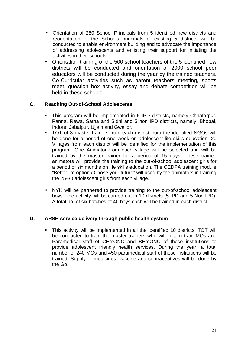- Orientation of 250 School Principals from 5 identified new districts and reorientation of the Schools principals of existing 5 districts will be conducted to enable environment building and to advocate the importance of addressing adolescents and enlisting their support for initiating the activities in their schools.
- Orientation training of the 500 school teachers of the 5 identified new districts will be conducted and orientation of 2000 school peer educators will be conducted during the year by the trained teachers. Co-Curricular activities such as parent teachers meeting, sports meet, question box activity, essay and debate competition will be held in these schools.

## **C. Reaching Out-of-School Adolescents**

- This program will be implemented in 5 IPD districts, namely Chhatarpur, Panna, Rewa, Satna and Sidhi and 5 non IPD districts, namely, Bhopal, Indore, Jabalpur, Ujjain and Gwalior.
- **TOT of 3 master trainers from each district from the identified NGOs will** be done for a period of one week on adolescent life skills education. 20 Villages from each district will be identified for the implementation of this program. One Animator from each village will be selected and will be trained by the master trainer for a period of 15 days. These trained animators will provide the training to the out-of-school adolescent girls for a period of six months on life skills education. The CEDPA training module "Better life option / Chose your future" will used by the animators in training the 25-30 adolescent girls from each village.
- NYK will be partnered to provide training to the out-of-school adolescent boys. The activity will be carried out in 10 districts (5 IPD and 5 Non IPD). A total no. of six batches of 40 boys each will be trained in each district.

## **D. ARSH service delivery through public health system**

ß This activity will be implemented in all the identified 10 districts. TOT will be conducted to train the master trainers who will in turn train MOs and Paramedical staff of CEmONC and BEmONC of these institutions to provide adolescent friendly health services. During the year, a total number of 240 MOs and 450 paramedical staff of these institutions will be trained. Supply of medicines, vaccine and contraceptives will be done by the GoI.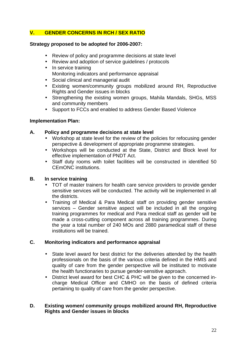## **V. GENDER CONCERNS IN RCH / SEX RATIO**

#### **Strategy proposed to be adopted for 2006-2007:**

- Review of policy and programme decisions at state level
- Review and adoption of service guidelines / protocols
- In service training • Monitoring indicators and performance appraisal
- Social clinical and managerial audit
- Existing women/community groups mobilized around RH, Reproductive Rights and Gender issues in blocks
- Strengthening the existing women groups, Mahila Mandals, SHGs, MSS and community members
- Support to FCCs and enabled to address Gender Based Violence

#### **Implementation Plan:**

## **A. Policy and programme decisions at state level**

- Workshop at state level for the review of the policies for refocusing gender perspective & development of appropriate programme strategies.
- Workshops will be conducted at the State, District and Block level for effective implementation of PNDT Act.
- Staff duty rooms with toilet facilities will be constructed in identified 50 CEmONC institutions.

## **B. In service training**

- TOT of master trainers for health care service providers to provide gender sensitive services will be conducted. The activity will be implemented in all the districts.
- Training of Medical & Para Medical staff on providing gender sensitive services – Gender sensitive aspect will be included in all the ongoing training programmes for medical and Para medical staff as gender will be made a cross-cutting component across all training programmes. During the year a total number of 240 MOs and 2880 paramedical staff of these institutions will be trained.

#### **C. Monitoring indicators and performance appraisal**

- State level award for best district for the deliveries attended by the health professionals on the basis of the various criteria defined in the HMIS and quality of care from the gender perspective will be instituted to motivate the health functionaries to pursue gender-sensitive approach.
- District level award for best CHC & PHC will be given to the concerned incharge Medical Officer and CMHO on the basis of defined criteria pertaining to quality of care from the gender perspective.

## **D. Existing women/ community groups mobilized around RH, Reproductive Rights and Gender issues in blocks**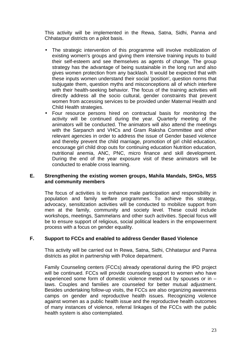This activity will be implemented in the Rewa, Satna, Sidhi, Panna and Chhatarpur districts on a pilot basis.

- The strategic intervention of this programme will involve mobilization of existing women's groups and giving them intensive training inputs to build their self-esteem and see themselves as agents of change. The group strategy has the advantage of being sustainable in the long run and also gives women protection from any backlash. It would be expected that with these inputs women understand their social 'position', question norms that subjugate them, question myths and misconceptions all of which interfere with their health-seeking behavior. The focus of the training activities will directly address all the socio cultural, gender constraints that prevent women from accessing services to be provided under Maternal Health and Child Health strategies.
- Four resource persons hired on contractual basis for monitoring the activity will be continued during the year. Quarterly meeting of the animators will be conducted. The animators will also attend the meetings with the Sarpanch and VHCs and Gram Raksha Committee and other relevant agencies in order to address the issue of Gender based violence and thereby prevent the child marriage, promotion of girl child education, encourage girl child drop outs for continuing education Nutrition education, nutritional anemia, ANC, PNC, micro finance and skill development. During the end of the year exposure visit of these animators will be conducted to enable cross learning.

#### **E. Strengthening the existing women groups, Mahila Mandals, SHGs, MSS and community members**

The focus of activities is to enhance male participation and responsibility in population and family welfare programmes. To achieve this strategy, advocacy, sensitization activities will be conducted to mobilize support from men at the family, community and society level. These could include workshops, meetings, Sammelans and other such activities. Special focus will be to ensure support of religious, social political leaders in the empowerment process with a focus on gender equality.

#### **F. Support to FCCs and enabled to address Gender Based Violence**

This activity will be carried out In Rewa, Satna, Sidhi, Chhatarpur and Panna districts as pilot in partnership with Police department.

Family Counseling centers (FCCs) already operational during the IPD project will be continued. FCCs will provide counseling support to women who have experienced some form of domestic violence meted out by spouses or in – laws. Couples and families are counseled for better mutual adjustment. Besides undertaking follow-up visits, the FCCs are also organizing awareness camps on gender and reproductive health issues. Recognizing violence against women as a public health issue and the reproductive health outcomes of many instances of violence, referral linkages of the FCCs with the public health system is also contemplated.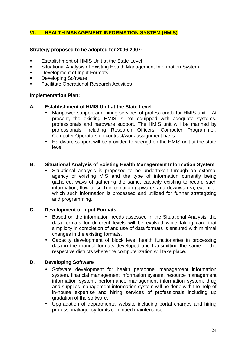## **VI. HEALTH MANAGEMENT INFORMATION SYSTEM (HMIS)**

## **Strategy proposed to be adopted for 2006-2007:**

- ß Establishment of HMIS Unit at the State Level
- **EXITE:** Situational Analysis of Existing Health Management Information System
- **•** Development of Input Formats
- ß Developing Software
- ß Facilitate Operational Research Activities

#### **Implementation Plan:**

#### **A. Establishment of HMIS Unit at the State Level**

- Manpower support and hiring services of professionals for HMIS unit At present, the existing HMIS is not equipped with adequate systems, professionals and hardware support. The HMIS unit will be manned by professionals including Research Officers, Computer Programmer, Computer Operators on contract/work assignment basis.
- Hardware support will be provided to strengthen the HMIS unit at the state level.

#### **B. Situational Analysis of Existing Health Management Information System**

• Situational analysis is proposed to be undertaken through an external agency of existing MIS and the type of information currently being gathered, ways of gathering the same, capacity existing to record such information, flow of such information (upwards and downwards), extent to which such information is processed and utilized for further strategizing and programming.

#### **C. Development of Input Formats**

- Based on the information needs assessed in the Situational Analysis, the data formats for different levels will be evolved while taking care that simplicity in completion of and use of data formats is ensured with minimal changes in the existing formats.
- Capacity development of block level health functionaries in processing data in the manual formats developed and transmitting the same to the respective districts where the computerization will take place.

#### **D. Developing Software**

- Software development for health personnel management information system, financial management information system, resource management information system, performance management information system, drug and supplies management information system will be done with the help of in-house expertise and hiring services of professionals including up gradation of the software.
- Upgradation of departmental website including portal charges and hiring professional/agency for its continued maintenance.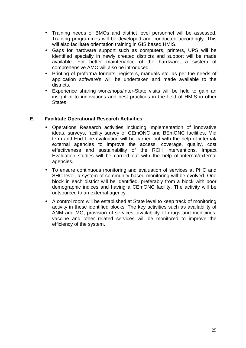- Training needs of BMOs and district level personnel will be assessed. Training programmes will be developed and conducted accordingly. This will also facilitate orientation training in GIS based HMIS.
- Gaps for hardware support such as computers, printers, UPS will be identified specially in newly created districts and support will be made available. For better maintenance of the hardware, a system of comprehensive AMC will also be introduced.
- Printing of proforma formats, registers, manuals etc. as per the needs of application software's will be undertaken and made available to the districts.
- Experience sharing workshops/inter-State visits will be held to gain an insight in to innovations and best practices in the field of HMIS in other States.

## **E. Facilitate Operational Research Activities**

- Operations Research activities including implementation of innovative ideas, surveys, facility survey of CEmONC and BEmONC facilities, Mid term and End Line evaluation will be carried out with the help of internal/ external agencies to improve the access, coverage, quality, cost effectiveness and sustainability of the RCH interventions. Impact Evaluation studies will be carried out with the help of internal/external agencies.
- To ensure continuous monitoring and evaluation of services at PHC and SHC level, a system of community based monitoring will be evolved. One block in each district will be identified, preferably from a block with poor demographic indices and having a CEmONC facility. The activity will be outsourced to an external agency.
- A control room will be established at State level to keep track of monitoring activity in these identified blocks. The key activities such as availability of ANM and MO, provision of services, availability of drugs and medicines, vaccine and other related services will be monitored to improve the efficiency of the system.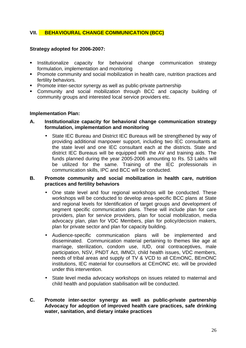## **VII. BEHAVIOURAL CHANGE COMMUNICATION (BCC)**

#### **Strategy adopted for 2006-2007:**

- **Institutionalize capacity for behavioral change communication strategy** formulation, implementation and monitoring
- **Promote community and social mobilization in health care, nutrition practices and** fertility behaviors.
- **•** Promote inter-sector synergy as well as public-private partnership
- ß Community and social mobilization through BCC and capacity building of community groups and interested local service providers etc.

#### **Implementation Plan:**

#### **A. Institutionalize capacity for behavioral change communication strategy formulation, implementation and monitoring**

• State IEC Bureau and District IEC Bureaus will be strengthened by way of providing additional manpower support, including two IEC consultants at the state level and one IEC consultant each at the districts. State and district IEC Bureaus will be equipped with the AV and training aids. The funds planned during the year 2005-2006 amounting to Rs. 53 Lakhs will be utilized for the same. Training of the IEC professionals in communication skills, IPC and BCC will be conducted.

#### **B. Promote community and social mobilization in health care, nutrition practices and fertility behaviors**

- One state level and four regional workshops will be conducted. These workshops will be conducted to develop area-specific BCC plans at State and regional levels for Identification of target groups and development of segment specific communication plans. These will include plan for care providers, plan for service providers, plan for social mobilization, media advocacy plan, plan for VDC Members, plan for policy/decision makers, plan for private sector and plan for capacity building.
- Audience-specific communication plans will be implemented and disseminated. Communication material pertaining to themes like age at marriage, sterilization, condom use, IUD, oral contraceptives, male participation, NSV, PNDT Act, IMNCI, child health issues, VDC members, needs of tribal areas and supply of TV & VCD to all CEmONC, BEmONC institutions, IEC material for counsellors at CEmONC etc. will be provided under this intervention.
- State level media advocacy workshops on issues related to maternal and child health and population stabilisation will be conducted.

#### **C. Promote inter-sector synergy as well as public-private partnership Advocacy for adoption of improved health care practices, safe drinking water, sanitation, and dietary intake practices**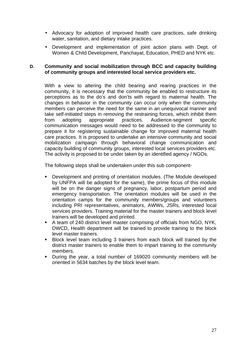- Advocacy for adoption of improved health care practices, safe drinking water, sanitation, and dietary intake practices.
- Development and implementation of joint action plans with Dept. of Women & Child Development, Panchayat, Education, PHED and NYK etc.

#### **D. Community and social mobilization through BCC and capacity building of community groups and interested local service providers etc.**

With a view to altering the child bearing and rearing practices in the community, it is necessary that the community be enabled to restructure its perceptions as to the do's and don'ts with regard to maternal health. The changes in behavior in the community can occur only when the community members can perceive the need for the same in an unequivocal manner and take self-initiated steps in removing the restraining forces, which inhibit them from adopting appropriate practices. Audience-segment specific communication messages would need to be addressed to the community to prepare it for registering sustainable change for improved maternal health care practices. It is proposed to undertake an intensive community and social mobilization campaign through behavioral change communication and capacity building of community groups, interested local services providers etc. The activity is proposed to be under taken by an identified agency / NGOs.

The following steps shall be undertaken under this sub component-

- ß Development and printing of orientation modules. (The Module developed by UNFPA will be adopted for the same), the prime focus of this module will be on the danger signs of pregnancy, labor, postpartum period and emergency transportation. The orientation modules will be used in the orientation camps for the community members/groups and volunteers including PRI representatives, animators, AWWs, JSRs, interested local services providers. Training material for the master trainers and block level trainers will be developed and printed.
- A team of 240 district level master comprising of officials from NGO, NYK, DWCD, Health department will be trained to provide training to the block level master trainers.
- **Block level team including 3 trainers from each block will trained by the** district master trainers to enable them to impart training to the community members.
- During the year, a total number of 169020 community members will be oriented in 5634 batches by the block level team.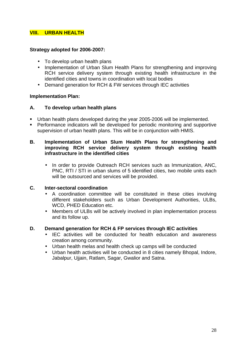## **VIII. URBAN HEALTH**

#### **Strategy adopted for 2006-2007:**

- To develop urban health plans
- Implementation of Urban Slum Health Plans for strengthening and improving RCH service delivery system through existing health infrastructure in the identified cities and towns in coordination with local bodies
- Demand generation for RCH & FW services through IEC activities

#### **Implementation Plan:**

## **A. To develop urban health plans**

- **Urban health plans developed during the year 2005-2006 will be implemented.**
- **•** Performance indicators will be developed for periodic monitoring and supportive supervision of urban health plans. This will be in conjunction with HMIS.

#### **B. Implementation of Urban Slum Health Plans for strengthening and improving RCH service delivery system through existing health infrastructure in the identified cities**

In order to provide Outreach RCH services such as Immunization, ANC, PNC, RTI / STI in urban slums of 5 identified cities, two mobile units each will be outsourced and services will be provided.

## **C. Inter-sectoral coordination**

- A coordination committee will be constituted in these cities involving different stakeholders such as Urban Development Authorities, ULBs, WCD, PHED Education etc.
- Members of ULBs will be actively involved in plan implementation process and its follow up.

#### **D. Demand generation for RCH & FP services through IEC activities**

- IEC activities will be conducted for health education and awareness creation among community.
- Urban health melas and health check up camps will be conducted
- Urban health activities will be conducted in 8 cities namely Bhopal, Indore, Jabalpur, Ujjain, Ratlam, Sagar, Gwalior and Satna.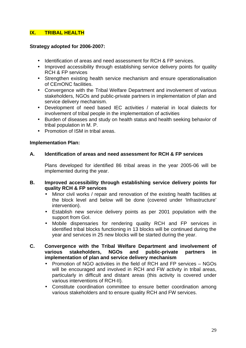## **IX. TRIBAL HEALTH**

#### **Strategy adopted for 2006-2007:**

- Identification of areas and need assessment for RCH & FP services.
- Improved accessibility through establishing service delivery points for quality RCH & FP services
- Strengthen existing health service mechanism and ensure operationalisation of CEmONC facilities.
- Convergence with the Tribal Welfare Department and involvement of various stakeholders, NGOs and public-private partners in implementation of plan and service delivery mechanism.
- Development of need based IEC activities / material in local dialects for involvement of tribal people in the implementation of activities
- Burden of diseases and study on health status and health seeking behavior of tribal population in M. P.
- Promotion of ISM in tribal areas.

## **Implementation Plan:**

## **A. Identification of areas and need assessment for RCH & FP services**

Plans developed for identified 86 tribal areas in the year 2005-06 will be implemented during the year.

#### **B. Improved accessibility through establishing service delivery points for quality RCH & FP services**

- Minor civil works / repair and renovation of the existing health facilities at the block level and below will be done (covered under 'Infrastructure' intervention).
- Establish new service delivery points as per 2001 population with the support from GoI.
- Mobile dispensaries for rendering quality RCH and FP services in identified tribal blocks functioning in 13 blocks will be continued during the year and services in 25 new blocks will be started during the year.
- **C. Convergence with the Tribal Welfare Department and involvement of various stakeholders, NGOs and public-private partners in implementation of plan and service delivery mechanism**
	- Promotion of NGO activities in the field of RCH and FP services NGOs will be encouraged and involved in RCH and FW activity in tribal areas, particularly in difficult and distant areas (this activity is covered under various interventions of RCH-II).
	- Constitute coordination committee to ensure better coordination among various stakeholders and to ensure quality RCH and FW services.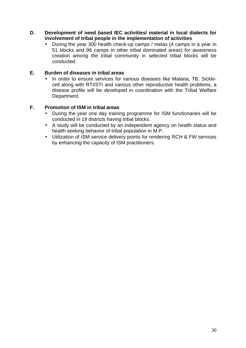- **D. Development of need based IEC activities/ material in local dialects for involvement of tribal people in the implementation of activities**
	- During the year 300 health check-up camps / melas (4 camps in a year in 51 blocks and 96 camps in other tribal dominated areas) for awareness creation among the tribal community in selected tribal blocks will be conducted.

## **E. Burden of diseases in tribal areas**

• In order to ensure services for various diseases like Malaria, TB, Sicklecell along with RTI/STI and various other reproductive health problems, a disease profile will be developed in coordination with the Tribal Welfare Department.

## **F. Promotion of ISM in tribal areas**

- During the year one day training programme for ISM functionaries will be conducted in 19 districts having tribal blocks.
- A study will be conducted by an independent agency on health status and health seeking behavior of tribal population in M.P.
- Utilization of ISM service delivery points for rendering RCH & FW services by enhancing the capacity of ISM practitioners.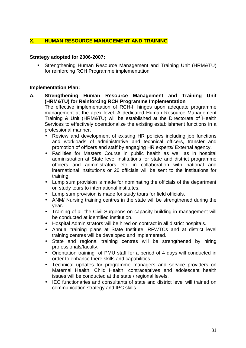## **X. HUMAN RESOURCE MANAGEMENT AND TRAINING**

#### **Strategy adopted for 2006-2007:**

ß Strengthening Human Resource Management and Training Unit (HRM&TU) for reinforcing RCH Programme implementation

#### **Implementation Plan:**

- **A. Strengthening Human Resource Management and Training Unit (HRM&TU) for Reinforcing RCH Programme Implementation** The effective implementation of RCH-II hinges upon adequate programme management at the apex level. A dedicated Human Resource Management Training & Unit (HRM&TU) will be established at the Directorate of Health Services to effectively operationalize the existing establishment functions in a professional manner.
	- Review and development of existing HR policies including job functions and workloads of administrative and technical officers, transfer and promotion of officers and staff by engaging HR experts/ External agency.
	- Facilities for Masters Course in public health as well as in hospital administration at State level institutions for state and district programme officers and administrators etc, in collaboration with national and international institutions or 20 officials will be sent to the institutions for training.
	- Lump sum provision is made for nominating the officials of the department on study tours to international institutes.
	- Lump sum provision is made for study tours for field officials.
	- ANM/ Nursing training centres in the state will be strengthened during the year.
	- Training of all the Civil Surgeons on capacity building in management will be conducted at identified institution.
	- Hospital Administrators will be hired on contract in all district hospitals.
	- Annual training plans at State Institute, RFWTCs and at district level training centres will be developed and implemented.
	- State and regional training centres will be strengthened by hiring professionals/faculty.
	- Orientation training of PMU staff for a period of 4 days will conducted in order to enhance there skills and capabilities.
	- Technical updates for programme managers and service providers on Maternal Health, Child Health, contraceptives and adolescent health issues will be conducted at the state / regional levels.
	- IEC functionaries and consultants of state and district level will trained on communication strategy and IPC skills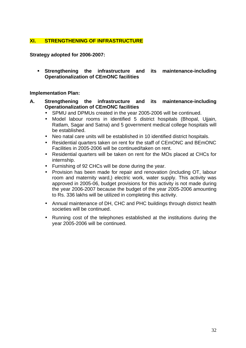## **XI. STRENGTHENING OF INFRASTRUCTURE**

**Strategy adopted for 2006-2007:**

ß **Strengthening the infrastructure and its maintenance-including Operationalization of CEmONC facilities**

#### **Implementation Plan:**

- **A. Strengthening the infrastructure and its maintenance-including Operationalization of CEmONC facilities**
	- SPMU and DPMUs created in the year 2005-2006 will be continued.
	- Model labour rooms in identified 5 district hospitals (Bhopal, Ujjain, Ratlam, Sagar and Satna) and 5 government medical college hospitals will be established.
	- Neo natal care units will be established in 10 identified district hospitals.
	- Residential quarters taken on rent for the staff of CEmONC and BEmONC Facilities in 2005-2006 will be continued/taken on rent.
	- Residential quarters will be taken on rent for the MOs placed at CHCs for internship.
	- Furnishing of 92 CHCs will be done during the year.
	- Provision has been made for repair and renovation (including OT, labour room and maternity ward,) electric work, water supply. This activity was approved in 2005-06, budget provisions for this activity is not made during the year 2006-2007 because the budget of the year 2005-2006 amounting to Rs. 336 lakhs will be utilized in completing this activity.
	- Annual maintenance of DH, CHC and PHC buildings through district health societies will be continued.
	- Running cost of the telephones established at the institutions during the year 2005-2006 will be continued.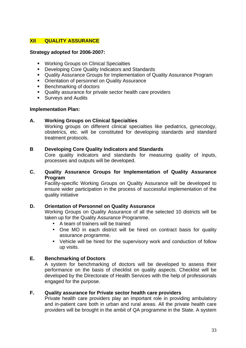## **XII QUALITY ASSURANCE**

#### **Strategy adopted for 2006-2007:**

- **Working Groups on Clinical Specialties**
- **Developing Core Quality Indicators and Standards**
- **Quality Assurance Groups for Implementation of Quality Assurance Program**
- Orientation of personnel on Quality Assurance
- **Benchmarking of doctors**
- Quality assurance for private sector health care providers
- **Surveys and Audits**

#### **Implementation Plan:**

#### **A. Working Groups on Clinical Specialties**

Working groups on different clinical specialties like pediatrics, gynecology, obstetrics, etc. will be constituted for developing standards and standard treatment protocols.

#### **B Developing Core Quality Indicators and Standards**

Core quality indicators and standards for measuring quality of inputs, processes and outputs will be developed.

#### **C. Quality Assurance Groups for Implementation of Quality Assurance Program**

Facility-specific Working Groups on Quality Assurance will be developed to ensure wider participation in the process of successful implementation of the quality initiative

## **D. Orientation of Personnel on Quality Assurance**

Working Groups on Quality Assurance of all the selected 10 districts will be taken up for the Quality Assurance Programme.

- A team of trainers will be trained
- One MO in each district will be hired on contract basis for quality assurance programme.
- Vehicle will be hired for the supervisory work and conduction of follow up visits.

#### **E. Benchmarking of Doctors**

A system for benchmarking of doctors will be developed to assess their performance on the basis of checklist on quality aspects. Checklist will be developed by the Directorate of Health Services with the help of professionals engaged for the purpose.

## **F. Quality assurance for Private sector health care providers**

Private health care providers play an important role in providing ambulatory and in-patient care both in urban and rural areas. All the private health care providers will be brought in the ambit of QA programme in the State. A system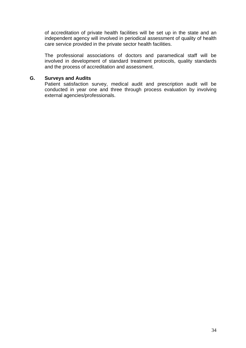of accreditation of private health facilities will be set up in the state and an independent agency will involved in periodical assessment of quality of health care service provided in the private sector health facilities.

The professional associations of doctors and paramedical staff will be involved in development of standard treatment protocols, quality standards and the process of accreditation and assessment.

#### **G. Surveys and Audits**

Patient satisfaction survey, medical audit and prescription audit will be conducted in year one and three through process evaluation by involving external agencies/professionals.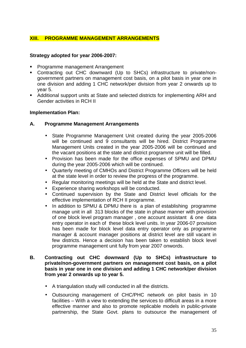## **XIII. PROGRAMME MANAGEMENT ARRANGEMENTS**

#### **Strategy adopted for year 2006-2007:**

- **Programme management Arrangement**
- Contracting out CHC downward (Up to SHCs) infrastructure to private/nongovernment partners on management cost basis, on a pilot basis in year one in one division and adding 1 CHC network/per division from year 2 onwards up to year 5.
- **Additional support units at State and selected districts for implementing ARH and** Gender activities in RCH II

#### **Implementation Plan:**

#### **A. Programme Management Arrangements**

- State Programme Management Unit created during the year 2005-2006 will be continued and 9 consultants will be hired. District Programme Management Units created in the year 2005-2006 will be continued and the vacant positions at the state and district programme unit will be filled.
- Provision has been made for the office expenses of SPMU and DPMU during the year 2005-2006 which will be continued.
- Quarterly meeting of CMHOs and District Programme Officers will be held at the state level in order to review the progress of the programme.
- Regular monitoring meetings will be held at the State and district level.
- Experience sharing workshops will be conducted.
- Continued supervision by the State and District level officials for the effective implementation of RCH II programme.
- In addition to SPMU & DPMU there is a plan of establishing programme manage unit in all 313 blocks of the state in phase manner with provision of one block level program manager , one account assistant & one data entry operator in each of these block level units. In year 2006-07 provision has been made for block level data entry operator only as programme manager & account manager positions at district level are still vacant in few districts. Hence a decision has been taken to establish block level programme management unit fully from year 2007 onwords.

#### **B. Contracting out CHC downward (Up to SHCs) infrastructure to private/non-government partners on management cost basis, on a pilot basis in year one in one division and adding 1 CHC network/per division from year 2 onwards up to year 5.**

- A triangulation study will conducted in all the districts.
- Outsourcing management of CHC/PHC network on pilot basis in 10 facilities – With a view to extending the services to difficult areas in a more effective manner and also to promote replicable models in public-private partnership, the State Govt. plans to outsource the management of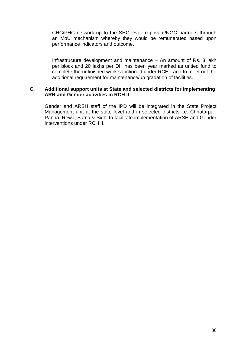CHC/PHC network up to the SHC level to private/NGO partners through an MoU mechanism whereby they would be remunerated based upon performance indicators and outcome.

Infrastructure development and maintenance – An amount of Rs. 3 lakh per block and 20 lakhs per DH has been year marked as untied fund to complete the unfinished work sanctioned under RCH-I and to meet out the additional requirement for maintenance/up gradation of facilities.

#### **C. Additional support units at State and selected districts for implementing ARH and Gender activities in RCH II**

Gender and ARSH staff of the IPD will be integrated in the State Project Management unit at the state level and in selected districts i.e. Chhatarpur, Panna, Rewa, Satna & Sidhi to facilitate implementation of ARSH and Gender interventions under RCH II.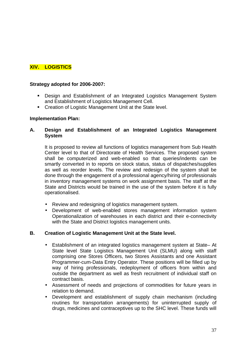## **XIV. LOGISTICS**

### **Strategy adopted for 2006-2007:**

- **•** Design and Establishment of an Integrated Logistics Management System and Establishment of Logistics Management Cell.
- Creation of Logistic Management Unit at the State level.

#### **Implementation Plan:**

### **A. Design and Establishment of an Integrated Logistics Management System**

It is proposed to review all functions of logistics management from Sub Health Center level to that of Directorate of Health Services. The proposed system shall be computerized and web-enabled so that queries/indents can be smartly converted in to reports on stock status, status of dispatches/supplies as well as reorder levels. The review and redesign of the system shall be done through the engagement of a professional agency/hiring of professionals in inventory management systems on work assignment basis. The staff at the State and Districts would be trained in the use of the system before it is fully operationalised.

- Review and redesigning of logistics management system.
- Development of web-enabled stores management information system Operationalization of warehouses in each district and their e-connectivity with the State and District logistics management units.

### **B. Creation of Logistic Management Unit at the State level.**

- Establishment of an integrated logistics management system at State– At State level State Logistics Management Unit (SLMU) along with staff comprising one Stores Officers, two Stores Assistants and one Assistant Programmer-cum-Data Entry Operator. These positions will be filled up by way of hiring professionals, redeployment of officers from within and outside the department as well as fresh recruitment of individual staff on contract basis.
- Assessment of needs and projections of commodities for future years in relation to demand.
- Development and establishment of supply chain mechanism (including routines for transportation arrangements) for uninterrupted supply of drugs, medicines and contraceptives up to the SHC level. These funds will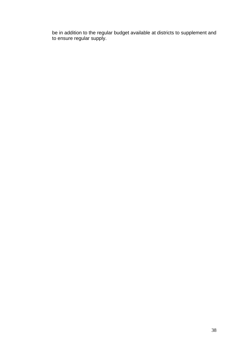be in addition to the regular budget available at districts to supplement and to ensure regular supply.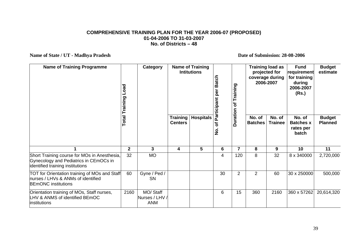#### **COMPREHENSIVE TRAINING PLAN FOR THE YEAR 2006-07 (PROPOSED) 01-04-2006 TO 31-03-2007 No. of Districts – 48**

Name of State / UT - Madhya Pradesh **Date of Submission: 28-08-2006** 

| <b>Name of Training Programme</b>                                                                                          | peo<br><b>Total Training</b> | Category                                  |                                   | <b>Name of Training</b><br><b>Intitutions</b> | <b>Batch</b><br>per<br>rticipant | Training<br>ð   |                          | <b>Training load as</b><br>projected for<br>coverage during<br>2006-2007 | <b>Fund</b><br>requirement<br>for training<br>during<br>2006-2007<br>(Rs.) | <b>Budget</b><br>estimate       |
|----------------------------------------------------------------------------------------------------------------------------|------------------------------|-------------------------------------------|-----------------------------------|-----------------------------------------------|----------------------------------|-----------------|--------------------------|--------------------------------------------------------------------------|----------------------------------------------------------------------------|---------------------------------|
|                                                                                                                            |                              |                                           | <b>Training</b><br><b>Centers</b> | <b>Hospitals</b>                              | <u>ፎ</u><br>৳<br>$\frac{1}{2}$   | <b>Duration</b> | No. of<br><b>Batches</b> | No. of<br><b>Trainee</b>                                                 | No. of<br><b>Batches x</b><br>rates per<br>batch                           | <b>Budget</b><br><b>Planned</b> |
|                                                                                                                            | $\mathbf{2}$                 | 3                                         | 4                                 | 5                                             | 6                                | $\overline{7}$  | 8                        | 9                                                                        | 10                                                                         | 11                              |
| Short Training course for MOs in Anesthesia,<br>Gynecology and Pediatrics in CEmOCs in<br>identified training institutions | 32                           | <b>MO</b>                                 |                                   |                                               | 4                                | 120             | 8                        | 32                                                                       | 8 x 340000                                                                 | 2,720,000                       |
| TOT for Orientation training of MOs and Staff<br>nurses / LHVs & ANMs of identified<br><b>BEmONC</b> institutions          | 60                           | Gyne / Ped /<br><b>SN</b>                 |                                   |                                               | 30                               | $\overline{2}$  | $\overline{2}$           | 60                                                                       | 30 x 250000                                                                | 500,000                         |
| Orientation training of MOs, Staff nurses,<br>LHV & ANMS of identified BEmOC<br>linstitutions                              | 2160                         | MO/ Staff<br>Nurses / LHV /<br><b>ANM</b> |                                   |                                               | 6                                | 15              | 360                      | 2160                                                                     | 360 x 57262                                                                | 20,614,320                      |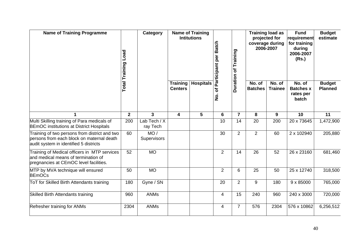| <b>Name of Training Programme</b>                                                                                                    | Load<br><b>Total Training</b> | Category                 |                                   | <b>Name of Training</b><br><b>Intitutions</b> | <b>Batch</b><br>Participant per | Duration of Training | coverage during          | <b>Training load as</b><br>projected for<br>2006-2007 | <b>Fund</b><br>requirement<br>for training<br>during<br>2006-2007<br>(Rs.) | <b>Budget</b><br>estimate       |
|--------------------------------------------------------------------------------------------------------------------------------------|-------------------------------|--------------------------|-----------------------------------|-----------------------------------------------|---------------------------------|----------------------|--------------------------|-------------------------------------------------------|----------------------------------------------------------------------------|---------------------------------|
|                                                                                                                                      |                               |                          | <b>Training</b><br><b>Centers</b> | <b>Hospitals</b>                              | đ<br>$\dot{\mathbf{z}}$         |                      | No. of<br><b>Batches</b> | No. of<br><b>Trainee</b>                              | No. of<br><b>Batches x</b><br>rates per<br>batch                           | <b>Budget</b><br><b>Planned</b> |
|                                                                                                                                      | $\mathbf{2}$                  | $\mathbf{3}$             | 4                                 | $5\phantom{.0}$                               | 6                               | $\overline{7}$       | 8                        | 9                                                     | 10                                                                         | 11                              |
| Multi Skilling training of Para medicals of<br><b>BEmOC</b> institutions at District Hospitals                                       | 200                           | Lab Tech / X<br>ray Tech |                                   |                                               | 10                              | 14                   | 20                       | 200                                                   | 20 x 73645                                                                 | 1,472,900                       |
| Training of two persons from district and two<br>persons from each block on maternal death<br>audit system in identified 5 districts | 60                            | MO/<br>Supervisors       |                                   |                                               | 30                              | $\overline{2}$       | $\overline{2}$           | 60                                                    | 2 x 102940                                                                 | 205,880                         |
| Training of Medical officers in MTP services<br>and medical means of termination of<br>pregnancies at CEmOC level facilities.        | 52                            | M <sub>O</sub>           |                                   |                                               | $\overline{2}$                  | 14                   | 26                       | 52                                                    | 26 x 23160                                                                 | 681,460                         |
| MTP by MVA technique will ensured<br><b>BEmOCs</b>                                                                                   | 50                            | <b>MO</b>                |                                   |                                               | $\overline{2}$                  | $6\phantom{1}6$      | 25                       | 50                                                    | 25 x 12740                                                                 | 318,500                         |
| ToT for Skilled Birth Attendants training                                                                                            | 180                           | Gyne / SN                |                                   |                                               | 20                              | $\overline{2}$       | 9                        | 180                                                   | 9 x 85000                                                                  | 765,000                         |
| Skilled Birth Attendants training                                                                                                    | 960                           | <b>ANMs</b>              |                                   |                                               | 4                               | 15                   | 240                      | 960                                                   | 240 x 3000                                                                 | 720,000                         |
| Refresher training for ANMs                                                                                                          | 2304                          | <b>ANMs</b>              |                                   |                                               | $\overline{\mathbf{4}}$         | $\overline{7}$       | 576                      | 2304                                                  | 576 x 10862                                                                | 6,256,512                       |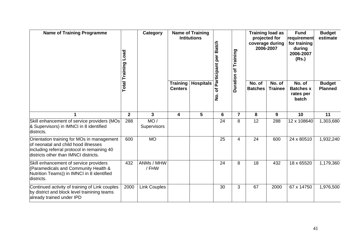| <b>Name of Training Programme</b>                                                                                                                                          | Category<br>Load<br><b>Total Training</b> |                     |                                   | <b>Name of Training</b><br><b>Intitutions</b> | Batch<br>per<br>Participant | Training    | coverage during          | <b>Training load as</b><br>projected for<br>2006-2007 | <b>Fund</b><br>requirement<br>for training<br>during<br>2006-2007<br>(Rs.) | <b>Budget</b><br>estimate       |
|----------------------------------------------------------------------------------------------------------------------------------------------------------------------------|-------------------------------------------|---------------------|-----------------------------------|-----------------------------------------------|-----------------------------|-------------|--------------------------|-------------------------------------------------------|----------------------------------------------------------------------------|---------------------------------|
|                                                                                                                                                                            |                                           |                     | <b>Training</b><br><b>Centers</b> | <b>Hospitals</b>                              | Ⴆ<br>$\dot{\mathsf{S}}$     | Duration of | No. of<br><b>Batches</b> | No. of<br><b>Trainee</b>                              | No. of<br><b>Batches x</b><br>rates per<br>batch                           | <b>Budget</b><br><b>Planned</b> |
|                                                                                                                                                                            | $\mathbf{2}$                              | 3                   | 4                                 | 5                                             | 6                           | 7           | 8                        | 9                                                     | 10                                                                         | 11                              |
| Skill enhancement of service providers (MOs<br>& Supervisors) in IMNCI in 8 identified<br>districts.                                                                       | 288                                       | MO/<br>Supervisors  |                                   |                                               | 24                          | 8           | 12                       | 288                                                   | 12 x 108640                                                                | 1,303,680                       |
| Orientation training for MOs in management<br>of neonatal and child hood illnesses<br>including referral protocol in remaining 40<br>districts other than IMNCI districts. | 600                                       | <b>MO</b>           |                                   |                                               | 25                          | 4           | 24                       | 600                                                   | 24 x 80510                                                                 | 1,932,240                       |
| Skill enhancement of service providers<br>(Paramedicals and Community Health &<br>Nutrition Teams)) in IMNCI in 8 identified<br>districts.                                 | 432                                       | ANMs / MHW<br>/ FHW |                                   |                                               | 24                          | 8           | 18                       | 432                                                   | 18 x 65520                                                                 | 1,179,360                       |
| Continued activity of training of Link couples<br>by district and block level trainining teams<br>already trained under IPD                                                | 2000                                      | <b>Link Couples</b> |                                   |                                               | 30                          | 3           | 67                       | 2000                                                  | 67 x 14750                                                                 | 1,976,500                       |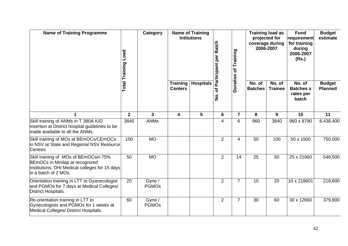| <b>Name of Training Programme</b>                                                                                                                  | Category<br>Load<br><b>Total Training</b> |                        |                                   | <b>Name of Training</b><br><b>Intitutions</b> | <b>Batch</b><br>Participant per | Training       |                          | <b>Training load as</b><br>projected for<br>coverage during<br>2006-2007 | <b>Fund</b><br>requirement<br>for training<br>during<br>2006-2007<br>(Rs.) | <b>Budget</b><br>estimate       |
|----------------------------------------------------------------------------------------------------------------------------------------------------|-------------------------------------------|------------------------|-----------------------------------|-----------------------------------------------|---------------------------------|----------------|--------------------------|--------------------------------------------------------------------------|----------------------------------------------------------------------------|---------------------------------|
|                                                                                                                                                    |                                           |                        | <b>Training</b><br><b>Centers</b> | <b>Hospitals</b>                              | đ<br>$\dot{\mathsf{z}}$         | Duration of    | No. of<br><b>Batches</b> | No. of<br><b>Trainee</b>                                                 | No. of<br><b>Batches x</b><br>rates per<br>batch                           | <b>Budget</b><br><b>Planned</b> |
| 1                                                                                                                                                  | $\mathbf{2}$                              | 3                      | 4                                 | 5                                             | $6\phantom{1}$                  | $\overline{7}$ | 8                        | 9                                                                        | 10                                                                         | 11                              |
| Skill training of ANMs in T 380A IUD<br>insertion at District hospital guidelines to be<br>made available to all the ANMs.                         | 3840                                      | <b>ANMs</b>            |                                   |                                               | 4                               | 6              | 960                      | 3840                                                                     | 960 x 8790                                                                 | 8,438,400                       |
| Skill training of MOs at BEmOCs/CEmOCs<br>in NSV at State and Regional NSV Resource<br><b>Centres</b>                                              | 100                                       | <b>MO</b>              |                                   |                                               | $\overline{2}$                  | 4              | 50                       | 100                                                                      | 50 x 1500                                                                  | 750,000                         |
| Skill training of MOs of BEmOCsin 75%<br>BEmOCs in Minilap at recognized<br>institutions, DH/ Medical colleges for 15 days<br>in a batch of 2 MOs. | 50                                        | <b>MO</b>              |                                   |                                               | $\overline{2}$                  | 14             | 25                       | 50                                                                       | 25 x 21860                                                                 | 546,500                         |
| Orientation training in LTT to Gyanecologist<br>and PGMOs for 7 days at Medical Colleges/<br>District Hospitals.                                   | 20                                        | Gyne /<br><b>PGMOs</b> |                                   |                                               | $\overline{2}$                  | $\overline{7}$ | 10                       | 20                                                                       | 10 x 218601                                                                | 218,600                         |
| Re-orientation training in LTT to<br>Gynecologists and PGMOs for 1 weeks at<br>Medical Colleges/ District Hospitals.                               | 60                                        | Gyne /<br><b>PGMOs</b> |                                   |                                               | $\overline{2}$                  | $\overline{7}$ | 30                       | 60                                                                       | 30 x 12660                                                                 | 379,800                         |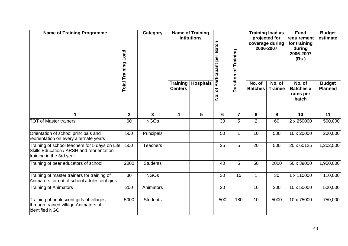| <b>Name of Training Programme</b>                                                                                              | <b>Category</b><br>Load<br><b>Total Training</b> |                 |                                   | <b>Name of Training</b><br><b>Intitutions</b> | Batch<br>Participant per | Duration of Training | <b>Training load as</b>  | <b>Fund</b><br>projected for<br>requirement<br>coverage during<br>for training<br>2006-2007<br>during<br>2006-2007<br>(Rs.) |                                                  | <b>Budget</b><br>estimate       |
|--------------------------------------------------------------------------------------------------------------------------------|--------------------------------------------------|-----------------|-----------------------------------|-----------------------------------------------|--------------------------|----------------------|--------------------------|-----------------------------------------------------------------------------------------------------------------------------|--------------------------------------------------|---------------------------------|
|                                                                                                                                |                                                  |                 | <b>Training</b><br><b>Centers</b> | <b>Hospitals</b>                              | Ⴆ<br>$\dot{\mathbf{z}}$  |                      | No. of<br><b>Batches</b> | No. of<br><b>Trainee</b>                                                                                                    | No. of<br><b>Batches x</b><br>rates per<br>batch | <b>Budget</b><br><b>Planned</b> |
| 1                                                                                                                              | $\mathbf{2}$                                     | 3               | 4                                 | 5                                             | 6                        | $\overline{7}$       | 8                        | 9                                                                                                                           | 10                                               | 11                              |
| <b>TOT of Master trainers</b>                                                                                                  | 60                                               | <b>NGOs</b>     |                                   |                                               | 30                       | 5                    | $\overline{2}$           | 60                                                                                                                          | 2 x 250000                                       | 500,000                         |
| Orientation of school principals and<br>reorientation on every alternate years                                                 | 500                                              | Principals      |                                   |                                               | 50                       | $\mathbf{1}$         | 10                       | 500                                                                                                                         | 10 x 20000                                       | 200,000                         |
| Training of school teachers for 5 days on Life<br><b>Skills Education / ARSH and reorientation</b><br>training in the 3rd year | 500                                              | <b>Teachers</b> |                                   |                                               | 25                       | 5                    | 20                       | 500                                                                                                                         | 20 x 60125                                       | 1,202,500                       |
| Training of peer educators of school                                                                                           | 2000                                             | <b>Students</b> |                                   |                                               | 40                       | 5                    | 50                       | 2000                                                                                                                        | 50 x 39000                                       | 1,950,000                       |
| Training of master trainers for training of<br>Animators for out of school adolescent girls                                    | 30                                               | <b>NGOs</b>     |                                   |                                               | 30                       | 15                   | $\mathbf{1}$             | 30                                                                                                                          | 1 x 110000                                       | 110,000                         |
| Training of Animators                                                                                                          | 200                                              | Animators       |                                   |                                               | 20                       |                      | 10                       | 200                                                                                                                         | 10 x 50000                                       | 500,000                         |
| Training of adolescent girls of villages<br>through trained village Animators of<br>identified NGO                             | 5000                                             | <b>Students</b> |                                   |                                               | 500                      | 180                  | 10                       | 5000                                                                                                                        | 10 x 75000                                       | 750,000                         |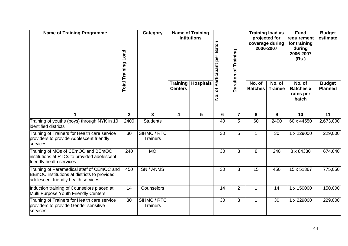| <b>Name of Training Programme</b>                                                                                                | Load<br><b>Total Training</b> | <b>Category</b>                |                                   | <b>Name of Training</b><br><b>Intitutions</b> | Batch<br>Participant per | Training       | coverage during          | <b>Training load as</b><br>projected for<br>2006-2007 | <b>Fund</b><br>requirement<br>for training<br>during<br>2006-2007<br>(Rs.) | <b>Budget</b><br>estimate       |
|----------------------------------------------------------------------------------------------------------------------------------|-------------------------------|--------------------------------|-----------------------------------|-----------------------------------------------|--------------------------|----------------|--------------------------|-------------------------------------------------------|----------------------------------------------------------------------------|---------------------------------|
|                                                                                                                                  |                               |                                | <b>Training</b><br><b>Centers</b> | <b>Hospitals</b>                              | Ⴆ<br>$\dot{\mathsf{z}}$  | Duration of    | No. of<br><b>Batches</b> | No. of<br><b>Trainee</b>                              | No. of<br><b>Batches x</b><br>rates per<br>batch                           | <b>Budget</b><br><b>Planned</b> |
| 1                                                                                                                                | $\mathbf{2}$                  | 3                              | $\overline{\mathbf{4}}$           | 5 <sup>5</sup>                                | 6                        | $\overline{7}$ | 8                        | 9                                                     | 10                                                                         | 11                              |
| Training of youths (boys) through NYK in 10<br>identified districts                                                              | 2400                          | <b>Students</b>                |                                   |                                               | 40                       | 5              | 60                       | 2400                                                  | 60 x 44550                                                                 | 2,673,000                       |
| Training of Trainers for Health care service<br>providers to provide Adolescent friendly<br>services                             | 30                            | SIHMC / RTC<br><b>Trainers</b> |                                   |                                               | 30                       | 5              | $\mathbf{1}$             | 30                                                    | 1 x 229000                                                                 | 229,000                         |
| Training of MOs of CEmOC and BEmOC<br>institutions at RTCs to provided adolescent<br>friendly health services                    | 240                           | <b>MO</b>                      |                                   |                                               | 30                       | 3              | 8                        | 240                                                   | 8 x 84330                                                                  | 674,640                         |
| Training of Paramedical staff of CEmOC and<br>BEmOC institutions at districts to provided<br>adolescent friendly health services | 450                           | SN / ANMS                      |                                   |                                               | 30                       | 3              | 15                       | 450                                                   | 15 x 51367                                                                 | 775,050                         |
| Induction training of Counselors placed at<br>Multi Purpose Youth Friendly Centers                                               | 14                            | Counselors                     |                                   |                                               | 14                       | $\overline{2}$ | $\mathbf{1}$             | 14                                                    | 1 x 150000                                                                 | 150,000                         |
| Training of Trainers for Health care service<br>providers to provide Gender sensitive<br>services                                | 30                            | SIHMC / RTC<br><b>Trainers</b> |                                   |                                               | 30                       | 3              | $\mathbf{1}$             | 30                                                    | 1 x 229000                                                                 | 229,000                         |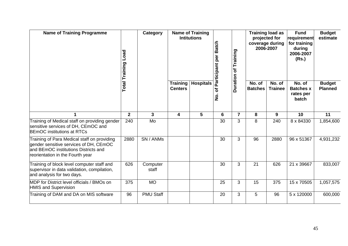| <b>Name of Training Programme</b>                                                                                                                                 | Load<br><b>Total Training</b> | <b>Category</b>   | <b>Training load as</b><br><b>Name of Training</b><br><b>Intitutions</b><br>projected for<br><b>Batch</b><br>coverage during<br>2006-2007<br>Training<br>Participant per |                  |                         | <b>Fund</b><br>requirement<br>for training<br>during<br>2006-2007<br>(Rs.) | <b>Budget</b><br>estimate |                          |                                                  |                                 |
|-------------------------------------------------------------------------------------------------------------------------------------------------------------------|-------------------------------|-------------------|--------------------------------------------------------------------------------------------------------------------------------------------------------------------------|------------------|-------------------------|----------------------------------------------------------------------------|---------------------------|--------------------------|--------------------------------------------------|---------------------------------|
|                                                                                                                                                                   |                               |                   | <b>Training</b><br><b>Centers</b>                                                                                                                                        | <b>Hospitals</b> | Ⴆ<br>$\dot{\mathbf{z}}$ | Duration of                                                                | No. of<br><b>Batches</b>  | No. of<br><b>Trainee</b> | No. of<br><b>Batches x</b><br>rates per<br>batch | <b>Budget</b><br><b>Planned</b> |
|                                                                                                                                                                   | $\overline{2}$                | $\mathbf{3}$      | $\overline{\mathbf{4}}$                                                                                                                                                  | 5                | $6\phantom{1}$          | $\overline{7}$                                                             | 8                         | 9                        | 10                                               | 11                              |
| Training of Medical staff on providing gender<br>sensitive services of DH, CEmOC and<br><b>BEmOC</b> institutions at RTCs                                         | 240                           | Mo                |                                                                                                                                                                          |                  | 30                      | 3                                                                          | 8                         | 240                      | 8 x 84330                                        | 1,854,600                       |
| Training of Para Medical staff on providing<br>gender sensitive services of DH, CEmOC<br>and BEmOC institutions Districts and<br>reorientation in the Fourth year | 2880                          | SN / ANMs         |                                                                                                                                                                          |                  | 30                      | 3                                                                          | 96                        | 2880                     | 96 x 51367                                       | 4,931,232                       |
| Training of block level computer staff and<br>supervisor in data validation, compilation,<br>and analysis for two days.                                           | 626                           | Computer<br>staff |                                                                                                                                                                          |                  | 30                      | 3                                                                          | 21                        | 626                      | 21 x 39667                                       | 833,007                         |
| MDP for District level officials / BMOs on<br><b>HMIS and Supervision</b>                                                                                         | 375                           | <b>MO</b>         |                                                                                                                                                                          |                  | 25                      | 3                                                                          | 15                        | 375                      | 15 x 70505                                       | 1,057,575                       |
| Training of DAM and DA on MIS software                                                                                                                            | 96                            | <b>PMU Staff</b>  |                                                                                                                                                                          |                  | 20                      | 3                                                                          | 5                         | 96                       | 5 x 120000                                       | 600,000                         |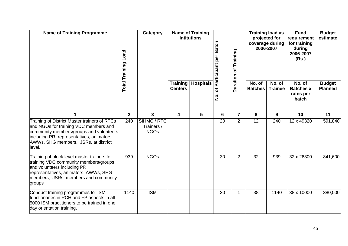| <b>Name of Training Programme</b>                                                                                                                                                                                               | <b>Load</b><br><b>Total Training</b> | Category                                 |                                   | <b>Name of Training</b><br><b>Intitutions</b> | <b>Batch</b><br>Participant per                     | <b>Duration of Training</b> |                                                  | <b>Training load as</b><br>projected for<br>coverage during<br>2006-2007 | <b>Fund</b><br>requirement<br>for training<br>during<br>2006-2007<br>(Rs.) | <b>Budget</b><br>estimate |
|---------------------------------------------------------------------------------------------------------------------------------------------------------------------------------------------------------------------------------|--------------------------------------|------------------------------------------|-----------------------------------|-----------------------------------------------|-----------------------------------------------------|-----------------------------|--------------------------------------------------|--------------------------------------------------------------------------|----------------------------------------------------------------------------|---------------------------|
|                                                                                                                                                                                                                                 |                                      |                                          | <b>Training</b><br><b>Centers</b> | <b>Hospitals</b>                              | No. of<br><b>Batches</b><br>Ⴆ<br>$\dot{\mathbf{z}}$ | No. of<br><b>Trainee</b>    | No. of<br><b>Batches x</b><br>rates per<br>batch | <b>Budget</b><br><b>Planned</b>                                          |                                                                            |                           |
| $\blacktriangleleft$                                                                                                                                                                                                            | $\mathbf{2}$                         | 3                                        | 4                                 | 5                                             | $6\phantom{1}$                                      | $\overline{\mathbf{7}}$     | 8                                                | 9                                                                        | 10                                                                         | 11                        |
| Training of District Master trainers of RTCs<br>and NGOs for training VDC members and<br>community members/groups and volunteers<br>including PRI representatives, animators,<br>AWWs, SHG members, JSRs, at district<br>level. | 240                                  | SIHMC / RTC<br>Trainers /<br><b>NGOs</b> |                                   |                                               | 20                                                  | $\overline{2}$              | 12                                               | 240                                                                      | 12 x 49320                                                                 | 591,840                   |
| Training of block level master trainers for<br>training VDC community members/groups<br>and volunteers including PRI<br>representatives, animators, AWWs, SHG<br>members, JSRs, members and community<br>groups                 | 939                                  | <b>NGOs</b>                              |                                   |                                               | 30                                                  | $\overline{2}$              | 32                                               | 939                                                                      | 32 x 26300                                                                 | 841,600                   |
| Conduct training programmes for ISM<br>functionaries in RCH and FP aspects in all<br>5000 ISM practitioners to be trained in one<br>day orientation training.                                                                   | 1140                                 | <b>ISM</b>                               |                                   |                                               | 30                                                  | 1                           | 38                                               | 1140                                                                     | 38 x 10000                                                                 | 380,000                   |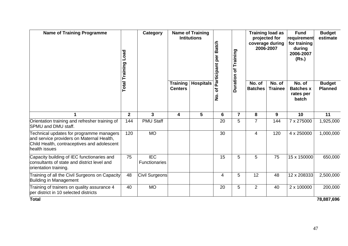| <b>Name of Training Programme</b>                                                                                                                     | Category<br>Load<br><b>Total Training</b> |                             |                            | <b>Name of Training</b><br><b>Intitutions</b> | Batch<br>Participant per | Training<br>$\mathbf{\tilde{o}}$ | coverage during          | <b>Training load as</b><br>projected for<br>2006-2007 | <b>Fund</b><br>requirement<br>for training<br>during<br>2006-2007<br>(Rs.) | <b>Budget</b><br>estimate       |
|-------------------------------------------------------------------------------------------------------------------------------------------------------|-------------------------------------------|-----------------------------|----------------------------|-----------------------------------------------|--------------------------|----------------------------------|--------------------------|-------------------------------------------------------|----------------------------------------------------------------------------|---------------------------------|
|                                                                                                                                                       |                                           |                             | Training<br><b>Centers</b> | <b>Hospitals</b>                              | ৳<br>$\dot{\mathbf{z}}$  | <b>Duration</b>                  | No. of<br><b>Batches</b> | No. of<br><b>Trainee</b>                              | No. of<br><b>Batches x</b><br>rates per<br>batch                           | <b>Budget</b><br><b>Planned</b> |
|                                                                                                                                                       | $\mathbf{2}$                              | 3                           | 4                          | 5                                             | $6\phantom{1}$           | $\overline{7}$                   | 8                        | 9                                                     | 10                                                                         | 11                              |
| Orientation training and refresher training of<br>SPMU and DMU staff.                                                                                 | 144                                       | <b>PMU Staff</b>            |                            |                                               | 20                       | 5                                | $\overline{7}$           | 144                                                   | 7 x 275000                                                                 | 1,925,000                       |
| Technical updates for programme managers<br>and service providers on Maternal Health,<br>Child Health, contraceptives and adolescent<br>health issues | 120                                       | <b>MO</b>                   |                            |                                               | 30                       |                                  | $\overline{4}$           | 120                                                   | 4 x 250000                                                                 | 1,000,000                       |
| Capacity building of IEC functionaries and<br>consultants of state and district level and<br>orientation training.                                    | 75                                        | <b>IEC</b><br>Functionaries |                            |                                               | 15                       | 5                                | 5                        | 75                                                    | 15 x 150000                                                                | 650,000                         |
| Training of all the Civil Surgeons on Capacity<br>Building in Management                                                                              | 48                                        | Civil Surgeons              |                            |                                               | 4                        | 5                                | 12                       | 48                                                    | 12 x 208333                                                                | 2,500,000                       |
| Training of trainers on quality assurance 4<br>per district in 10 selected districts                                                                  | 40                                        | <b>MO</b>                   |                            |                                               | 20                       | 5                                | $\overline{2}$           | 40                                                    | 2 x 100000                                                                 | 200,000                         |
| <b>Total</b>                                                                                                                                          |                                           |                             |                            |                                               |                          |                                  |                          |                                                       |                                                                            | 78,887,696                      |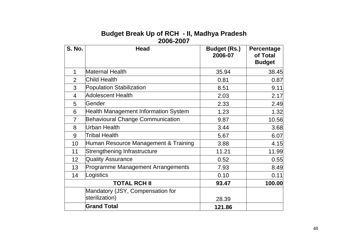| <b>S. No.</b>  | <b>Head</b>                                        | <b>Budget (Rs.)</b><br>2006-07 | Percentage<br>of Total<br><b>Budget</b> |
|----------------|----------------------------------------------------|--------------------------------|-----------------------------------------|
| $\mathbf 1$    | <b>Maternal Health</b>                             | 35.94                          | 38.45                                   |
| $\overline{2}$ | Child Health                                       | 0.81                           | 0.87                                    |
| 3              | <b>Population Stabilization</b>                    | 8.51                           | 9.11                                    |
| $\overline{4}$ | <b>Adolescent Health</b>                           | 2.03                           | 2.17                                    |
| 5              | Gender                                             | 2.33                           | 2.49                                    |
| 6              | Health Management Information System               | 1.23                           | 1.32                                    |
| $\overline{7}$ | <b>Behavioural Change Communication</b>            | 9.87                           | 10.56                                   |
| 8              | Urban Health                                       | 3.44                           | 3.68                                    |
| 9              | <b>Tribal Health</b>                               | 5.67                           | 6.07                                    |
| 10             | Human Resource Management & Training               | 3.88                           | 4.15                                    |
| 11             | Strengthening Infrastructure                       | 11.21                          | 11.99                                   |
| 12             | <b>Quality Assurance</b>                           | 0.52                           | 0.55                                    |
| 13             | Programme Management Arrangements                  | 7.93                           | 8.49                                    |
| 14             | Logistics                                          | 0.10                           | 0.11                                    |
|                | <b>TOTAL RCH II</b>                                | 93.47                          | 100.00                                  |
|                | Mandatory (JSY, Compensation for<br>sterilization) | 28.39                          |                                         |
|                | <b>Grand Total</b>                                 | 121.86                         |                                         |

# **Budget Break Up of RCH - II, Madhya Pradesh 2006-2007**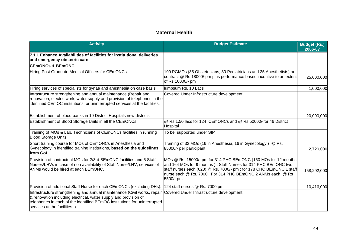## **Maternal Health**

| <b>Activity</b>                                                                                                                                                                                                                                                                                    | <b>Budget Estimate</b>                                                                                                                                                                                                                                                              | <b>Budget (Rs.)</b><br>2006-07 |
|----------------------------------------------------------------------------------------------------------------------------------------------------------------------------------------------------------------------------------------------------------------------------------------------------|-------------------------------------------------------------------------------------------------------------------------------------------------------------------------------------------------------------------------------------------------------------------------------------|--------------------------------|
| 7.1.1 Enhance Availabilities of facilities for institutional deliveries<br>and emergency obstetric care                                                                                                                                                                                            |                                                                                                                                                                                                                                                                                     |                                |
| <b>CEMONCs &amp; BEMONC</b>                                                                                                                                                                                                                                                                        |                                                                                                                                                                                                                                                                                     |                                |
| Hiring Post Graduate Medical Officers for CEmONCs                                                                                                                                                                                                                                                  | 100 PGMOs (35 Obstetricians, 30 Pediatricians and 35 Anesthetists) on<br>contract @ Rs 18000/-pm plus performance based incentive to an extent<br>of Rs 10000/- pm                                                                                                                  | 25,000,000                     |
| Hiring services of specialists for gynae and anesthesia on case basis                                                                                                                                                                                                                              | lumpsum Rs. 10 Lacs                                                                                                                                                                                                                                                                 | 1,000,000                      |
| Infrastructure strengthening and annual maintenance (Repair and<br>renovation, electric work, water supply and provision of telephones in the<br>identified CEmOC institutions for uninterrupted services at the facilities.                                                                       | Covered Under Infrastructure development                                                                                                                                                                                                                                            |                                |
| Establishment of blood banks in 10 District Hospitals new districts.                                                                                                                                                                                                                               |                                                                                                                                                                                                                                                                                     | 20,000,000                     |
| Establishment of Blood Storage Units in all the CEmONCs                                                                                                                                                                                                                                            | @ Rs.1.50 lacs for 124 CEmONCs and @ Rs.50000/-for 46 District<br>Hospital                                                                                                                                                                                                          |                                |
| Training of MOs & Lab. Technicians of CEmONCs facilities in running<br><b>Blood Storage Units.</b>                                                                                                                                                                                                 | To be supported under SIP                                                                                                                                                                                                                                                           |                                |
| Short training course for MOs of CEmONCs in Anesthesia and<br>Gynecology in identified training institutions, based on the guidelines<br>from Gol.                                                                                                                                                 | Training of 32 MOs (16 in Anesthesia, 16 in Gynecology) @ Rs.<br>85000/- per participant                                                                                                                                                                                            | 2,720,000                      |
| Provision of contractual MOs for 2/3rd BEmONC facilities and 5 Staff<br>Nurses/LHVs in case of non availability of Staff Nurse/LHV, services of<br>ANMs would be hired at each BEmONC.                                                                                                             | MOs @ Rs. 15000/- pm for 314 PHC BEmONC (150 MOs for 12 months<br>and 164 MOs for 9 months); Staff Nurses for 314 PHC BEmONC two<br>staff nurses each (628) @ Rs. 7000/- pm; for 178 CHC BEmONC 1 staff<br>nurse each @ Rs. 7000. For 314 PHC BEmONC 2 ANMs each @ Rs<br>5500/- pm. | 158,292,000                    |
| Provision of additional Staff Nurse for each CEmONCs (excluding DHs).                                                                                                                                                                                                                              | 124 staff nurses @ Rs. 7000 pm                                                                                                                                                                                                                                                      | 10,416,000                     |
| Infrastructure strengthening and annual maintenance (Civil works, repair Covered Under Infrastructure development<br>& renovation including electrical, water supply and provision of<br>telephones in each of the identified BEmOC institutions for uninterrupted<br>services at the facilities.) |                                                                                                                                                                                                                                                                                     |                                |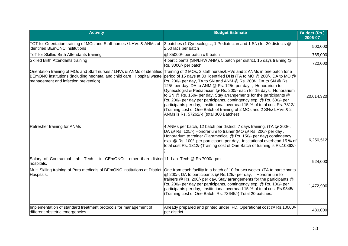| <b>Activity</b>                                                                                                                                                                                                                                                 | <b>Budget Estimate</b>                                                                                                                                                                                                                                                                                                                                                                                                                                                                                                                                                                                                          | <b>Budget (Rs.)</b><br>2006-07 |
|-----------------------------------------------------------------------------------------------------------------------------------------------------------------------------------------------------------------------------------------------------------------|---------------------------------------------------------------------------------------------------------------------------------------------------------------------------------------------------------------------------------------------------------------------------------------------------------------------------------------------------------------------------------------------------------------------------------------------------------------------------------------------------------------------------------------------------------------------------------------------------------------------------------|--------------------------------|
| TOT for Orientation training of MOs and Staff nurses / LHVs & ANMs of<br>identified BEmONC institutions                                                                                                                                                         | 2 batches (1 Gynecologist, 1 Pediatrician and 1 SN) for 20 districts @<br>2.50 lacs per batch                                                                                                                                                                                                                                                                                                                                                                                                                                                                                                                                   | 500,000                        |
| ToT for Skilled Birth Attendants training                                                                                                                                                                                                                       | @ 85000/- per batch x 9 batch                                                                                                                                                                                                                                                                                                                                                                                                                                                                                                                                                                                                   | 765,000                        |
| Skilled Birth Attendants training                                                                                                                                                                                                                               | 4 participants (SN/LHV/ ANM), 5 batch per district, 15 days training @<br>Rs. 3000/- per batch.                                                                                                                                                                                                                                                                                                                                                                                                                                                                                                                                 | 720,000                        |
| Orientation training of MOs and Staff nurses / LHVs & ANMs of identified Training of 2 MOs, 2 staff nurses/LHVs and 2 ANMs in one batch for a<br>BEmONC institutions (including neonatal and child care, Hospital waste<br>management and infection prevention) | period of 15 days at 30 identified DHs (TA to MO @ 200/-, DA to MO @<br>Rs. 200/- per day, TA to SN and ANM @ Rs. 200/-, DA to SN @ Rs.<br>125/- per day, DA to ANM @ Rs. 125/- per day, Honorarium to<br>Gynecologist & Pediatrician @ Rs. 200/- each for 15 days, Honorarium<br>to SN @ Rs. 150/- per day, Stay arrangements for the participants @<br>Rs. 200/- per day per participants, contingency exp. @ Rs. 600/- per<br>participants per day, Institutional overhead 15 % of total cost Rs. 7312/-<br>(Training cost of One Batch of training of 2 MOs and 2 SNs/ LHVs & 2<br>ANMs is Rs. 57262/-) (total 360 Batches) | 20,614,320                     |
| Refresher training for ANMs                                                                                                                                                                                                                                     | 4 ANMs per batch, 12 batch per district, 7 days training, (TA @ 200/-,<br>DA @ Rs. 125/-) Honorarium to trainer (MO @ Rs. 200/- per day,<br>Honorarium to trainer (Paramedical @ Rs. 150/- per day) contingency<br>exp. @ Rs. 100/- per participant, per day, Institutional overhead 15 % of<br>total cost Rs. 1312/-(Training cost of One Batch of training is Rs.10862/-                                                                                                                                                                                                                                                      | 6,256,512                      |
| Salary of Contractual Lab. Tech. in CEmONCs, other than district <sup>11</sup> Lab. Tech.@ Rs 7000/- pm<br>hospitals.                                                                                                                                           |                                                                                                                                                                                                                                                                                                                                                                                                                                                                                                                                                                                                                                 | 924,000                        |
| Multi Skiling training of Para medicals of BEmONC institutions at District<br>Hospitals.                                                                                                                                                                        | One from each facility in a batch of 10 for two weeks. (TA to participants<br>@ 200/-, DA to participants @ Rs.125/- per day, Honorarium to<br>trainers @ Rs. 200/- per day, Stay arrangements for the participants @<br>Rs. 200/- per day per participants, contingency exp. @ Rs. 100/- per<br>participants per day, Institutional overhead 15 % of total cost Rs.9345/-<br>(Training cost of One Batch Rs. 73645/-) Total 20 batches.                                                                                                                                                                                        | 1,472,900                      |
| Implementation of standard treatment protocols for management of<br>different obstetric emergencies                                                                                                                                                             | Already prepared and printed under IPD. Operational cost @ Rs.10000/-<br>per district.                                                                                                                                                                                                                                                                                                                                                                                                                                                                                                                                          | 480,000                        |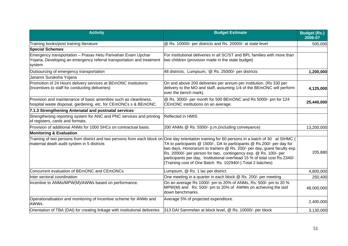| <b>Activity</b>                                                                                                                                 | <b>Budget Estimate</b>                                                                                                                                                                                                                                                                                                                                                                                                                                                                                                | <b>Budget (Rs.)</b><br>2006-07 |
|-------------------------------------------------------------------------------------------------------------------------------------------------|-----------------------------------------------------------------------------------------------------------------------------------------------------------------------------------------------------------------------------------------------------------------------------------------------------------------------------------------------------------------------------------------------------------------------------------------------------------------------------------------------------------------------|--------------------------------|
| Training books/post training literature                                                                                                         | @ Rs. 10000/- per districts and Rs. 20000/- at state level                                                                                                                                                                                                                                                                                                                                                                                                                                                            | 500,000                        |
| <b>Special Schemes</b>                                                                                                                          |                                                                                                                                                                                                                                                                                                                                                                                                                                                                                                                       |                                |
| Emergency transportation - Prasav Hetu Parivahan Evam Upchar<br>Yojana, Developing an emergency referral transportation and treatment<br>system | For institutional deliveries in all SC/ST and BPL families with more than<br>two children (provision made in the state budget)                                                                                                                                                                                                                                                                                                                                                                                        |                                |
| Outsourcing of emergency transportation                                                                                                         | 48 districts, Lumpsum, '@ Rs. 25000/- per districts                                                                                                                                                                                                                                                                                                                                                                                                                                                                   | 1,200,000                      |
| Jananni Suraksha Yojana                                                                                                                         |                                                                                                                                                                                                                                                                                                                                                                                                                                                                                                                       |                                |
| Promotion of 24 Hours delivery services at BEmONC Institutions<br>(Incentives to staff for conducting deliveries)                               | On and above 200 deliveries per annum per institution. (Rs 330 per<br>delivery to the MO and staff, assuming 1/4 of the BEmONC will perform<br>over the bench mark).                                                                                                                                                                                                                                                                                                                                                  | 4,125,000                      |
| Provision and maintenance of basic amenities such as cleanliness,<br>hospital waste disposal, gardening, etc. for CEmONCs s & BEmONC.           | @ Rs. 3000/- per month for 500 BEmONC and Rs 5000/- pm for 124<br>CEmONC institutions on an average.                                                                                                                                                                                                                                                                                                                                                                                                                  | 25,440,000                     |
| 7.1.3 Strengthening Antenatal and postnatal services                                                                                            |                                                                                                                                                                                                                                                                                                                                                                                                                                                                                                                       |                                |
| Strengthening reporting system for ANC and PNC services and printing<br>of registers, cards and formats.                                        | Reflected in HMIS                                                                                                                                                                                                                                                                                                                                                                                                                                                                                                     |                                |
| Provision of additional ANMs for 1000 SHCs on contractual basis.                                                                                | 200 ANMs @ Rs. 5500/- p.m.(including conveyance)                                                                                                                                                                                                                                                                                                                                                                                                                                                                      | 13,200,000                     |
| <b>Monitoring &amp; Evaluation</b>                                                                                                              |                                                                                                                                                                                                                                                                                                                                                                                                                                                                                                                       |                                |
| maternal death audit system in 5 districts                                                                                                      | Training of two persons from district and two persons from each block on One day orientation training for 60 persons in a batch of 30 at SIHMC (<br>TA to participants @ 1500/-, DA to participants @ Rs.200/- per day for<br>two days, Honorarium to trainers @ Rs. 200/- per day, guest faculty exp.<br>Rs. 20000/- per person for two, contingency exp. @ Rs. 100/- per<br>participants per day, Institutional overhead 15 % of total cost Rs.2340/-<br>(Training cost of One Batch Rs. 102940/-) Total 2 batches) | 205,880                        |
| Concurrent evaluation of BEmONC and CEmONCs                                                                                                     | Lumpsum, @ Rs. 1 lac per district.                                                                                                                                                                                                                                                                                                                                                                                                                                                                                    | 4,800,000                      |
| Inter sectoral coordination                                                                                                                     | One meeting in a quarter in each block @ Rs. 200/- per meeting                                                                                                                                                                                                                                                                                                                                                                                                                                                        | 250,400                        |
| Incentive to ANMs/MPW(M)/AWWs based on performance.                                                                                             | On an average Rs 1000/- pm to 20% of ANMs, Rs. 500/- pm to 20 %<br>MPW(M) and Rs. 500/- pm to 20% of AWWs on achieving the laid<br>down benchmarks.                                                                                                                                                                                                                                                                                                                                                                   | 48,000,000                     |
| Operationalisation and monitoring of Incentive scheme for ANMs and<br>AWWs.                                                                     | Average 5% of projected expenditure.                                                                                                                                                                                                                                                                                                                                                                                                                                                                                  | 2,400,000                      |
| Orientation of TBA (DAI) for creating linkage with institutional deliveries                                                                     | 313 DAI Sammelan at block level, @ Rs. 10000/- per block                                                                                                                                                                                                                                                                                                                                                                                                                                                              | 3,130,000                      |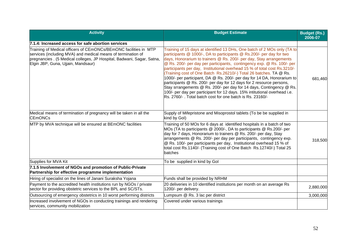| <b>Activity</b>                                                                                                                                                                                                                                  | <b>Budget Estimate</b>                                                                                                                                                                                                                                                                                                                                                                                                                                                                                                                                                                                                                                                                                                                                                                                                    | <b>Budget (Rs.)</b><br>2006-07 |
|--------------------------------------------------------------------------------------------------------------------------------------------------------------------------------------------------------------------------------------------------|---------------------------------------------------------------------------------------------------------------------------------------------------------------------------------------------------------------------------------------------------------------------------------------------------------------------------------------------------------------------------------------------------------------------------------------------------------------------------------------------------------------------------------------------------------------------------------------------------------------------------------------------------------------------------------------------------------------------------------------------------------------------------------------------------------------------------|--------------------------------|
| 7.1.4: Increased access for safe abortion services                                                                                                                                                                                               |                                                                                                                                                                                                                                                                                                                                                                                                                                                                                                                                                                                                                                                                                                                                                                                                                           |                                |
| Training of Medical officers of CEmONCs/BEmONC facilities in MTP<br>services (including MVA) and medical means of termination of<br>pregnancies . (5 Medical colleges, JP Hospital, Badwani, Sagar, Satna,<br>Elgin JBP, Guna, Ujjain, Mandsaur) | Training of 15 days at identified 13 DHs, One batch of 2 MOs only (TA to<br>participants @ 1000/-, DA to participants @ Rs.200/- per day for two<br>days, Honorarium to trainers @ Rs. 200/- per day, Stay arrangements<br>@ Rs. 200/- per day per participants, contingency exp. @ Rs. 100/- per<br>participants per day, Institutional overhead 15 % of total cost Rs.3210/-<br>(Training cost of One Batch Rs.26210/-) Total 26 batches. TA @ Rs.<br>1000/- per participant, DA @ Rs. 200/- per day for 14 DA, Honorarium to<br>participants @ Rs. 200/- per day for 12 days for 2 resource persons,<br>Stay srrangements @ Rs. 200/- per day for 14 days, Contingency @ Rs.<br>100/- per day per participant for 12 days. 15% intitutional overhead i.e.<br>Rs. 2760/-. Total batch cost for one batch is Rs. 23160/- | 681,460                        |
| Medical means of termination of pregnancy will be taken in all the<br><b>CEmONCs</b>                                                                                                                                                             | Supply of Mifepristone and Misoprostol tablets (To be be supplied in<br>kind by Gol)                                                                                                                                                                                                                                                                                                                                                                                                                                                                                                                                                                                                                                                                                                                                      |                                |
| MTP by MVA technique will be ensured at BEmONC facilities                                                                                                                                                                                        | Training of 50 MOs for 6 days at identified hospitals in a batch of two<br>MOs (TA to participants @ 2000/-, DA to participants @ Rs.200/- per<br>day for 7 days, Honorarium to trainers @ Rs. 200/- per day, Stay<br>arrangements @ Rs. 200/- per day per participants, contingency exp.<br>@ Rs. 100/- per participants per day, Institutional overhead 15 % of<br>total cost Rs.1140/- (Training cost of One Batch Rs.12740/-) Total 25<br>batches                                                                                                                                                                                                                                                                                                                                                                     | 318,500                        |
| Supplies for MVA Kit                                                                                                                                                                                                                             | To be supplied in kind by Gol                                                                                                                                                                                                                                                                                                                                                                                                                                                                                                                                                                                                                                                                                                                                                                                             |                                |
| 7.1.5 Involvement of NGOs and promotion of Public-Private<br>Partnership for effective programme implementation                                                                                                                                  |                                                                                                                                                                                                                                                                                                                                                                                                                                                                                                                                                                                                                                                                                                                                                                                                                           |                                |
| Hiring of specialist on the lines of Janani Suraksha Yojana                                                                                                                                                                                      | Funds shall be provided by NRHM                                                                                                                                                                                                                                                                                                                                                                                                                                                                                                                                                                                                                                                                                                                                                                                           |                                |
| Payment to the accredited health institutions run by NGOs / private<br>sector for providing obstetric services to the BPL and SC/STs.                                                                                                            | 20 deliveries in 10 identified institutions per month on an average Rs<br>1200/- per delivery.                                                                                                                                                                                                                                                                                                                                                                                                                                                                                                                                                                                                                                                                                                                            | 2,880,000                      |
| Outsourcing of emergency obstetrics in 10 worst performing districts                                                                                                                                                                             | Lumpsum @ Rs. 3 lac per district                                                                                                                                                                                                                                                                                                                                                                                                                                                                                                                                                                                                                                                                                                                                                                                          | 3,000,000                      |
| Increased involvement of NGOs in conducting trainings and rendering<br>services, community mobilization                                                                                                                                          | Covered under various trainings                                                                                                                                                                                                                                                                                                                                                                                                                                                                                                                                                                                                                                                                                                                                                                                           |                                |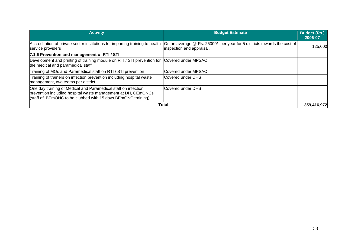| <b>Activity</b>                                                                                                                                                                                 | <b>Budget Estimate</b>                                                                                | <b>Budget (Rs.)</b><br>2006-07 |
|-------------------------------------------------------------------------------------------------------------------------------------------------------------------------------------------------|-------------------------------------------------------------------------------------------------------|--------------------------------|
| Accreditation of private sector institutions for imparting training to health<br>service providers                                                                                              | On an average @ Rs. 25000/- per year for 5 districts towards the cost of<br>inspection and appraisal. | 125,000                        |
| 7.1.6 Prevention and management of RTI / STI                                                                                                                                                    |                                                                                                       |                                |
| Development and printing of training module on RTI / STI prevention for Covered under MPSAC<br>the medical and paramedical staff                                                                |                                                                                                       |                                |
| Training of MOs and Paramedical staff on RTI / STI prevention                                                                                                                                   | Covered under MPSAC                                                                                   |                                |
| Training of trainers on infection prevention including hospital waste<br>management, two teams per district                                                                                     | Covered under DHS                                                                                     |                                |
| One day training of Medical and Paramedical staff on infection<br>prevention including hospital waste management at DH, CEmONCs<br>(staff of BEmONC to be clubbed with 15 days BEmONC training) | Covered under DHS                                                                                     |                                |
|                                                                                                                                                                                                 | Total                                                                                                 | 359,416,972                    |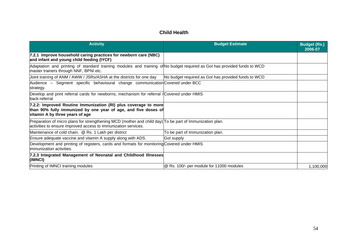## **Child Health**

| <b>Activity</b>                                                                                                                                                            | <b>Budget Estimate</b>                              | <b>Budget (Rs.)</b><br>2006-07 |
|----------------------------------------------------------------------------------------------------------------------------------------------------------------------------|-----------------------------------------------------|--------------------------------|
| 7.2.1 Improve household caring practices for newborn care (NBC)<br>and infant and young child feeding (IYCF)                                                               |                                                     |                                |
| Adaptation and printing of standard training modules and training of No budget required as Gol has provided funds to WCD<br>master trainers through NNF, BPNI etc.         |                                                     |                                |
| Joint training of ANM / AWW / JSRs/ASHA at the districts for one day                                                                                                       | No budget required as Gol has provided funds to WCD |                                |
| Audience - Segment specific behavioural change communication Covered under BCC<br>strategy.                                                                                |                                                     |                                |
| Develop and print referral cards for newborns, mechanism for referral / Covered under HMIS<br>lback-referral                                                               |                                                     |                                |
| 7.2.2: Improved Routine Immunization (RI) plus coverage to more<br>than 90% fully immunized by one year of age, and five doses of<br>vitamin A by three years of age       |                                                     |                                |
| Preparation of micro plans for strengthening MCD (mother and child day) To be part of Immunization plan.<br>activities to ensure improved access to immunization services. |                                                     |                                |
| Maintenance of cold chain. @ Rs. 1 Lakh per district                                                                                                                       | To be part of Immunization plan.                    |                                |
| Ensure adequate vaccine and vitamin A supply along with ADS.                                                                                                               | Gol supply                                          |                                |
| Development and printing of registers, cards and formats for monitoring Covered under HMIS<br>limmunization activities.                                                    |                                                     |                                |
| 7.2.3 Integrated Management of Neonatal and Childhood Illnesses<br>(IMNCI)                                                                                                 |                                                     |                                |
| Printing of IMNCI training modules                                                                                                                                         | @ Rs. 100/- per module for 11000 modules            | 1,100,000                      |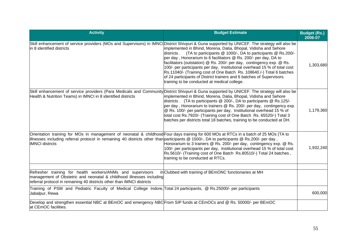| <b>Activity</b>                                                                                                                                                                                                                                                                                              | <b>Budget Estimate</b>                                                                                                                                                                                                                                                                                                                                                                                                                                                                                                                                                     | <b>Budget (Rs.)</b><br>2006-07 |
|--------------------------------------------------------------------------------------------------------------------------------------------------------------------------------------------------------------------------------------------------------------------------------------------------------------|----------------------------------------------------------------------------------------------------------------------------------------------------------------------------------------------------------------------------------------------------------------------------------------------------------------------------------------------------------------------------------------------------------------------------------------------------------------------------------------------------------------------------------------------------------------------------|--------------------------------|
| Skill enhancement of service providers (MOs and Supervisors) in IMNCIDistrict Shivpuri & Guna supported by UNICEF. The strategy will also be<br>lin 8 identified districts                                                                                                                                   | implemented in Bhind, Morena, Datia, Bhopal, Vidisha and Sehore<br>(TA to participants @ 1000/-, DA to participants @ Rs.200/-<br>ldistricts .<br>per day, Honorarium to 6 facilitators @ Rs. 200/- per day, DA to<br>facilitators (outstation) @ Rs. 200/- per day, contingency exp. @ Rs.<br>100/- per participants per day, Institutional overhead 15 % of total cost<br>Rs.11040/- (Training cost of One Batch Rs. 108640./-) Total 6 batches<br>of 24 participants of District trainers and 6 batches of Supervisors.<br>training to be conducted at medical college. | 1,303,680                      |
| Skill enhancement of service providers (Para Medicals and Community District Shivpuri & Guna supported by UNICEF. The strategy will also be<br>Health & Nutrition Teams) in IMNCI in 8 identified districts                                                                                                  | implemented in Bhind, Morena, Datia, Bhopal, Vidisha and Sehore<br>districts . (TA to participants @ 200/-, DA to participants @ Rs.125/-<br>per day, Honorarium to trainers @ Rs. 200/- per day, contingency exp.<br>@ Rs. 100/- per participants per day, Institutional overhead 15 % of<br>total cost Rs.7920/- (Training cost of One Batch Rs. 65520/-) Total 3<br>batches per districts total 18 batches, training to be conducted at DH.                                                                                                                             | 1,179,360                      |
| Orientation training for MOs in management of neonatal & childhood Four days training for 600 MOs at RTCs in a batch of 25 MOs (TA to<br>lillnesses including referral protocol in remaining 40 districts other than participants @ 1500/-, DA to participants @ Rs.200/- per day,<br><b>IMNCI</b> districts | Honorarium to 3 trainers @ Rs. 200/- per day, contingency exp. @ Rs.<br>100/- per participants per day, Institutional overhead 15 % of total cost<br>Rs.5610/- (Training cost of One Batch Rs.80510/-) Total 24 batches,<br>training to be conducted at RTCs.                                                                                                                                                                                                                                                                                                              | 1,932,240                      |
| Refresher training for health workers/ANMs and supervisors<br>management of Obstetric and neonatal & childhood illnesses including<br>referral protocol in remaining 40 districts other than IMNCI districts                                                                                                 | in Clubbed with training of BEmONC functionaries at MH                                                                                                                                                                                                                                                                                                                                                                                                                                                                                                                     |                                |
| Training of PSM and Pediatric Faculty of Medical College Indore, Total 24 participants, @ Rs.25000/- per participants<br>Jabalpur, Rewa                                                                                                                                                                      |                                                                                                                                                                                                                                                                                                                                                                                                                                                                                                                                                                            | 600,000                        |
| Develop and strengthen essential NBC at BEmOC and emergency NBC From SIP funds at CEmOCs and @ Rs. 50000/- per BEmOC<br>at CEmOC facilities.                                                                                                                                                                 |                                                                                                                                                                                                                                                                                                                                                                                                                                                                                                                                                                            |                                |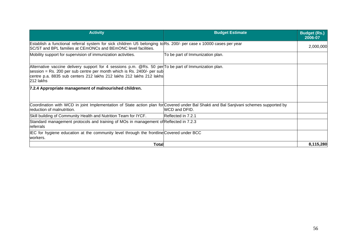| <b>Activity</b>                                                                                                                                                                                                                                                      | <b>Budget Estimate</b>           | <b>Budget (Rs.)</b><br>2006-07 |
|----------------------------------------------------------------------------------------------------------------------------------------------------------------------------------------------------------------------------------------------------------------------|----------------------------------|--------------------------------|
| Establish a functional referral system for sick children U5 belonging to Rs. 200/- per case x 10000 cases per year<br>SC/ST and BPL families at CEmONCs and BEmONC level facilities.                                                                                 |                                  | 2,000,000                      |
| Mobility support for supervision of immunization activities.                                                                                                                                                                                                         | To be part of Immunization plan. |                                |
| Alternative vaccine delivery support for 4 sessions p.m. @Rs. 50 per To be part of Immunization plan.<br>session = Rs. 200 per sub centre per month which is Rs. 2400/- per sub<br>centre p.a. 8835 sub centers 212 lakhs 212 lakhs 212 lakhs 212 lakhs<br>212 lakhs |                                  |                                |
| 7.2.4 Appropriate management of malnourished children.                                                                                                                                                                                                               |                                  |                                |
| Coordination with WCD in joint Implementation of State action plan for Covered under Bal Shakti and Bal Sanjivani schemes supported by<br>reduction of malnutrition.                                                                                                 | WCD and DFID.                    |                                |
| Skill building of Community Health and Nutrition Team for IYCF.                                                                                                                                                                                                      | Reflected in 7.2.1               |                                |
| Standard management protocols and training of MOs in management of Reflected in 7.2.3<br>lreferrals                                                                                                                                                                  |                                  |                                |
| IEC for hygiene education at the community level through the frontline Covered under BCC<br>lworkers.                                                                                                                                                                |                                  |                                |
| Total                                                                                                                                                                                                                                                                |                                  | 8,115,280                      |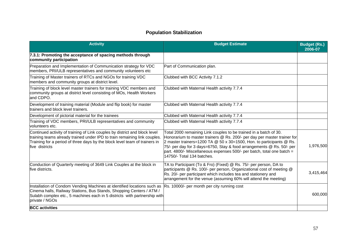## **Population Stabilization**

| <b>Activity</b>                                                                                                                                                                                                                                         | <b>Budget Estimate</b>                                                                                                                                                                                                                                                                                                                                                                                     | <b>Budget (Rs.)</b><br>2006-07 |
|---------------------------------------------------------------------------------------------------------------------------------------------------------------------------------------------------------------------------------------------------------|------------------------------------------------------------------------------------------------------------------------------------------------------------------------------------------------------------------------------------------------------------------------------------------------------------------------------------------------------------------------------------------------------------|--------------------------------|
| 7.3.1: Promoting the acceptance of spacing methods through<br>community participation                                                                                                                                                                   |                                                                                                                                                                                                                                                                                                                                                                                                            |                                |
| Preparation and Implementation of Communication strategy for VDC<br>members, PRI/ULB representatives and community volunteers etc                                                                                                                       | Part of Communication plan.                                                                                                                                                                                                                                                                                                                                                                                |                                |
| Training of Master trainers of RTCs and NGOs for training VDC<br>members and community groups at district level.                                                                                                                                        | Clubbed with BCC Activity 7.1.2                                                                                                                                                                                                                                                                                                                                                                            |                                |
| Training of block level master trainers for training VDC members and<br>community groups at district level consisting of MOs, Health Workers<br>and CDPO.                                                                                               | Clubbed with Maternal Health activity 7.7.4                                                                                                                                                                                                                                                                                                                                                                |                                |
| Development of training material (Module and flip book) for master<br>trainers and block level trainers.                                                                                                                                                | Clubbed with Maternal Health activity 7.7.4                                                                                                                                                                                                                                                                                                                                                                |                                |
| Development of pictorial material for the trainees                                                                                                                                                                                                      | Clubbed with Maternal Health activity 7.7.4                                                                                                                                                                                                                                                                                                                                                                |                                |
| Training of VDC members, PRI/ULB representatives and community<br>volunteers etc.                                                                                                                                                                       | Clubbed with Maternal Health activity 7.7.4                                                                                                                                                                                                                                                                                                                                                                |                                |
| Continued activity of training of Link couples by district and block level<br>training teams already trained under IPD to train remaining link couples.<br>Training for a period of three days by the block level team of trainers in<br>five districts | Total 2000 remaining Link couples to be trained in a batch of 30.<br>Honorarium to master trainers @ Rs. 200/- per day per master trainer for<br>2 master trainers=1200 TA $@$ 50 x 30=1500, Hon. to participants $@$ Rs.<br>75/- per day for 3 days=6750, Stay & food arrangements @ Rs. 50/- per<br>part. 4800/- Miscellaneous expenses 500/- per batch, total one batch =<br>14750/- Total 134 batches. | 1,976,500                      |
| Conduction of Quarterly meeting of 3649 Link Couples at the block in<br>five districts.                                                                                                                                                                 | TA to Participant (To & Fro) (Fixed) @ Rs. 75/- per person, DA to<br>participants @ Rs. 100/- per person, Organizational cost of meeting @<br>Rs. 20/- per participant which includes tea and stationery and<br>arrangement for the venue (assuming 60% will attend the meeting)                                                                                                                           | 3,415,464                      |
| Installation of Condom Vending Machines at identified locations such as<br>Cinema halls, Railway Stations, Bus Stands, Shopping Centers / ATM /<br>Sulabh complex etc., 5 machines each in 5 districts with partnership with<br>private / NGOs          | Rs. 10000/- per month per city running cost                                                                                                                                                                                                                                                                                                                                                                | 600,000                        |
| <b>BCC</b> activities                                                                                                                                                                                                                                   |                                                                                                                                                                                                                                                                                                                                                                                                            |                                |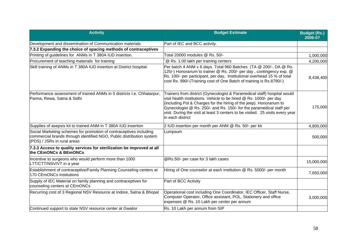| <b>Activity</b>                                                                                                                                                           | <b>Budget Estimate</b>                                                                                                                                                                                                                                                                                                                                                                               | <b>Budget (Rs.)</b><br>2006-07 |
|---------------------------------------------------------------------------------------------------------------------------------------------------------------------------|------------------------------------------------------------------------------------------------------------------------------------------------------------------------------------------------------------------------------------------------------------------------------------------------------------------------------------------------------------------------------------------------------|--------------------------------|
| Development and dissemination of Communication materials                                                                                                                  | Part of IEC and BCC activity.                                                                                                                                                                                                                                                                                                                                                                        |                                |
| 7.3.2 Expanding the choice of spacing methods of contraceptives                                                                                                           |                                                                                                                                                                                                                                                                                                                                                                                                      |                                |
| Printing of guidelines for ANMs in T 380A IUD insertion.                                                                                                                  | Total 20000 modules @ Rs. 50/-                                                                                                                                                                                                                                                                                                                                                                       | 1,000,000                      |
| Procurement of teaching materials for training                                                                                                                            | @ Rs. 1.00 lakh per training centers                                                                                                                                                                                                                                                                                                                                                                 | 4,200,000                      |
| Skill training of ANMs in T 380A IUD insertion at District hospital.                                                                                                      | Per batch 4 ANM x 6 days. Total 960 Batches (TA @ 200/-, DA @ Rs.<br>125/-) Honorarium to trainer @ Rs. 200/- per day, contingency exp. @<br>Rs. 100/- per participant, per day, Institutional overhead 15 % of total<br>cost Rs. 990/-(Training cost of One Batch of training is Rs.8790/-)                                                                                                         | 8,438,400                      |
| Performance assessment of trained ANMs in 5 districts I.e. Chhatarpur,<br>Panna, Rewa, Satna & Sidhi                                                                      | Trainers from district (Gynecologist & Paramedical staff) hospital would<br>visit health institutions. Vehicle to be hired @ Rs. 1000/- per day<br>(including Pol & Charges for the hiring of the jeep). Honorarium to<br>Gynecologist @ Rs. 250/- and Rs. 150/- for the paramedical staff per<br>visit. During the visit at least 3 centers to be visited. 25 visits every year<br>in each district | 175,000                        |
| Supplies of asepsis kit to trained ANM in T 380A IUD insertion                                                                                                            | 2 IUD insertion per month per ANM @ Rs. 50/- per kit                                                                                                                                                                                                                                                                                                                                                 | 4,800,000                      |
| Social Marketing schemes for promotion of contraceptives including<br>commercial brands through identified NGO, Public distribution system<br>(PDS) / JSRs in rural areas | Lumpsum                                                                                                                                                                                                                                                                                                                                                                                              | 500,000                        |
| 7.3.3 Access to quality services for sterilization be improved at all<br>the CEmONCs & BEmONCs                                                                            |                                                                                                                                                                                                                                                                                                                                                                                                      |                                |
| Incentive to surgeons who would perform more than 1000<br>LTT/CTT/NSV/VT in a year                                                                                        | @Rs.50/- per case for 3 lakh cases                                                                                                                                                                                                                                                                                                                                                                   | 15,000,000                     |
| Establishment of contraceptive/Family Planning Counseling centers at<br>170 CEmONCs institutions                                                                          | Hiring of One counselor at each institution @ Rs. 5000/- per month                                                                                                                                                                                                                                                                                                                                   | 7,650,000                      |
| Supply of IEC Material on family planning and contraceptives for<br>counseling centers at CEmONCs                                                                         | Part of BCC Activity                                                                                                                                                                                                                                                                                                                                                                                 |                                |
| Recurring cost of 3 Regional NSV Resource at Indore, Satna & Bhopal                                                                                                       | Operational cost including One Coordinator, IEC Officer, Staff Nurse,<br>Computer Operator, Office assistant, POL, Stationery and office<br>expenses @ Rs. 10 Lakh per center per annum                                                                                                                                                                                                              | 3,000,000                      |
| Continued support to state NSV resource center at Gwalior                                                                                                                 | Rs. 10 Lakh per annum from SIP                                                                                                                                                                                                                                                                                                                                                                       |                                |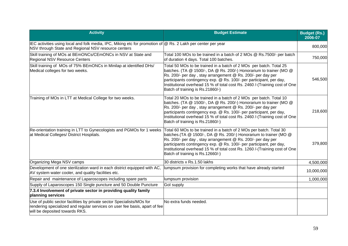| <b>Activity</b>                                                                                                                                                                       | <b>Budget Estimate</b>                                                                                                                                                                                                                                                                                                                                                                           | <b>Budget (Rs.)</b><br>2006-07 |
|---------------------------------------------------------------------------------------------------------------------------------------------------------------------------------------|--------------------------------------------------------------------------------------------------------------------------------------------------------------------------------------------------------------------------------------------------------------------------------------------------------------------------------------------------------------------------------------------------|--------------------------------|
| IEC activities using local and folk media, IPC, Miking etc for promotion of @ Rs. 2 Lakh per center per year<br>NSV through State and Regional NSV resource centers                   |                                                                                                                                                                                                                                                                                                                                                                                                  | 800,000                        |
| Skill training of MOs at BEmONCs/CEmONCs in NSV at State and<br><b>Regional NSV Resource Centers</b>                                                                                  | Total 100 MOs to be trained in a batch of 2 MOs @ Rs.7500/- per batch<br>of duration 4 days. Total 100 batches.                                                                                                                                                                                                                                                                                  | 750,000                        |
| Skill training of MOs of 75% BEmONCs in Minilap at identified DHs/<br>Medical colleges for two weeks.                                                                                 | Total 50 MOs to be trained in a batch of 2 MOs per batch. Total 25<br>batches. (TA @ 1500/-, DA @ Rs. 200/-) Honorarium to trainer (MO @<br>Rs. 200/- per day, stay arrangement @ Rs. 200/- per day per<br>participants contingency exp. @ Rs. 100/- per participant, per day,<br>Institutional overhead 15 % of total cost Rs. 2460 /-(Training cost of One<br>Batch of training is Rs.21860/-) | 546,500                        |
| Training of MOs in LTT at Medical College for two weeks.                                                                                                                              | Total 20 MOs to be trained in a batch of 2 MOs per batch. Total 10<br>batches. (TA @ 1500/-, DA @ Rs. 200/-) Honorarium to trainer (MO @<br>Rs. 200/- per day, stay arrangement @ Rs. 200/- per day per<br>participants contingency exp. @ Rs. 100/- per participant, per day,<br>Institutional overhead 15 % of total cost Rs. 2460 /-(Training cost of One<br>Batch of training is Rs.21860/-) | 218,600                        |
| Re-orientation training in LTT to Gynecologists and PGMOs for 1 weeks<br>at Medical Colleges/ District Hospitals.                                                                     | Total 60 MOs to be trained in a batch of 2 MOs per batch. Total 30<br>batches. (TA @ 1500/-, DA @ Rs. 200/-) Honorarium to trainer (MO @<br>Rs. 200/- per day, stay arrangement @ Rs. 200/- per day per<br>participants contingency exp. @ Rs. 100/- per participant, per day,<br>Institutional overhead 15 % of total cost Rs. 1260 /-(Training cost of One<br>Batch of training is Rs.12660/-) | 379,800                        |
| Organizing Mega NSV camps                                                                                                                                                             | 30 districts x Rs.1.50 lakhs                                                                                                                                                                                                                                                                                                                                                                     | 4,500,000                      |
| Development of one sterilization ward in each district equipped with AC,<br>AV system water cooler, and quality facilities etc.                                                       | lumpsum provision for completing works that have already started                                                                                                                                                                                                                                                                                                                                 | 10,000,000                     |
| Repair and maintenance of Laparoscopes including spare parts                                                                                                                          | lumpsum provision                                                                                                                                                                                                                                                                                                                                                                                | 1,000,000                      |
| Supply of Laparoscopes 150 Single puncture and 50 Double Puncture                                                                                                                     | <b>Gol supply</b>                                                                                                                                                                                                                                                                                                                                                                                |                                |
| 7.3.4 Involvement of private sector in providing quality family<br>planning services                                                                                                  |                                                                                                                                                                                                                                                                                                                                                                                                  |                                |
| Use of public sector facilities by private sector Specialists/MOs for<br>rendering specialized and regular services on user fee basis, apart of fee<br>will be deposited towards RKS. | No extra funds needed.                                                                                                                                                                                                                                                                                                                                                                           |                                |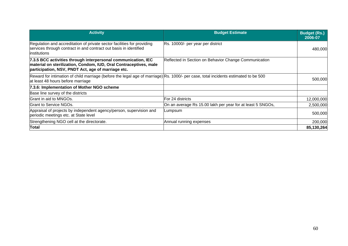| <b>Activity</b>                                                                                                                                                                          | <b>Budget Estimate</b>                                     | <b>Budget (Rs.)</b><br>2006-07 |
|------------------------------------------------------------------------------------------------------------------------------------------------------------------------------------------|------------------------------------------------------------|--------------------------------|
| Regulation and accreditation of private sector facilities for providing<br>services through contract in and contract out basis in identified<br>linstitutions                            | Rs. 10000/- per year per district                          | 480,000                        |
| 7.3.5 BCC activities through interpersonal communication, IEC<br>material on sterilization, Condom, IUD, Oral Contraceptives, male<br>participation, NSV, PNDT Act, age of marriage etc. | Reflected in Section on Behavior Change Communication      |                                |
| Reward for intimation of child marriage (before the legal age of marriage) Rs. 1000/- per case, total incidents estimated to be 500<br>at least 48 hours before marriage                 |                                                            | 500,000                        |
| 7.3.6: Implementation of Mother NGO scheme                                                                                                                                               |                                                            |                                |
| Base line survey of the districts                                                                                                                                                        |                                                            |                                |
| Grant in aid to MNGOs.                                                                                                                                                                   | For 24 districts                                           | 12,000,000                     |
| <b>IGrant to Service NGOs.</b>                                                                                                                                                           | On an average Rs 15.00 lakh per year for at least 5 SNGOs, | 2,500,000                      |
| Appraisal of projects by independent agency/person, supervision and<br>periodic meetings etc. at State level                                                                             | Lumpsum                                                    | 500,000                        |
| Strengthening NGO cell at the directorate.                                                                                                                                               | Annual running expenses                                    | 200,000                        |
| <b>Total</b>                                                                                                                                                                             |                                                            | 85,130,264                     |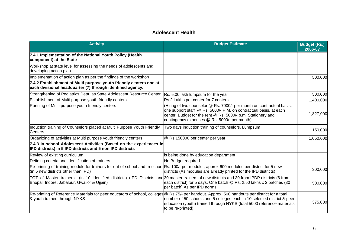## **Adolescent Health**

| <b>Activity</b>                                                                                                                                                                              | <b>Budget Estimate</b>                                                                                                                                                                                                                                     | <b>Budget (Rs.)</b><br>2006-07 |
|----------------------------------------------------------------------------------------------------------------------------------------------------------------------------------------------|------------------------------------------------------------------------------------------------------------------------------------------------------------------------------------------------------------------------------------------------------------|--------------------------------|
| 7.4.1 Implementation of the National Youth Policy (Health<br>component) at the State                                                                                                         |                                                                                                                                                                                                                                                            |                                |
| Workshop at state level for assessing the needs of adolescents and<br>developing action plan                                                                                                 |                                                                                                                                                                                                                                                            |                                |
| Implementation of action plan as per the findings of the workshop                                                                                                                            |                                                                                                                                                                                                                                                            | 500,000                        |
| 7.4.2 Establishment of Multi purpose youth friendly centers one at<br>each divisional headquarter (7) through identified agency.                                                             |                                                                                                                                                                                                                                                            |                                |
| Strengthening of Pediatrics Dept. as State Adolescent Resource Center                                                                                                                        | Rs. 5.00 lakh lumpsum for the year                                                                                                                                                                                                                         | 500,000                        |
| Establishment of Multi purpose youth friendly centers                                                                                                                                        | Rs.2 Lakhs per center for 7 centers                                                                                                                                                                                                                        | 1,400,000                      |
| Running of Multi purpose youth friendly centers                                                                                                                                              | (Hiring of two counselor @ Rs. 7000/- per month on contractual basis,<br>one support staff @ Rs. 5000/- P.M. on contractual basis, at each<br>center, Budget for the rent @ Rs. 5000/- p.m, Stationery and<br>contingency expenses @ Rs. 5000/- per month) | 1,827,000                      |
| Induction training of Counselors placed at Multi Purpose Youth Friendly<br><b>Centers</b>                                                                                                    | Two days induction training of counselors. Lumpsum                                                                                                                                                                                                         | 150,000                        |
| Organizing of activities at Multi purpose youth friendly centers                                                                                                                             | @ Rs.150000 per center per year                                                                                                                                                                                                                            | 1,050,000                      |
| 7.4.3 In school Adolescent Activities (Based on the experiences in<br>IPD districts) in 5 IPD districts and 5 non IPD districts                                                              |                                                                                                                                                                                                                                                            |                                |
| Review of existing curriculum                                                                                                                                                                | is being done by education department                                                                                                                                                                                                                      |                                |
| Defining criteria and identification of trainers                                                                                                                                             | No Budget required                                                                                                                                                                                                                                         |                                |
| Re-printing of training module for trainers for out of school and In school Rs. 100/- per module, approx 600 modules per district for 5 new<br>(in 5 new districts other than IPD)           | districts (As modules are already printed for the IPD districts)                                                                                                                                                                                           | 300,000                        |
| TOT of Master trainers (in 10 identified districts) (IPD Districts and 30 master trainers of new districts and 30 from IPDP districts (6 from<br>Bhopal, Indore, Jabalpur, Gwalior & Ujjain) | each district) for 5 days. One batch @ Rs. 2.50 lakhs x 2 batches (30<br>per batch) As per IPD norms                                                                                                                                                       | 500,000                        |
| Re-printing of Reference Materials for peer educators of school, colleges @ Rs.75/- per handout. Approx. 500 handouts per district for a total<br>& youth trained through NYKS               | number of 50 schools and 5 colleges each in 10 selected district & peer<br>education (youth) trained through NYKS (total 5000 reference materials<br>to be re-printed)                                                                                     | 375,000                        |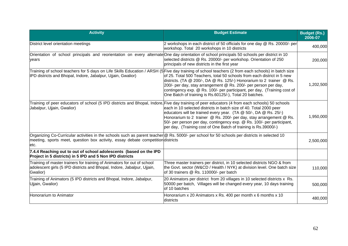| <b>Activity</b>                                                                                                                                                                                                                           | <b>Budget Estimate</b>                                                                                                                                                                                                                                                                                                                                     | <b>Budget (Rs.)</b><br>2006-07 |
|-------------------------------------------------------------------------------------------------------------------------------------------------------------------------------------------------------------------------------------------|------------------------------------------------------------------------------------------------------------------------------------------------------------------------------------------------------------------------------------------------------------------------------------------------------------------------------------------------------------|--------------------------------|
| District level orientation meetings                                                                                                                                                                                                       | 2 workshops in each district of 50 officials for one day @ Rs. 20000/- per<br>workshop. Total 20 workshops in 10 districts                                                                                                                                                                                                                                 | 400,000                        |
| Orientation of school principals and reorientation on every alternateOne day orientation of school principals 50 schools per district in 10<br>vears                                                                                      | selected districts @ Rs. 20000/- per workshop. Orientation of 250<br>principals of new districts in the first year                                                                                                                                                                                                                                         | 200,000                        |
| Training of school teachers for 5 days on Life Skills Education / ARSH (5 Five day training of school teachers (2 from each schools) in batch size<br>IPD districts and Bhopal, Indore, Jabalpur, Ujjain, Gwalior)                        | of 25. Total 500 Teachers, total 50 schools from each district in 5 new<br>districts. (TA @ 200/-, DA @ Rs. 125/-) Honorarium to 2 trainer @ Rs.<br>200/- per day, stay arrangement @ Rs. 200/- per person per day,<br>contingency exp. @ Rs. 100/- per participant, per day, (Training cost of<br>One Batch of training is Rs.60125/-), Total 20 batches. | 1,202,500                      |
| Training of peer educators of school (5 IPD districts and Bhopal, Indore, Five day training of peer educators (4 from each schools) 50 schools<br>Jabalpur, Ujjain, Gwalior)                                                              | each in 10 selected districts in batch size of 40. Total 2000 peer<br>educators will be trained every year. (TA @ 50/-, DA @ Rs. 25/-)<br>Honorarium to 2 trainer @ Rs. 200/- per day, stay arrangement @ Rs.<br>50/- per person per day, contingency exp. @ Rs. 100/- per participant,<br>per day, (Training cost of One Batch of training is Rs.39000/-) | 1,950,000                      |
| Organizing Co-Curricular activities in the schools such as parent teacher @ Rs. 5000/- per school for 50 schools per districts in selected 10<br>meeting, sports meet, question box activity, essay debate competition districts<br>letc. |                                                                                                                                                                                                                                                                                                                                                            | 2,500,000                      |
| 7.4.4 Reaching out to out of school adolescents (based on the IPD<br>Project in 5 districts) in 5 IPD and 5 Non IPD districts                                                                                                             |                                                                                                                                                                                                                                                                                                                                                            |                                |
| Training of master trainers for training of Animators for out of school<br>adolescent girls (5 IPD districts and Bhopal, Indore, Jabalpur, Ujjain,<br>Gwalior)                                                                            | Three master trainers per district, in 10 selected districts NGO & from<br>the Govt. sector (W&CD / Health / NYK) at division level. One batch size<br>of 30 trainers @ Rs. 110000/- per batch                                                                                                                                                             | 110,000                        |
| Training of Animators (5 IPD districts and Bhopal, Indore, Jabalpur,<br>Ujjain, Gwalior)                                                                                                                                                  | 20 Animators per district from 20 villages in 10 selected districts x Rs.<br>50000 per batch, Villages will be changed every year, 10 days training<br>of 10 batches                                                                                                                                                                                       | 500,000                        |
| Honorarium to Animator                                                                                                                                                                                                                    | Honorarium x 20 Animators x Rs. 400 per month x 6 months x 10<br>districts                                                                                                                                                                                                                                                                                 | 480,000                        |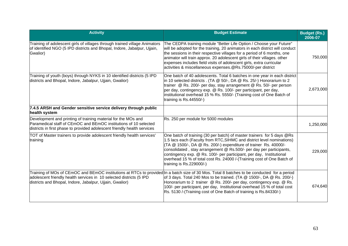| <b>Activity</b>                                                                                                                                                                                                                                                                | <b>Budget Estimate</b>                                                                                                                                                                                                                                                                                                                                                                                                                                                       | <b>Budget (Rs.)</b><br>2006-07 |
|--------------------------------------------------------------------------------------------------------------------------------------------------------------------------------------------------------------------------------------------------------------------------------|------------------------------------------------------------------------------------------------------------------------------------------------------------------------------------------------------------------------------------------------------------------------------------------------------------------------------------------------------------------------------------------------------------------------------------------------------------------------------|--------------------------------|
| Training of adolescent girls of villages through trained village Animators<br>of identified NGO (5 IPD districts and Bhopal, Indore, Jabalpur, Ujjain,<br>Gwalior)                                                                                                             | The CEDPA training module "Better Life Option / Choose your Future"<br>will be adopted for the training, 20 animators in each district will conduct<br>the sessions in their respective villages for a period of 6 months, one<br>animator will train approx. 20 adolescent girls of their villages. other<br>expenses includes field visits of adolescent girls, extra curricular<br>activities & miscellaneous expenses.@Rs.75000/-per district                            | 750,000                        |
| Training of youth (boys) through NYKS in 10 identified districts (5 IPD<br>districts and Bhopal, Indore, Jabalpur, Ujjain, Gwalior)                                                                                                                                            | One batch of 40 adolescents. Total 6 batches in one year in each district<br>in 10 selected districts . (TA @ 50/-, DA @ Rs. 25/-) Honorarium to 2<br>trainer @ Rs. 200/- per day, stay arrangement @ Rs. 50/- per person<br>per day, contingency exp. @ Rs. 100/- per participant, per day,<br>institutional overhead 15 % Rs. 5550/- (Training cost of One Batch of<br>training is Rs.44550/-)                                                                             | 2,673,000                      |
| 7.4.5 ARSH and Gender sensitive service delivery through public<br>health system                                                                                                                                                                                               |                                                                                                                                                                                                                                                                                                                                                                                                                                                                              |                                |
| Development and printing of training material for the MOs and<br>Paramedical staff of CEmOC and BEmOC institutions of 10 selected<br>districts in first phase to provided adolescent friendly health services                                                                  | Rs. 250 per module for 5000 modules                                                                                                                                                                                                                                                                                                                                                                                                                                          | 1,250,000                      |
| TOT of Master trainers to provide adolescent friendly health services'<br>training                                                                                                                                                                                             | One batch of training (30 per batch) of master trainers for 5 days @Rs<br>1.5 lacs each (Faculty from RTC, SIHMC and district level nominations)<br>(TA @ 1500/-, DA @ Rs. 200/-) expenditure of trainer Rs. 40000/-<br>consolidated, stay arrangement @ Rs.500/- per day per participants,<br>contingency exp. @ Rs. 100/- per participant, per day, Institutional<br>overhead 15 % of total cost Rs. 24000 /-(Training cost of One Batch of<br>training is $Rs.229000/-$ ) | 229,000                        |
| Training of MOs of CEmOC and BEmOC institutions at RTCs to provided In a batch size of 30 Mos. Total 8 batches to be conducted for a period<br>adolescent friendly health services in 10 selected districts (5 IPD<br>districts and Bhopal, Indore, Jabalpur, Ujjain, Gwalior) | of 3 days. Total 240 Mos to be trained. (TA $@$ 1500/-, DA $@$ Rs. 200/-)<br>Honorarium to 2 trainer @ Rs. 200/- per day, contingency exp. @ Rs.<br>100/- per participant, per day, Institutional overhead 15 % of total cost<br>Rs. 5130 /-(Training cost of One Batch of training is Rs.84330/-)                                                                                                                                                                           | 674,640                        |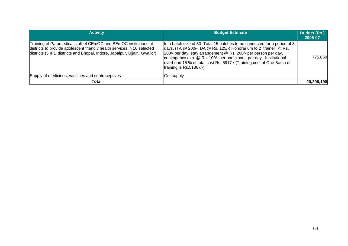| <b>Activity</b>                                                                                                                                                                                                          | <b>Budget Estimate</b>                                                                                                                                                                                                                                                                                                                                                                      | <b>Budget (Rs.)</b><br>2006-07 |
|--------------------------------------------------------------------------------------------------------------------------------------------------------------------------------------------------------------------------|---------------------------------------------------------------------------------------------------------------------------------------------------------------------------------------------------------------------------------------------------------------------------------------------------------------------------------------------------------------------------------------------|--------------------------------|
| Training of Paramedical staff of CEmOC and BEmOC institutions at<br>districts to provide adolescent friendly health services in 10 selected<br>districts (5 IPD districts and Bhopal, Indore, Jabalpur, Ujjain, Gwalior) | In a batch size of 30 Total 15 batches to be conducted for a period of 3<br>days. (TA @ 200/-, DA @ Rs. 125/-) Honorarium to 2 trainer @ Rs.<br>200/- per day, stay arrangement @ Rs. 200/- per person per day,<br>contingency exp. @ Rs. 100/- per participant, per day, Institutional<br>overhead 15 % of total cost Rs. 5917 /-(Training cost of One Batch of<br>training is Rs.51367/-) | 775,050                        |
| Supply of medicines, vaccines and contraceptives                                                                                                                                                                         | Gol supply                                                                                                                                                                                                                                                                                                                                                                                  |                                |
| Total                                                                                                                                                                                                                    |                                                                                                                                                                                                                                                                                                                                                                                             | 20,296,190                     |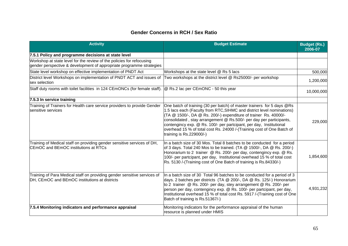## **Gender Concerns in RCH / Sex Ratio**

| <b>Activity</b>                                                                                                                               | <b>Budget Estimate</b>                                                                                                                                                                                                                                                                                                                                                                                                                                                      | <b>Budget (Rs.)</b><br>2006-07 |
|-----------------------------------------------------------------------------------------------------------------------------------------------|-----------------------------------------------------------------------------------------------------------------------------------------------------------------------------------------------------------------------------------------------------------------------------------------------------------------------------------------------------------------------------------------------------------------------------------------------------------------------------|--------------------------------|
| 7.5.1 Policy and programme decisions at state level                                                                                           |                                                                                                                                                                                                                                                                                                                                                                                                                                                                             |                                |
| Workshop at state level for the review of the policies for refocusing<br>gender perspective & development of appropriate programme strategies |                                                                                                                                                                                                                                                                                                                                                                                                                                                                             |                                |
| State level workshop on effective implementation of PNDT Act                                                                                  | Workshops at the state level @ Rs 5 lacs                                                                                                                                                                                                                                                                                                                                                                                                                                    | 500,000                        |
| District level Workshops on implementation of PNDT ACT and issues of<br>sex selection                                                         | Two workshops at the district level @ Rs25000/- per workshop                                                                                                                                                                                                                                                                                                                                                                                                                | 1,200,000                      |
| Staff duty rooms with toilet facilities in 124 CEmONCs (for female staff).                                                                    | @ Rs.2 lac per CEmONC - 50 this year                                                                                                                                                                                                                                                                                                                                                                                                                                        | 10,000,000                     |
| 7.5.3 In service training                                                                                                                     |                                                                                                                                                                                                                                                                                                                                                                                                                                                                             |                                |
| Training of Trainers for Health care service providers to provide Gender<br>sensitive services                                                | One batch of training (30 per batch) of master trainers for 5 days @Rs<br>1.5 lacs each (Faculty from RTC, SIHMC and district level nominations)<br>(TA @ 1500/-, DA @ Rs. 200/-) expenditure of trainer Rs. 40000/-<br>consolidated, stay arrangement @ Rs.500/- per day per participants,<br>contengincy exp. @ Rs. 100/- per partcipant, per day, Institutional<br>overhead 15 % of total cost Rs. 24000 /-(Training cost of One Batch of<br>training is $Rs.229000/-$ ) | 229,000                        |
| Training of Medical staff on providing gender sensitive services of DH,<br>CEmOC and BEmOC institutions at RTCs                               | In a batch size of 30 Mos. Total 8 batches to be conducted for a period<br>of 3 days. Total 240 Mos to be trained. (TA $@$ 1500/-, DA $@$ Rs. 200/-)<br>Honorarium to 2 trainer @ Rs. 200/- per day, contengincy exp. @ Rs.<br>100/- per partcipant, per day, Institutional overhead 15 % of total cost<br>Rs. 5130 /-(Training cost of One Batch of training is Rs.84330/-)                                                                                                | 1,854,600                      |
| Training of Para Medical staff on providing gender sensitive services of<br>DH, CEmOC and BEmOC institutions at districts                     | In a batch size of 30 Total 96 batches to be conducted for a period of 3<br>days. 2 batches per districts (TA @ 200/-, DA @ Rs. 125/-) Honorarium<br>to 2 trainer @ Rs. 200/- per day, stey arrangement @ Rs. 200/- per<br>person per day, contengincy exp. @ Rs. 100/- per partcipant, per day,<br>Institutional overhead 15 % of total cost Rs. 5917 /-(Training cost of One<br>Batch of training is Rs.51367/-)                                                          | 4,931,232                      |
| 7.5.4 Monitoring indicators and performance appraisal                                                                                         | Monitoring indicators for the performance appraisal of the human<br>resource is planned under HMIS                                                                                                                                                                                                                                                                                                                                                                          |                                |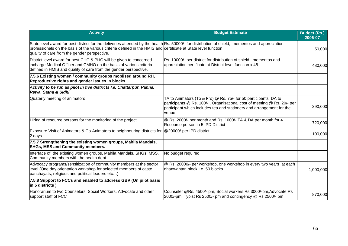| <b>Activity</b>                                                                                                                                                                                                                                                                                                    | <b>Budget Estimate</b>                                                                                                                                                                                                        | <b>Budget (Rs.)</b><br>2006-07 |
|--------------------------------------------------------------------------------------------------------------------------------------------------------------------------------------------------------------------------------------------------------------------------------------------------------------------|-------------------------------------------------------------------------------------------------------------------------------------------------------------------------------------------------------------------------------|--------------------------------|
| State level award for best district for the deliveries attended by the health Rs. 50000/- for distribution of shield, mementos and appreciation<br>professionals on the basis of the various criteria defined in the HMIS and certificate at State level function.<br>quality of care from the gender perspective. |                                                                                                                                                                                                                               | 50,000                         |
| District level award for best CHC & PHC will be given to concerned<br>incharge Medical Officer and CMHO on the basis of various criteria<br>defined in HMIS and quality of care from the gender perspective.                                                                                                       | Rs. 10000/- per district for distribution of shield, mementos and<br>appreciation certificate at District level function x 48                                                                                                 | 480,000                        |
| 7.5.6 Existing women / community groups moblised around RH,<br>Reproductive rights and gender issues in blocks                                                                                                                                                                                                     |                                                                                                                                                                                                                               |                                |
| Activity to be run as pilot in five districts I.e. Chattarpur, Panna,<br>Rewa, Satna & Sidhi                                                                                                                                                                                                                       |                                                                                                                                                                                                                               |                                |
| Quaterly meeting of animators                                                                                                                                                                                                                                                                                      | TA to Animators (To & Fro) @ Rs. 75/- for 50 participants, DA to<br>participants @ Rs. 100/-, Organisational cost of meeting @ Rs. 20/- per<br>participant which includes tea and stationery and arrangement for the<br>venue | 390,000                        |
| Hiring of resource persons for the monitoring of the project                                                                                                                                                                                                                                                       | @ Rs. 2000/- per month and Rs. 1000/- TA & DA per month for 4<br>Resource person in 5 IPD District                                                                                                                            | 720,000                        |
| Exposure Visit of Animators & Co-Animators to neighbouring districts for<br>2 days                                                                                                                                                                                                                                 | @20000/-per IPD district                                                                                                                                                                                                      | 100,000                        |
| 7.5.7 Strengthening the existing women groups, Mahila Mandals,<br><b>SHGs, MSS and Community members.</b>                                                                                                                                                                                                          |                                                                                                                                                                                                                               |                                |
| Interface of the existing women groups, Mahila Mandals, SHGs, MSS,<br>Community members with the health dept.                                                                                                                                                                                                      | No budget required                                                                                                                                                                                                            |                                |
| Advocacy programs/sensitization of community members at the sector<br>level (One day orientation workshop for selected members of caste<br>panchayats, religious and political leaders etc)                                                                                                                        | @ Rs. 20000/- per workshop, one workshop in every two years at each<br>dhanwantari block I.e. 50 blocks                                                                                                                       | 1,000,000                      |
| 7.5.8 Support to FCCs and enabled to address GBV (On pilot basis<br>in 5 districts)                                                                                                                                                                                                                                |                                                                                                                                                                                                                               |                                |
| Honorarium to two Counselors, Social Workers, Advocate and other<br>support staff of FCC                                                                                                                                                                                                                           | Counseler @Rs. 4500/- pm, Social workers Rs 3000/-pm, Advocate Rs<br>2000/-pm, Typist Rs 2500/- pm and contingency @ Rs 2500/- pm.                                                                                            | 870,000                        |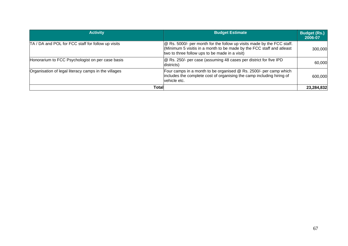| <b>Activity</b>                                      | <b>Budget Estimate</b>                                                                                                                                                                                   | <b>Budget (Rs.)</b><br>2006-07 |
|------------------------------------------------------|----------------------------------------------------------------------------------------------------------------------------------------------------------------------------------------------------------|--------------------------------|
| TA / DA and POL for FCC staff for follow up visits   | <b>@</b> Rs. 5000/- per month for the follow up visits made by the FCC staff.<br>(Minimum 5 visitis in a month to be made by the FCC staff and atleast<br>two to three follow ups to be made in a visit) | 300,000                        |
| Honorarium to FCC Psychologist on per case basis     | @ Rs. 250/- per case (assuming 48 cases per district for five IPD<br>districts)                                                                                                                          | 60,000                         |
| Organisation of legal literacy camps in the villages | Four camps in a month to be organised @ Rs. 2500/- per camp which<br>includes the complete cost of organising the camp including hiring of<br>vehicle etc.                                               | 600,000                        |
| <b>Total</b>                                         |                                                                                                                                                                                                          | 23,284,832                     |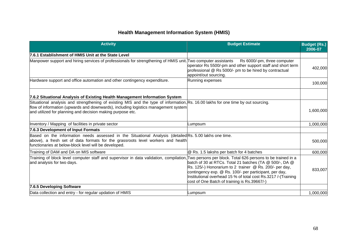# **Health Management Information System (HMIS)**

| <b>Activity</b>                                                                                                                                                                                                                                                                       | <b>Budget Estimate</b>                                                                                                                                                                                                                                                                                      | <b>Budget (Rs.)</b><br>2006-07 |
|---------------------------------------------------------------------------------------------------------------------------------------------------------------------------------------------------------------------------------------------------------------------------------------|-------------------------------------------------------------------------------------------------------------------------------------------------------------------------------------------------------------------------------------------------------------------------------------------------------------|--------------------------------|
| 7.6.1 Establishment of HMIS Unit at the State Level                                                                                                                                                                                                                                   |                                                                                                                                                                                                                                                                                                             |                                |
| Manpower support and hiring services of professionals for strengthening of HMIS unit. Two computer assistants                                                                                                                                                                         | Rs 6000/-pm, three computer<br>operator Rs 5500/-pm and other support staff and short term<br>professional @ Rs 5000/- pm to be hired by contractual<br>appoint/out sourcing.                                                                                                                               | 402,000                        |
| Hardware support and office automation and other contingency expenditure.                                                                                                                                                                                                             | Running expenses                                                                                                                                                                                                                                                                                            | 100,000                        |
| 7.6.2 Situational Analysis of Existing Health Management Information System                                                                                                                                                                                                           |                                                                                                                                                                                                                                                                                                             |                                |
| Situational analysis and strengthening of existing MIS and the type of information, Rs. 16.00 lakhs for one time by out sourcing.<br>flow of information (upwards and downwards), including logistics management system<br>and utilized for planning and decision making purpose etc. |                                                                                                                                                                                                                                                                                                             | 1,600,000                      |
| Inventory / Mapping of facilities in private sector                                                                                                                                                                                                                                   | _umpsum                                                                                                                                                                                                                                                                                                     | 1,000,000                      |
| 7.6.3 Development of Input Formats                                                                                                                                                                                                                                                    |                                                                                                                                                                                                                                                                                                             |                                |
| Based on the information needs assessed in the Situational Analysis (detailed Rs. 5.00 lakhs one time.<br>above), a fresh set of data formats for the grassroots level workers and health<br>functionaries at below-block level will be developed.                                    |                                                                                                                                                                                                                                                                                                             | 500,000                        |
| Training of DAM and DA on MIS software                                                                                                                                                                                                                                                | @ Rs. 1.5 lakshs per batch for 4 batches                                                                                                                                                                                                                                                                    | 600,000                        |
| Training of block level computer staff and supervisor in data validation, compilation, Two persons per block. Total 626 persons to be trained in a<br>and analysis for two days.                                                                                                      | batch of 30 at RTCs. Total 21 batches (TA @ 500/-, DA @<br>$\overline{R}$ s. 125/-) Honorarium to 2 trainer @ Rs. 200/- per day,<br>contingency exp. @ Rs. 100/- per participant, per day,<br>Institutional overhead 15 % of total cost Rs.3217 /-(Training<br>cost of One Batch of training is Rs.39667/-) | 833,007                        |
| 7.6.5 Developing Software                                                                                                                                                                                                                                                             |                                                                                                                                                                                                                                                                                                             |                                |
| Data collection and entry - for regular updation of HMIS                                                                                                                                                                                                                              | Lumpsum                                                                                                                                                                                                                                                                                                     | 1,000,000                      |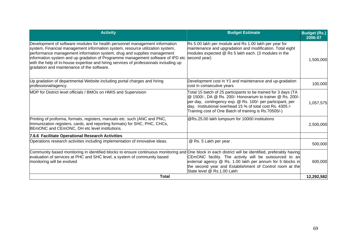| <b>Activity</b>                                                                                                                                                                                                                                                                                                                                                                                                                                                                | <b>Budget Estimate</b>                                                                                                                                                                                                                                                                                           | <b>Budget (Rs.)</b><br>2006-07 |
|--------------------------------------------------------------------------------------------------------------------------------------------------------------------------------------------------------------------------------------------------------------------------------------------------------------------------------------------------------------------------------------------------------------------------------------------------------------------------------|------------------------------------------------------------------------------------------------------------------------------------------------------------------------------------------------------------------------------------------------------------------------------------------------------------------|--------------------------------|
| Development of software modules for health personnel management information<br>system, Financial management information system, resource utilization system,<br>performance management information system, drug and supplies management<br>information system and up gradation of Programme management software of IPD etc second year)<br>with the help of in-house expertise and hiring services of professionals including up<br>gradation and maintenance of the software. | Rs 5.00 lakh per module and Rs 1.00 lakh per year for<br>maintenance and upgradation and modification. Total eight<br>modules expected @ Rs 5 lakh each. (3 modules in the                                                                                                                                       | 1,500,000                      |
| Up gradation of departmental Website including portal charges and hiring<br>professional/agency.                                                                                                                                                                                                                                                                                                                                                                               | Development cost in Y1 and maintenance and up-gradation<br>cost in consecutive years                                                                                                                                                                                                                             | 100,000                        |
| MDP for District level officials / BMOs on HMIS and Supervision                                                                                                                                                                                                                                                                                                                                                                                                                | Total 15 batch of 25 participants to be trained for 3 days (TA<br>@ 1500/-, DA @ Rs. 200/- Honorarium to trainer @ Rs. 200/-<br>per day, contingency exp. @ Rs. 100/- per participant, per<br>day, Institutional overhead 15 % of total cost Rs. 4305/-<br>Training cost of One Batch of training is Rs.70505/-) | 1,057,575                      |
| Printing of proforma, formats, registers, manuals etc. such (ANC and PNC,<br>Immunization registers, cards, and reporting formats) for SHC, PHC, CHCs,<br>BEmONC and CEmONC, DH etc level institutions.                                                                                                                                                                                                                                                                        | @Rs.25.00 lakh lumpsum for 10000 institutions                                                                                                                                                                                                                                                                    | 2,500,000                      |
| 7.6.6 Facilitate Operational Research Activities                                                                                                                                                                                                                                                                                                                                                                                                                               |                                                                                                                                                                                                                                                                                                                  |                                |
| Operations research activities including implementation of innovative ideas.                                                                                                                                                                                                                                                                                                                                                                                                   | @ Rs. 5 Lakh per year.                                                                                                                                                                                                                                                                                           | 500,000                        |
| Community based monitoring in identified blocks to ensure continuous monitoring and One block in each district will be identified, preferably having<br>evaluation of services at PHC and SHC level, a system of community based<br>monitoring will be evolved                                                                                                                                                                                                                 | CEmONC facility. The activity will be outsourced to an<br>external agency @ Rs. 1.00 lakh per annum for 5 blocks in<br>the second year and Establishment of Control room at the<br>State level @ Rs.1.00 Lakh                                                                                                    | 600,000                        |
| <b>Total</b>                                                                                                                                                                                                                                                                                                                                                                                                                                                                   |                                                                                                                                                                                                                                                                                                                  | 12,292,582                     |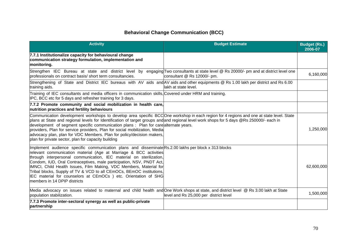# **Behavioral Change Communication (BCC)**

| <b>Activity</b>                                                                                                                                                                                                                                                                                                                                                                                                                                                                                                                                                                           | <b>Budget Estimate</b>                 | <b>Budget (Rs.)</b><br>2006-07 |
|-------------------------------------------------------------------------------------------------------------------------------------------------------------------------------------------------------------------------------------------------------------------------------------------------------------------------------------------------------------------------------------------------------------------------------------------------------------------------------------------------------------------------------------------------------------------------------------------|----------------------------------------|--------------------------------|
| 7.7.1 Institutionalize capacity for behavioural change<br>communication strategy formulation, implementation and<br>monitoring.                                                                                                                                                                                                                                                                                                                                                                                                                                                           |                                        |                                |
| Strengthen IEC Bureau at state and district level by engaging Two consultants at state level @ Rs 20000/- pm and at district level one<br>professionals on contract basis/ short term consultancies.                                                                                                                                                                                                                                                                                                                                                                                      | consultant @ Rs 12000/- pm.            | 6,160,000                      |
| Strengthening of State and District IEC bureaus with AV aids and AV aids and other equipments @ Rs 1.00 lakh per district and Rs 6.00<br>training aids.                                                                                                                                                                                                                                                                                                                                                                                                                                   | lakh at state level.                   |                                |
| Training of IEC consultants and media officers in communication skills, Covered under HRM and training.<br>IPC, BCC etc for 5 days and refresher training for 3 days.                                                                                                                                                                                                                                                                                                                                                                                                                     |                                        |                                |
| 7.7.2 Promote community and social mobilization in health care,<br>nutrition practices and fertility behaviours                                                                                                                                                                                                                                                                                                                                                                                                                                                                           |                                        |                                |
| Communication development workshops to develop area specific BCCOne workshop in each region for 4 regions and one at state level. State<br>plans at State and regional levels for Identification of target groups and and regional level work shops for 5 days @Rs 250000/- each in<br>development of segment specific communication plans : Plan for care alternate years.<br>providers, Plan for service providers, Plan for social mobilization, Media<br>advocacy plan, plan for VDC Members. Plan for policy/decision makers,<br>plan for private sector, plan for capacity building |                                        | 1,250,000                      |
| Implement audience specific communication plans and disseminate $\mathsf{Rs}\,2.00$ lakhs per block x 313 blocks<br>relevant communication material (Age at Marriage & BCC activities<br>through interpersonal communication, IEC material on sterilization,<br>Condom, IUD, Oral Contraceptives, male participation, NSV, PNDT Act,<br>IMNCI, Child Health Issues, Film Making, VDC Members, Material for<br>Tribal blocks, Supply of TV & VCD to all CEmOCs, BEmOC institutions,<br>IEC material for counselors at CEmOCs ) etc. Orientation of SHG<br>members in 14 DPIP districts     |                                        | 62,600,000                     |
| Media advocacy on issues related to maternal and child health and One Work shops at state, and district level @ Rs 3.00 lakh at State<br>population stabilization.                                                                                                                                                                                                                                                                                                                                                                                                                        | level and Rs 25,000 per district level | 1,500,000                      |
| 7.7.3 Promote inter-sectoral synergy as well as public-private<br>partnership                                                                                                                                                                                                                                                                                                                                                                                                                                                                                                             |                                        |                                |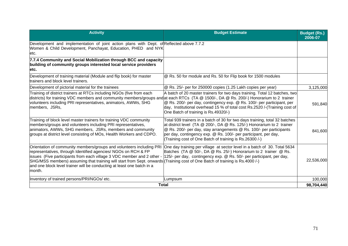| <b>Activity</b>                                                                                                                                                                                                                                                                                                                                                                                                                        | <b>Budget Estimate</b>                                                                                                                                                                                                                                                                                                                                     | <b>Budget (Rs.)</b><br>2006-07 |
|----------------------------------------------------------------------------------------------------------------------------------------------------------------------------------------------------------------------------------------------------------------------------------------------------------------------------------------------------------------------------------------------------------------------------------------|------------------------------------------------------------------------------------------------------------------------------------------------------------------------------------------------------------------------------------------------------------------------------------------------------------------------------------------------------------|--------------------------------|
| Development and implementation of joint action plans with Dept. of Reflected above 7.7.2<br>Women & Child Development, Panchayat, Education, PHED and NYK<br>etc.                                                                                                                                                                                                                                                                      |                                                                                                                                                                                                                                                                                                                                                            |                                |
| 7.7.4 Community and Social Mobilization through BCC and capacity<br>building of community groups interested local service providers<br>letc.                                                                                                                                                                                                                                                                                           |                                                                                                                                                                                                                                                                                                                                                            |                                |
| Development of training material (Module and flip book) for master<br>trainers and block level trainers.                                                                                                                                                                                                                                                                                                                               | @ Rs. 50 for module and Rs. 50 for Flip book for 1500 modules                                                                                                                                                                                                                                                                                              |                                |
| Development of pictorial material for the trainees                                                                                                                                                                                                                                                                                                                                                                                     | @ Rs. 25/- per for 250000 copies (1.25 Lakh copies per year)                                                                                                                                                                                                                                                                                               | 3,125,000                      |
| Training of district trainers at RTCs including NGOs (five from each<br>districts) for training VDC members and community members/groups and at each RTCs (TA @ 1500/-, DA @ Rs. 200/-) Honorarium to 2 trainer<br>volunteers including PRI representatives, animators, AWWs, SHG<br>members, JSRs,                                                                                                                                    | A batch of 20 master trainers for two days training. Total 12 batches, two<br>@ Rs. 200/- per day, contingency exp. @ Rs. 100/- per participant, per<br>day, Institutional overhead 15 % of total cost Rs.2520 /-(Training cost of<br>One Batch of training is Rs.49320/-)                                                                                 | 591,840                        |
| Training of block level master trainers for training VDC community<br>members/groups and volunteers including PRI representatives,<br>animators, AWWs, SHG members, JSRs, members and community<br>groups at district level consisting of MOs, Health Workers and CDPO.                                                                                                                                                                | Total 939 trainers in a batch of 30 for two days training, total 32 batches<br>at district level (TA @ 200/-, DA @ Rs. 125/-) Honorarium to 2 trainer<br>@ Rs. 200/- per day, stay arrangements @ Rs. 100/- per participants<br>per day, contingency exp. @ Rs. 100/- per participant, per day,<br>(Training cost of One Batch of training is Rs.26300 /-) | 841,600                        |
| Orientation of community members/groups and volunteers including PRI<br>representatives, through Identified agencies/ NGOs on RCH & FP<br>lissues (Five participants from each village 3 VDC member and 2 other -<br>SHG/MSS members) assuming that training will start from Sept. onwards (Training cost of One Batch of training is Rs.4000 /-)<br>and one block level trainer will be conducting at least one batch in a<br>Imonth. | One day training per village at sector level in a batch of 30. Total 5634<br>Batches (TA @ 50/-, DA @ Rs. 25/-) Honorarium to 2 trainer @ Rs.<br>125/- per day, contingency exp. @ Rs. 50/- per participant, per day,                                                                                                                                      | 22,536,000                     |
| Inventory of trained persons/PRI/NGOs/ etc.                                                                                                                                                                                                                                                                                                                                                                                            | Lumpsum                                                                                                                                                                                                                                                                                                                                                    | 100,000                        |
| <b>Total</b>                                                                                                                                                                                                                                                                                                                                                                                                                           |                                                                                                                                                                                                                                                                                                                                                            | 98,704,440                     |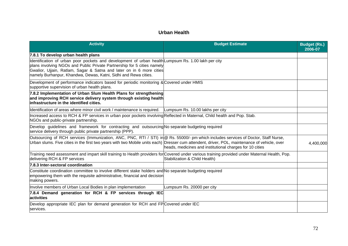#### **Urban Health**

| <b>Activity</b>                                                                                                                                                                                                                                                                                                           | <b>Budget Estimate</b>                                   | <b>Budget (Rs.)</b><br>2006-07 |
|---------------------------------------------------------------------------------------------------------------------------------------------------------------------------------------------------------------------------------------------------------------------------------------------------------------------------|----------------------------------------------------------|--------------------------------|
| 7.8.1 To develop urban health plans                                                                                                                                                                                                                                                                                       |                                                          |                                |
| Identification of urban poor pockets and development of urban health Lumpsum Rs. 1.00 lakh per city<br>plans involving NGOs and Public Private Partnership for 5 cities namely<br>Gwalior, Ujjain, Ratlam, Sagar & Satna and later on in 6 more cities<br>namely Burhanpur, Khandwa, Dewas, Katni, Sidhi and Rewa cities. |                                                          |                                |
| Development of performance indicators based for periodic monitoring & Covered under HMIS<br>supportive supervision of urban health plans.                                                                                                                                                                                 |                                                          |                                |
| 7.8.2 Implementation of Urban Slum Health Plans for strengthening<br>and improving RCH service delivery system through existing health<br>linfrastructure in the identified cities.                                                                                                                                       |                                                          |                                |
| Identification of areas where minor civil work / maintenance is required.                                                                                                                                                                                                                                                 | Lumpsum Rs. 10.00 lakhs per city                         |                                |
| Increased access to RCH & FP services in urban poor pockets involving Reflected in Maternal, Child health and Pop. Stab.<br>NGOs and public-private partnership.                                                                                                                                                          |                                                          |                                |
| Develop guidelines and framework for contracting and outsourcing No separate budgeting required<br>service delivery through public private partnership (PPP).                                                                                                                                                             |                                                          |                                |
| Outsourcing of RCH services (Immunization, ANC, PNC, RTI / STI) in @ Rs. 55000/- pm which includes services of Doctor, Staff Nurse,<br>Urban slums. Five cities in the first two years with two Mobile units each) Dresser cum attendent, driver, POL, maintenance of vehicle, over                                       | heads, medicines and institutional charges for 10 cities | 4,400,000                      |
| Training need assessment and impart skill training to Health providers for Covered under various training provided under Maternal Health, Pop.<br>delivering RCH & FP services                                                                                                                                            | Stabilization & Child Health)                            |                                |
| 7.8.3 Inter-sectoral coordination                                                                                                                                                                                                                                                                                         |                                                          |                                |
| Constitute coordination committee to involve different stake holders and No separate budgeting required<br>empowering them with the requisite administrative, financial and decision<br>making powers.                                                                                                                    |                                                          |                                |
| Involve members of Urban Local Bodies in plan implementation                                                                                                                                                                                                                                                              | Lumpsum Rs. 20000 per city                               |                                |
| 7.8.4 Demand generation for RCH & FP services through IEC<br>activities                                                                                                                                                                                                                                                   |                                                          |                                |
| Develop appropriate IEC plan for demand generation for RCH and FPCovered under IEC<br>services.                                                                                                                                                                                                                           |                                                          |                                |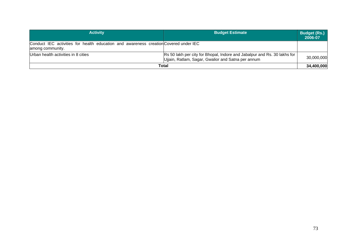| <b>Activity</b>                                                                                          | <b>Budget Estimate</b>                                                                                                         | Budget (Rs.)<br>2006-07 |
|----------------------------------------------------------------------------------------------------------|--------------------------------------------------------------------------------------------------------------------------------|-------------------------|
| Conduct IEC activities for health education and awareness creation Covered under IEC<br>among community. |                                                                                                                                |                         |
| Urban health activities in 8 cities                                                                      | Rs 50 lakh per city for Bhopal, Indore and Jabalpur and Rs. 30 lakhs for<br>Ujjain, Ratlam, Sagar, Gwalior and Satna per annum | 30,000,000              |
|                                                                                                          | Total                                                                                                                          | 34,400,000              |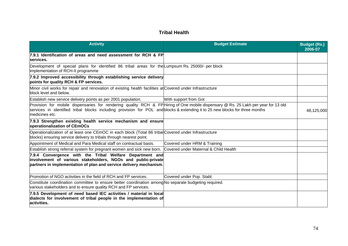## **Tribal Health**

| <b>Activity</b>                                                                                                                                                                                                                                                                     | <b>Budget Estimate</b>                | <b>Budget (Rs.)</b><br>2006-07 |
|-------------------------------------------------------------------------------------------------------------------------------------------------------------------------------------------------------------------------------------------------------------------------------------|---------------------------------------|--------------------------------|
| 7.9.1 Identification of areas and need assessment for RCH & FP<br>services.                                                                                                                                                                                                         |                                       |                                |
| Development of special plans for identified 86 tribal areas for the Lumpsum Rs. 25000/- per block<br>implementation of RCH-II programme                                                                                                                                             |                                       |                                |
| 7.9.2 Improved accessibility through establishing service delivery<br>points for quality RCH & FP services.                                                                                                                                                                         |                                       |                                |
| Minor civil works for repair and renovation of existing health facilities at Covered under Infrastructure<br>block level and below.                                                                                                                                                 |                                       |                                |
| Establish new service delivery points as per 2001 population.                                                                                                                                                                                                                       | With support from Gol                 |                                |
| Provision for mobile dispensaries for rendering quality RCH & FPHiring of One mobile dispensary @ Rs. 25 Lakh per year for 13 old<br>services in identified tribal blocks including provision for POL and blocks & extending it to 25 new blocks for three months<br>medicines etc. |                                       | 48,125,000                     |
| 7.9.3 Strengthen existing health service mechanism and ensure<br>operationalization of CEmOCs                                                                                                                                                                                       |                                       |                                |
| Operationalization of at least one CEmOC in each block (Total 86 tribal Covered under Infrastructure<br>blocks) ensuring service delivery to tribals through nearest point.                                                                                                         |                                       |                                |
| Appointment of Medical and Para Medical staff on contractual basis.                                                                                                                                                                                                                 | Covered under HRM & Training          |                                |
| Establish strong referral system for pregnant women and sick new born.                                                                                                                                                                                                              | Covered under Maternal & Child Health |                                |
| 7.9.4 Convergence with the Tribal Welfare Department and<br>involvement of various stakeholders, NGOs and public-private<br>partners in implementation of plan and service delivery mechanism.                                                                                      |                                       |                                |
| Promotion of NGO activities in the field of RCH and FP services.                                                                                                                                                                                                                    | Covered under Pop. Stabl.             |                                |
| Constitute coordination committee to ensure better coordination among No separate budgeting required.<br>various stakeholders and to ensure quality RCH and FP services.                                                                                                            |                                       |                                |
| 7.9.5 Development of need based IEC activities / material in local<br>dialects for involvement of tribal people in the implementation of<br>activities.                                                                                                                             |                                       |                                |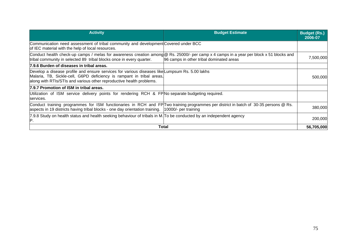| <b>Activity</b>                                                                                                                                                                                                                                 | <b>Budget Estimate</b>                   | <b>Budget (Rs.)</b><br>2006-07 |
|-------------------------------------------------------------------------------------------------------------------------------------------------------------------------------------------------------------------------------------------------|------------------------------------------|--------------------------------|
| Communication need assessment of tribal community and development Covered under BCC<br>of IEC material with the help of local resources.                                                                                                        |                                          |                                |
| Conduct health check-up camps / melas for awareness creation among @ Rs. 25000/- per camp x 4 camps in a year per block x 51 blocks and<br>tribal community in selected 89 tribal blocks once in every quarter.                                 | 96 camps in other tribal dominated areas | 7,500,000                      |
| 7.9.6 Burden of diseases in tribal areas.                                                                                                                                                                                                       |                                          |                                |
| Develop a disease profile and ensure services for various diseases like Lumpsum Rs. 5.00 lakhs<br>Malaria, TB, Sickle-cell, G6PD deficiency is rampant in tribal areas,<br>along with RTIs/STIs and various other reproductive health problems. |                                          | 500,000                        |
| 7.9.7 Promotion of ISM in tribal areas.                                                                                                                                                                                                         |                                          |                                |
| Utilization of ISM service delivery points for rendering RCH & FP No separate budgeting required.<br>services.                                                                                                                                  |                                          |                                |
| Conduct training programmes for ISM functionaries in RCH and FP Two training programmes per district in batch of 30-35 persons @ Rs.<br>aspects in 19 districts having tribal blocks - one day orientation training.  10000/- per training      |                                          | 380,000                        |
| 7.9.8 Study on health status and health seeking behaviour of tribals in M. To be conducted by an independent agency<br>IP.                                                                                                                      |                                          | 200,000                        |
|                                                                                                                                                                                                                                                 | <b>Total</b>                             | 56,705,000                     |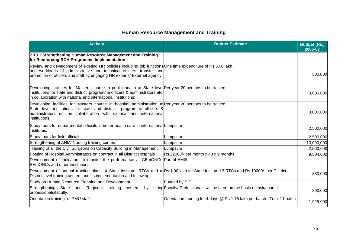# **Human Resource Management and Training**

| <b>Activity</b>                                                                                                                                                                                                                                                            | <b>Budget Estimate</b>                                                    | <b>Budget (Rs.)</b><br>2006-07 |
|----------------------------------------------------------------------------------------------------------------------------------------------------------------------------------------------------------------------------------------------------------------------------|---------------------------------------------------------------------------|--------------------------------|
| 7.10.1 Strengthening Human Resource Management and Training<br>for Reinforcing RCH Programme Implementation                                                                                                                                                                |                                                                           |                                |
| Review and development of existing HR policies including job functions One time expenditure of Rs 5.00 lakh.<br>and workloads of administrative and technical officers, transfer and<br>promotion of officers and staff by engaging HR experts/ External agency.           |                                                                           | 500,000                        |
| Developing facilities for Masters course in public health at State level Per year 20 persons to be trained.<br>institutions for state and district programme officers & administrators etc,<br>in collaboration with national and international institutions.              |                                                                           | 3,000,000                      |
| Developing facilities for Masters course in hospital administration at Per year 20 persons to be trained.<br>State level institutions for state and district programme officers &<br>administrators etc, in collaboration with national and international<br>institutions. |                                                                           | 3,000,000                      |
| Study tours for departmental officials in better health care in international Lumpsum<br>institutes.                                                                                                                                                                       |                                                                           | 2,500,000                      |
| Study tours for field officials                                                                                                                                                                                                                                            | Lumpsum                                                                   | 2,500,000                      |
| Strengthening of ANM/ Nursing training centers                                                                                                                                                                                                                             | Lumpsum                                                                   | 10,000,000                     |
| Training of all the Civil Surgeons on Capacity Building in Management                                                                                                                                                                                                      | Lumpsum                                                                   | 2,500,000                      |
| Posting of Hospital Administrators on contract in all District Hospitals                                                                                                                                                                                                   | Rs.22000/- per month x 48 x 9 months                                      | 9,504,000                      |
| Development of indicators to monitor the performance at CEmONCs, Part of HMIS<br>BEmONCs and other Institutions.                                                                                                                                                           |                                                                           |                                |
| Development of annual training plans at State Institute, RTCs and at Rs 1.00 lakh for State Inst. and 3 RTCs and Rs.10000/- per District.<br>District level training centers and its implementation and follow up.                                                         |                                                                           | 880,000                        |
| Study on Human Resource Planning and Development                                                                                                                                                                                                                           | Funded by SIP                                                             |                                |
| Strengthening State and Regional training centers<br>by<br>professionals/faculty.                                                                                                                                                                                          | hiring Faculty/ Professionals will be hired on the basis of task/course.  | 800,000                        |
| Orientation training of PMU staff.                                                                                                                                                                                                                                         | Orientation training for 4 days @ Rs 1.75 lakh per batch. Total 11 batch. | 1,925,000                      |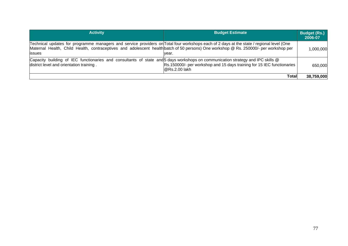| <b>Activity</b>                                                                                                                                                                                                                                                                                     | <b>Budget Estimate</b>                                                                     | <b>Budget (Rs.)</b><br>2006-07 |
|-----------------------------------------------------------------------------------------------------------------------------------------------------------------------------------------------------------------------------------------------------------------------------------------------------|--------------------------------------------------------------------------------------------|--------------------------------|
| Technical updates for programme managers and service providers on Total four workshops each of 2 days at the state / regional level (One<br>Maternal Health, Child Health, contraceptives and adolescent health batch of 50 persons) One workshop @ Rs. 250000/- per workshop per<br><b>lissues</b> | vear.                                                                                      | 1,000,000                      |
| Capacity building of IEC functionaries and consultants of state and 5 days workshops on communication strategy and IPC skills @<br>district level and orientation training.                                                                                                                         | Rs.150000/- per workshop and 15 days training for 15 IEC functionaries<br>$@$ Rs.2.00 lakh | 650,000                        |
|                                                                                                                                                                                                                                                                                                     | Totall                                                                                     | 38,759,000                     |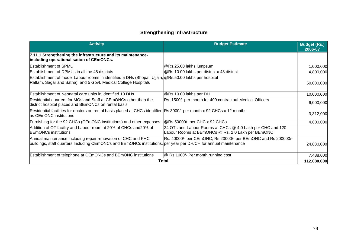## **Strengthening Infrastructure**

| <b>Activity</b>                                                                                                                                                                  | <b>Budget Estimate</b>                                                                                          | <b>Budget (Rs.)</b><br>2006-07 |
|----------------------------------------------------------------------------------------------------------------------------------------------------------------------------------|-----------------------------------------------------------------------------------------------------------------|--------------------------------|
| 7.11.1 Strengthening the infrastructure and its maintenance-<br>including operationalisation of CEmONCs.                                                                         |                                                                                                                 |                                |
| Establishment of SPMU                                                                                                                                                            | @Rs.25.00 lakhs lumpsum                                                                                         | 1,000,000                      |
| Establishment of DPMUs in all the 48 districts                                                                                                                                   | @Rs.10.00 lakhs per district x 48 district                                                                      | 4,800,000                      |
| Establishment of model Labour rooms in identified 5 DHs (Bhopal, Ujjain, @Rs.50.00 lakhs per hospital<br>Ratlam, Sagar and Satna) and 5 Govt. Medical College Hospitals          |                                                                                                                 | 50,000,000                     |
| Establishment of Neonatal care units in identified 10 DHs                                                                                                                        | @Rs.10.00 lakhs per DH                                                                                          | 10,000,000                     |
| Residential quarters for MOs and Staff at CEmONCs other than the<br>district hospital places and BEmONCs on rental basis                                                         | Rs. 1500/- per month for 400 contractual Medical Officers                                                       | 6,000,000                      |
| Residential facilities for doctors on rental basis placed at CHCs identified Rs.3000/- per month x 92 CHCs x 12 months<br>as CEmONC institutions                                 |                                                                                                                 | 3,312,000                      |
| Furnishing for the 92 CHCs (CEmONC institutions) and other expenses                                                                                                              | @Rs.50000/- per CHC x 92 CHCs                                                                                   | 4,600,000                      |
| Addition of OT facility and Labour room at 20% of CHCs and 20% of<br><b>BEmONCs institutions</b>                                                                                 | 24 OTs and Labour Rooms at CHCs @ 4.0 Lakh per CHC and 120<br>Labour Rooms at BEmONCs @ Rs. 2.0 Lakh per BEmONC |                                |
| Annual maintenance including repair renovation of CHC and PHC<br>buildings, staff quarters Including CEmONCs and BEmONCs institutions. per year per DH/CH for annual maintenance | Rs. 40000/- per CEmONC, Rs 20000/- per BEmONC and Rs 200000/-                                                   | 24,880,000                     |
| Establishment of telephone at CEmONCs and BEmONC institutions                                                                                                                    | @ Rs.1000/- Per month running cost                                                                              | 7,488,000                      |
|                                                                                                                                                                                  | Total                                                                                                           | 112,080,000                    |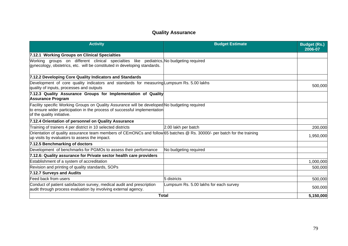## **Quality Assurance**

| <b>Activity</b>                                                                                                                                                                                          | <b>Budget Estimate</b>                 | <b>Budget (Rs.)</b><br>2006-07 |
|----------------------------------------------------------------------------------------------------------------------------------------------------------------------------------------------------------|----------------------------------------|--------------------------------|
| 7.12.1 Working Groups on Clinical Specialties                                                                                                                                                            |                                        |                                |
| Working groups on different clinical specialties like pediatrics, No budgeting required<br>gynecology, obstetrics, etc. will be constituted in developing standards.                                     |                                        |                                |
| 7.12.2 Developing Core Quality Indicators and Standards                                                                                                                                                  |                                        |                                |
| Development of core quality indicators and standards for measuring Lumpsum Rs. 5.00 lakhs<br>quality of inputs, processes and outputs                                                                    |                                        | 500,000                        |
| 7.12.3 Quality Assurance Groups for Implementation of Quality<br><b>Assurance Program</b>                                                                                                                |                                        |                                |
| Facility specific Working Groups on Quality Assurance will be developed No budgeting required<br>to ensure wider participation in the process of successful implementation<br>of the quality initiative. |                                        |                                |
| 7.12.4 Orientation of personnel on Quality Assurance                                                                                                                                                     |                                        |                                |
| Training of trainers 4 per district in 10 selected districts                                                                                                                                             | 2.00 lakh per batch                    | 200,000                        |
| Orientation of quality assurance team members of CEmONCs and follow 65 batches @ Rs. 30000/- per batch for the training<br>up visits by evaluators to assess the impact.                                 |                                        | 1,950,000                      |
| 7.12.5 Benchmarking of doctors                                                                                                                                                                           |                                        |                                |
| Development of benchmarks for PGMOs to assess their performance                                                                                                                                          | No budgeting required                  |                                |
| 7.12.6: Quality assurance for Private sector health care providers                                                                                                                                       |                                        |                                |
| Establishment of a system of accreditation                                                                                                                                                               |                                        | 1,000,000                      |
| Revision and printing of quality standards, SOPs                                                                                                                                                         |                                        | 500,000                        |
| 7.12.7 Surveys and Audits                                                                                                                                                                                |                                        |                                |
| Feed back from users                                                                                                                                                                                     | 5 districts                            | 500,000                        |
| Conduct of patient satisfaction survey, medical audit and prescription<br>audit through process evaluation by involving external agency.                                                                 | Lumpsum Rs. 5.00 lakhs for each survey | 500,000                        |
| <b>Total</b>                                                                                                                                                                                             |                                        | 5,150,000                      |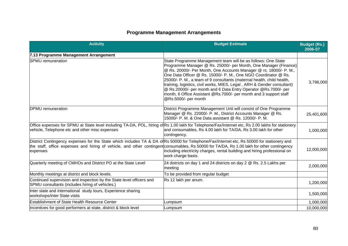# **Programme Management Arrangements**

| <b>Activity</b>                                                                                                                                                                                                                                                                                      | <b>Budget Estimate</b>                                                                                                                                                                                                                                                                                                                                                                                                                                                                                                                                                                            | <b>Budget (Rs.)</b><br>2006-07 |
|------------------------------------------------------------------------------------------------------------------------------------------------------------------------------------------------------------------------------------------------------------------------------------------------------|---------------------------------------------------------------------------------------------------------------------------------------------------------------------------------------------------------------------------------------------------------------------------------------------------------------------------------------------------------------------------------------------------------------------------------------------------------------------------------------------------------------------------------------------------------------------------------------------------|--------------------------------|
| 7.13 Programme Management Arrangement                                                                                                                                                                                                                                                                |                                                                                                                                                                                                                                                                                                                                                                                                                                                                                                                                                                                                   |                                |
| <b>SPMU</b> remuneration                                                                                                                                                                                                                                                                             | State Programme Management team will be as follows: One State<br>Programme Manager @ Rs. 25000/- per Month, One Manager (Finance)<br>@ Rs. 20000/- Per Month, One Accounts Manager @ rs. 18000/- P. M.,<br>One Data Officer @ Rs. 15000/- P. M., One NGO Coordinator @ Rs.<br>25000/- P. M., a team of 9 consultants (maternal health, child health,<br>training, logistics, civil works, MIES, Legal, ARH & Gender consultant)<br>@ Rs.20000/- per month and 6 Data Entry Operator @ Rs.7000/- per<br>month, 6 Office Assistant @Rs.7000/- per month and 3 support staff<br>@Rs.5000/- per month | 3,796,000                      |
| <b>IDPMU</b> remuneration                                                                                                                                                                                                                                                                            | District Programme Management Unit will consist of One Programme<br>Manager @ Rs. 22000/- P. M., District Accounts Manager @ Rs.<br>15000/- P. M. & One Data assistant @ Rs. 12000/- P. M.                                                                                                                                                                                                                                                                                                                                                                                                        | 25,401,600                     |
| Office expenses for SPMU at State level including TA-DA, POL, hiring of Rs 1.00 lakh for Telephone/Fax/Internet etc, Rs 2.00 lakhs for stationery<br>vehicle, Telephone etc and other misc expenses                                                                                                  | and consumables, Rs 4.00 lakh for TA/DA, Rs 3.00 lakh for other<br>contingency.                                                                                                                                                                                                                                                                                                                                                                                                                                                                                                                   | 1,000,000                      |
| District Contingency expenses for the State which includes TA & DA of Rs 50000 for Telephone/Fax/Internet etc, Rs 50000 for stationery and<br>the staff, office expenses and hiring of vehicle, and other contingent consumables, Rs 50000 for TA/DA, Rs 1.00 lakh for other contingency<br>expenses | including electricity charges, rental building and hiring professional on<br>work charge basis.                                                                                                                                                                                                                                                                                                                                                                                                                                                                                                   | 12,000,000                     |
| Quarterly meeting of CMHOs and District PO at the State Level                                                                                                                                                                                                                                        | 24 districts on day 1 and 24 districts on day 2 @ Rs. 2.5 Lakhs per<br>meeting                                                                                                                                                                                                                                                                                                                                                                                                                                                                                                                    | 2,000,000                      |
| Monthly meetings at district and block levels.                                                                                                                                                                                                                                                       | To be provided from regular budget                                                                                                                                                                                                                                                                                                                                                                                                                                                                                                                                                                |                                |
| Continued supervision and inspection by the State level officers and<br>SPMU consultants (includes hiring of vehicles.)                                                                                                                                                                              | Rs 12 lakh per anum.                                                                                                                                                                                                                                                                                                                                                                                                                                                                                                                                                                              | 1,200,000                      |
| Inter state and international study tours, Experience sharing<br>workshops/inter State visits                                                                                                                                                                                                        |                                                                                                                                                                                                                                                                                                                                                                                                                                                                                                                                                                                                   | 1,500,000                      |
| <b>Establishment of State Health Resource Center</b>                                                                                                                                                                                                                                                 | Lumpsum                                                                                                                                                                                                                                                                                                                                                                                                                                                                                                                                                                                           | 1,000,000                      |
| Incentives for good performers at state, district & block level                                                                                                                                                                                                                                      | Lumpsum                                                                                                                                                                                                                                                                                                                                                                                                                                                                                                                                                                                           | 10,000,000                     |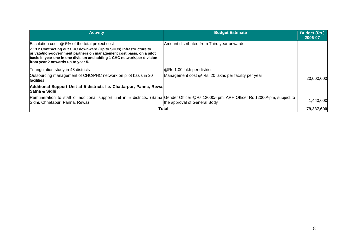| <b>Activity</b>                                                                                                                                                                                                                                            | <b>Budget Estimate</b>                               | <b>Budget (Rs.)</b><br>2006-07 |
|------------------------------------------------------------------------------------------------------------------------------------------------------------------------------------------------------------------------------------------------------------|------------------------------------------------------|--------------------------------|
| Escalation cost $@$ 5% of the total project cost                                                                                                                                                                                                           | Amount distributed from Third year onwards           |                                |
| 7.13.2 Contracting out CHC downward (Up to SHCs) infrastructure to<br>private/non-government partners on management cost basis, on a pilot<br>basis in year one in one division and adding 1 CHC network/per division<br>from year 2 onwards up to year 5. |                                                      |                                |
| Triangulation study in 48 districts                                                                                                                                                                                                                        | @Rs.1.00 lakh per district                           |                                |
| Outsourcing management of CHC/PHC network on pilot basis in 20<br><b>facilities</b>                                                                                                                                                                        | Management cost @ Rs. 20 lakhs per facility per year | 20,000,000                     |
| Additional Support Unit at 5 districts I.e. Chattarpur, Panna, Rewa,<br><b>Satna &amp; Sidhi</b>                                                                                                                                                           |                                                      |                                |
| Remuneration to staff of additional support unit in 5 districts. (Satna, Gender Officer @Rs.12000/- pm, ARH Officer Rs 12000/-pm, subject to<br>Sidhi, Chhatapur, Panna, Rewa)                                                                             | the approval of General Body                         | 1,440,000                      |
|                                                                                                                                                                                                                                                            | Total                                                | 79,337,600                     |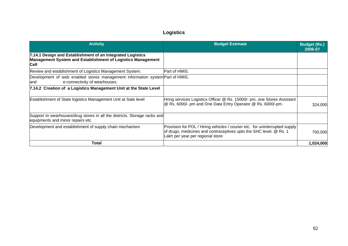## **Logistics**

| <b>Activity</b>                                                                                                                   | <b>Budget Estimate</b>                                                                                                                                                                | <b>Budget (Rs.)</b><br>2006-07 |
|-----------------------------------------------------------------------------------------------------------------------------------|---------------------------------------------------------------------------------------------------------------------------------------------------------------------------------------|--------------------------------|
| 7.14.1 Design and Establishment of an Integrated Logistics<br>Management System and Establishment of Logistics Management<br>Cell |                                                                                                                                                                                       |                                |
| Review and establishment of Logistics Management System.                                                                          | Part of HMIS.                                                                                                                                                                         |                                |
| Development of web enabled stores management information system Part of HMIS.<br>e-connectivity of wearhouses.<br>and             |                                                                                                                                                                                       |                                |
| 7.14.2 Creation of a Logistics Management Unit at the State Level                                                                 |                                                                                                                                                                                       |                                |
| Establishment of State logistics Management Unit at Sate level                                                                    | Hring services Logistics Officer @ Rs. 15000/- pm, one Stores Assistant<br>@ Rs. 6000/- pm and One Data Entry Operator @ Rs. 6000/-pm.                                                | 324,000                        |
| Support to wearhouses/drug stores in all the districts. Storage racks and<br>equipments and minor repairs etc.                    |                                                                                                                                                                                       |                                |
| Development and establishment of supply chain mechanism                                                                           | Provision for POL / Hiring vehicles / courier etc. for uninterrupted supply<br>of drugs, medicines and contraceptives upto the SHC level. @ Rs. 1<br>Lakh per year per regional store | 700,000                        |
| Total                                                                                                                             |                                                                                                                                                                                       | 1,024,000                      |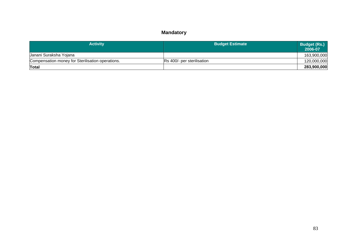## **Mandatory**

| <b>Activity</b>                                  | <b>Budget Estimate</b>     | Budget (Rs.)<br>2006-07 |
|--------------------------------------------------|----------------------------|-------------------------|
| Janani Suraksha Yojana                           |                            | 163,900,000             |
| Compensation money for Sterilisation operations. | Rs 400/- per sterilisation | 120,000,000             |
| Total                                            |                            | 283,900,000             |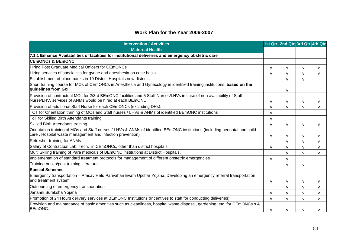#### **Work Plan for the Year 2006-2007**

| <b>Intervention / Activities</b>                                                                                                                                                        |              | 1st Qtr. 2nd Qtr 3rd Qtr 4th Qtr |              |              |
|-----------------------------------------------------------------------------------------------------------------------------------------------------------------------------------------|--------------|----------------------------------|--------------|--------------|
| <b>Maternal Health</b>                                                                                                                                                                  |              |                                  |              |              |
| 7.1.1 Enhance Availabilities of facilities for institutional deliveries and emergency obstetric care                                                                                    |              |                                  |              |              |
| <b>CEmONCs &amp; BEmONC</b>                                                                                                                                                             |              |                                  |              |              |
| Hiring Post Graduate Medical Officers for CEmONCs                                                                                                                                       | $\mathsf{V}$ | $\mathsf{V}$                     | $\mathsf{V}$ | v            |
| Hiring services of specialists for gynae and anesthesia on case basis                                                                                                                   | $\mathsf{V}$ | v                                | $\mathsf{V}$ | $\mathsf{V}$ |
| Establishment of blood banks in 10 District Hospitals new districts.                                                                                                                    |              | $\mathsf{V}$                     | $\mathsf{v}$ |              |
| Short training course for MOs of CEmONCs in Anesthesia and Gynecology in identified training institutions, based on the<br>quidelines from Gol.                                         |              | v                                |              |              |
| Provision of contractual MOs for 2/3rd BEmONC facilities and 5 Staff Nurses/LHVs in case of non availability of Staff<br>Nurse/LHV, services of ANMs would be hired at each BEmONC.     | $\mathsf{V}$ | v                                | $\mathsf{V}$ | v            |
| Provision of additional Staff Nurse for each CEmONCs (excluding DHs).                                                                                                                   | $\mathsf{V}$ | $\mathsf{V}$                     | $\mathbf v$  | $\mathsf{V}$ |
| TOT for Orientation training of MOs and Staff nurses / LHVs & ANMs of identified BEmONC institutions                                                                                    | v            |                                  |              |              |
| ToT for Skilled Birth Attendants training                                                                                                                                               | $\mathsf{V}$ |                                  |              |              |
| Skilled Birth Attendants training                                                                                                                                                       | $\mathsf{V}$ | $\mathsf{V}$                     | $\mathsf{v}$ | $\mathsf{V}$ |
| Orientation training of MOs and Staff nurses / LHVs & ANMs of identified BEmONC institutions (including neonatal and child<br>care, Hospital waste management and infection prevention) | V            | v                                | $\mathsf{V}$ | $\mathsf{v}$ |
| Refresher training for ANMs                                                                                                                                                             |              | $\mathbf{v}$                     | $\mathbf{V}$ | $\mathsf{v}$ |
| Salary of Contractual Lab. Tech. in CEmONCs, other than district hospitals.                                                                                                             | $\mathsf{V}$ | v                                | $\mathsf{V}$ | $\mathsf{v}$ |
| Multi Skiling training of Para medicals of BEmONC institutions at District Hospitals.                                                                                                   |              | $\mathbf{v}$                     | $\mathbf{v}$ | $\mathsf{V}$ |
| Implementation of standard treatment protocols for management of different obstetric emergencies                                                                                        | v            | $\mathsf{V}$                     |              |              |
| Training books/post training literature                                                                                                                                                 |              | $\mathsf{V}$                     | $\mathsf{V}$ |              |
| <b>Special Schemes</b>                                                                                                                                                                  |              |                                  |              |              |
| Emergency transportation – Prasav Hetu Parivahan Evam Upchar Yojana, Developing an emergency referral transportation<br>and treatment system                                            | V            | v                                | $\mathsf{V}$ | $\mathsf{V}$ |
| Outsourcing of emergency transportation                                                                                                                                                 |              | $\mathsf{V}$                     | $\mathsf{v}$ | $\mathsf{v}$ |
| Jananni Suraksha Yojana                                                                                                                                                                 | $\mathsf{V}$ | v                                | $\mathsf{V}$ | v            |
| Promotion of 24 Hours delivery services at BEmONC Institutions (Incentives to staff for conducting deliveries)                                                                          | $\mathsf{V}$ | $\mathsf{V}$                     | $\mathsf{v}$ | $\mathsf{V}$ |
| Provision and maintenance of basic amenities such as cleanliness, hospital waste disposal, gardening, etc. for CEmONCs s &<br><b>BEmONC.</b>                                            | $\mathsf{V}$ | $\mathsf{V}$                     | $\mathbf v$  | $\mathsf{V}$ |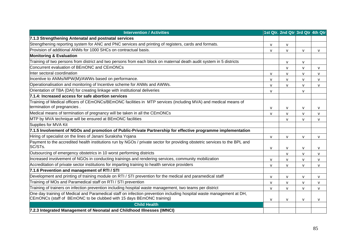| <b>Intervention / Activities</b>                                                                                                                                                             |              | 1st Qtr. 2nd Qtr 3rd Qtr 4th Qtr |              |              |
|----------------------------------------------------------------------------------------------------------------------------------------------------------------------------------------------|--------------|----------------------------------|--------------|--------------|
| 7.1.3 Strengthening Antenatal and postnatal services                                                                                                                                         |              |                                  |              |              |
| Strengthening reporting system for ANC and PNC services and printing of registers, cards and formats.                                                                                        | $\mathsf{V}$ | $\mathsf{V}$                     |              |              |
| Provision of additional ANMs for 1000 SHCs on contractual basis.                                                                                                                             | $\mathsf{V}$ | V                                | V            | v            |
| <b>Monitoring &amp; Evaluation</b>                                                                                                                                                           |              |                                  |              |              |
| Training of two persons from district and two persons from each block on maternal death audit system in 5 districts                                                                          |              | $\mathsf{V}$                     | $\mathsf{v}$ |              |
| Concurrent evaluation of BEmONC and CEmONCs                                                                                                                                                  |              | $\mathsf{V}$                     | $\mathsf{V}$ | $\mathsf{V}$ |
| Inter sectoral coordination                                                                                                                                                                  | $\mathsf{V}$ | v                                | $\mathsf{V}$ | $\vee$       |
| Incentive to ANMs/MPW(M)/AWWs based on performance.                                                                                                                                          | $\mathsf{V}$ | $\mathsf{V}$                     | $\mathsf{V}$ | $\mathsf{V}$ |
| Operationalisation and monitoring of Incentive scheme for ANMs and AWWs.                                                                                                                     | v            | $\mathsf{V}$                     | $\mathsf{V}$ | $\mathsf{v}$ |
| Orientation of TBA (DAI) for creating linkage with institutional deliveries                                                                                                                  | $\mathsf{V}$ |                                  | $\mathsf{V}$ |              |
| 7.1.4: Increased access for safe abortion services                                                                                                                                           |              |                                  |              |              |
| Training of Medical officers of CEmONCs/BEmONC facilities in MTP services (including MVA) and medical means of                                                                               |              |                                  |              |              |
| termination of pregnancies.                                                                                                                                                                  | $\mathsf{V}$ | $\mathsf{V}$                     | $\mathsf{V}$ | v            |
| Medical means of termination of pregnancy will be taken in all the CEmONCs                                                                                                                   | $\mathsf{V}$ | $\mathsf{V}$                     | $\mathsf{V}$ | $\mathsf{V}$ |
| MTP by MVA technique will be ensured at BEmONC facilities                                                                                                                                    |              | $\mathsf{V}$                     | V            | v            |
| Supplies for MVA Kit                                                                                                                                                                         |              |                                  |              |              |
| 7.1.5 Involvement of NGOs and promotion of Public-Private Partnership for effective programme implementation                                                                                 |              |                                  |              |              |
| Hiring of specialist on the lines of Janani Suraksha Yojana                                                                                                                                  | $\mathsf{V}$ | $\mathsf{V}$                     | $\mathsf{V}$ | v            |
| Payment to the accredited health institutions run by NGOs / private sector for providing obstetric services to the BPL and<br>SC/STs.                                                        | $\mathsf{V}$ | $\mathsf{V}$                     | $\mathsf{V}$ | $\vee$       |
| Outsourcing of emergency obstetrics in 10 worst performing districts                                                                                                                         |              | $\mathsf{V}$                     | $\mathsf{V}$ | $\mathsf{V}$ |
| Increased involvement of NGOs in conducting trainings and rendering services, community mobilization                                                                                         | $\mathsf{V}$ | $\mathsf{V}$                     | $\mathsf{V}$ | $\mathsf{v}$ |
| Accreditation of private sector institutions for imparting training to health service providers                                                                                              | $\mathsf{V}$ | v                                | $\mathsf{V}$ | $\mathsf{V}$ |
| 7.1.6 Prevention and management of RTI / STI                                                                                                                                                 |              |                                  |              |              |
| Development and printing of training module on RTI / STI prevention for the medical and paramedical staff                                                                                    | $\mathsf{V}$ | $\mathsf{V}$                     | $\mathsf{V}$ | $\mathsf{v}$ |
| Training of MOs and Paramedical staff on RTI / STI prevention                                                                                                                                | $\mathsf{V}$ | $\mathsf{V}$                     | $\mathsf{V}$ | $\vee$       |
| Training of trainers on infection prevention including hospital waste management, two teams per district                                                                                     | $\mathsf{V}$ | $\mathsf{V}$                     | $\mathsf{V}$ | $\mathsf{V}$ |
| One day training of Medical and Paramedical staff on infection prevention including hospital waste management at DH,<br>CEmONCs (staff of BEmONC to be clubbed with 15 days BEmONC training) | $\mathsf{V}$ | $\mathsf{V}$                     | $\mathsf{V}$ | v            |
| <b>Child Health</b>                                                                                                                                                                          |              |                                  |              |              |
| 7.2.3 Integrated Management of Neonatal and Childhood Illnesses (IMNCI)                                                                                                                      |              |                                  |              |              |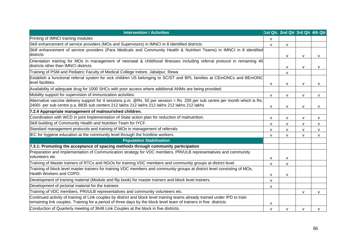| <b>Intervention / Activities</b>                                                                                                                                                                                                                  |              | 1st Qtr. 2nd Qtr 3rd Qtr 4th Qtr |              |              |
|---------------------------------------------------------------------------------------------------------------------------------------------------------------------------------------------------------------------------------------------------|--------------|----------------------------------|--------------|--------------|
| Printing of IMNCI training modules                                                                                                                                                                                                                | $\mathsf{V}$ |                                  |              |              |
| Skill enhancement of service providers (MOs and Supervisors) in IMNCI in 8 identified districts                                                                                                                                                   | $\mathsf{V}$ | v                                |              |              |
| Skill enhancement of service providers (Para Medicals and Community Health & Nutrition Teams) in IMNCI in 8 identified<br>districts                                                                                                               |              | $\mathsf{V}$                     | $\mathsf{V}$ | $\mathsf{v}$ |
| Orientation training for MOs in management of neonatal & childhood illnesses including referral protocol in remaining 40<br>districts other than IMNCI districts                                                                                  |              | $\mathsf{V}$                     | $\mathsf{v}$ | $\mathsf{V}$ |
| Training of PSM and Pediatric Faculty of Medical College Indore, Jabalpur, Rewa                                                                                                                                                                   |              | v                                |              |              |
| Establish a functional referral system for sick children U5 belonging to SC/ST and BPL families at CEmONCs and BEmONC<br>level facilities.                                                                                                        | $\mathsf{V}$ | $\mathsf{V}$                     | $\mathsf{V}$ | $\vee$       |
| Availability of adequate drug for 1000 SHCs with poor access where additional ANMs are being provided.                                                                                                                                            |              |                                  |              |              |
| Mobility support for supervision of immunization activities.                                                                                                                                                                                      | $\mathsf{V}$ | $\mathsf{V}$                     | $\mathsf{V}$ | $\mathsf{V}$ |
| Alternative vaccine delivery support for 4 sessions p.m. @Rs. 50 per session = Rs. 200 per sub centre per month which is Rs.<br>2400/- per sub centre p.a. 8835 sub centers 212 lakhs 212 lakhs 212 lakhs 212 lakhs 212 lakhs                     | V            | v                                | $\mathsf{V}$ | $\mathsf{V}$ |
| 7.2.4 Appropriate management of malnourished children.                                                                                                                                                                                            |              |                                  |              |              |
| Coordination with WCD in joint Implementation of State action plan for reduction of malnutrition.                                                                                                                                                 | $\mathsf{V}$ | $\mathsf{V}$                     | $\mathsf{V}$ | v            |
| Skill building of Community Health and Nutrition Team for IYCF.                                                                                                                                                                                   | $\mathsf{V}$ | $\mathsf{V}$                     | $\mathsf{V}$ | $\mathsf{v}$ |
| Standard management protocols and training of MOs in management of referrals                                                                                                                                                                      | $\mathsf{V}$ | $\mathsf{V}$                     | $\mathsf{V}$ | $\mathsf{V}$ |
| IEC for hygiene education at the community level through the frontline workers.                                                                                                                                                                   | v            | v                                | v            | v            |
| <b>Population Stabilisation</b>                                                                                                                                                                                                                   |              |                                  |              |              |
| 7.3.1: Promoting the acceptance of spacing methods through community participation                                                                                                                                                                |              |                                  |              |              |
| Preparation and Implementation of Communication strategy for VDC members, PRI/ULB representatives and community<br>volunteers etc                                                                                                                 | $\mathsf{V}$ | v                                |              |              |
| Training of Master trainers of RTCs and NGOs for training VDC members and community groups at district level.                                                                                                                                     | $\mathsf{V}$ | $\mathsf{V}$                     |              |              |
| Training of block level master trainers for training VDC members and community groups at district level consisting of MOs,<br>Health Workers and CDPO.                                                                                            | v            | $\mathsf{V}$                     |              |              |
| Development of training material (Module and flip book) for master trainers and block level trainers.                                                                                                                                             | $\mathsf{V}$ |                                  |              |              |
| Development of pictorial material for the trainees                                                                                                                                                                                                | $\mathsf{V}$ |                                  |              |              |
| Training of VDC members, PRI/ULB representatives and community volunteers etc.                                                                                                                                                                    |              |                                  | $\mathsf{V}$ | $\mathsf{v}$ |
| Continued activity of training of Link couples by district and block level training teams already trained under IPD to train<br>remaining link couples. Training for a period of three days by the block level team of trainers in five districts | V            |                                  |              |              |
| Conduction of Quarterly meeting of 3649 Link Couples at the block in five districts.                                                                                                                                                              | V            | $\mathsf{V}$                     | $\mathsf{V}$ | v            |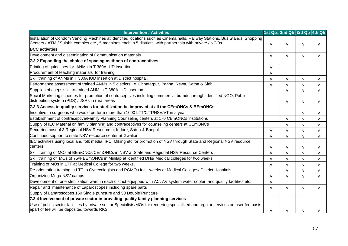| <b>Intervention / Activities</b>                                                                                                                                                                                                         |              | 1st Qtr. 2nd Qtr 3rd Qtr 4th Qtr |              |              |
|------------------------------------------------------------------------------------------------------------------------------------------------------------------------------------------------------------------------------------------|--------------|----------------------------------|--------------|--------------|
| Installation of Condom Vending Machines at identified locations such as Cinema halls, Railway Stations, Bus Stands, Shopping<br>Centers / ATM / Sulabh complex etc., 5 machines each in 5 districts with partnership with private / NGOs | $\mathsf{V}$ | v                                | v            | $\mathsf{V}$ |
| <b>BCC</b> activities                                                                                                                                                                                                                    |              |                                  |              |              |
| Development and dissemination of Communication materials                                                                                                                                                                                 | $\mathsf{V}$ | $\mathsf{V}$                     | v            | $\mathsf{V}$ |
| 7.3.2 Expanding the choice of spacing methods of contraceptives                                                                                                                                                                          |              |                                  |              |              |
| Printing of guidelines for ANMs in T 380A IUD insertion.                                                                                                                                                                                 | v            |                                  |              |              |
| Procurement of teaching materials for training                                                                                                                                                                                           | v            |                                  |              |              |
| Skill training of ANMs in T 380A IUD insertion at District hospital.                                                                                                                                                                     | $\mathsf{V}$ | $\mathsf{V}$                     | $\mathsf{V}$ | $\mathsf{V}$ |
| Performance assessment of trained ANMs in 5 districts I.e. Chhatarpur, Panna, Rewa, Satna & Sidhi                                                                                                                                        | $\mathsf{V}$ | V                                | v            | V            |
| Supplies of asepsis kit to trained ANM in T 380A IUD insertion                                                                                                                                                                           |              | $\mathsf{V}$                     | v            | $\mathsf{V}$ |
| Social Marketing schemes for promotion of contraceptives including commercial brands through identified NGO, Public<br>distribution system (PDS) / JSRs in rural areas                                                                   |              | $\mathsf{V}$                     | $\mathsf{V}$ | V            |
| 7.3.3 Access to quality services for sterilization be improved at all the CEmONCs & BEmONCs                                                                                                                                              |              |                                  |              |              |
| Incentive to surgeons who would perform more than 1000 LTT/CTT/NSV/VT in a year                                                                                                                                                          |              |                                  | $\mathsf{V}$ | $\mathsf{V}$ |
| Establishment of contraceptive/Family Planning Counseling centers at 170 CEmONCs institutions                                                                                                                                            |              | V                                | v            | $\mathsf{V}$ |
| Supply of IEC Material on family planning and contraceptives for counseling centers at CEmONCs                                                                                                                                           |              | $\mathsf{V}$                     | v            | $\mathsf{V}$ |
| Recurring cost of 3 Regional NSV Resource at Indore, Satna & Bhopal                                                                                                                                                                      | $\mathsf{v}$ | $\mathsf{V}$                     | $\mathsf{V}$ | $\mathsf{V}$ |
| Continued support to state NSV resource center at Gwalior                                                                                                                                                                                | v            | $\mathsf{V}$                     | v            | $\mathsf{V}$ |
| IEC activities using local and folk media, IPC, Miking etc for promotion of NSV through State and Regional NSV resource<br>centers                                                                                                       | v            | $\mathsf{V}$                     | $\mathsf{V}$ | $\mathsf{V}$ |
| Skill training of MOs at BEmONCs/CEmONCs in NSV at State and Regional NSV Resource Centers                                                                                                                                               | v            | V                                | v            | $\mathsf{V}$ |
| Skill training of MOs of 75% BEmONCs in Minilap at identified DHs/ Medical colleges for two weeks.                                                                                                                                       | v            | V                                | v            | $\mathsf{V}$ |
| Training of MOs in LTT at Medical College for two weeks.                                                                                                                                                                                 | $\mathsf{V}$ | $\mathsf{V}$                     | $\mathsf{V}$ | $\mathsf{V}$ |
| Re-orientation training in LTT to Gynecologists and PGMOs for 1 weeks at Medical Colleges/ District Hospitals.                                                                                                                           |              | $\mathsf{V}$                     | v            | $\mathsf{V}$ |
| Organizing Mega NSV camps                                                                                                                                                                                                                | $\mathsf{V}$ | $\mathsf{V}$                     | $\mathsf{v}$ | $\mathsf{V}$ |
| Development of one sterilization ward in each district equipped with AC, AV system water cooler, and quality facilities etc.                                                                                                             | v            |                                  |              |              |
| Repair and maintenance of Laparoscopes including spare parts                                                                                                                                                                             | v            | V                                | v            | $\mathsf{V}$ |
| Supply of Laparoscopes 150 Single puncture and 50 Double Puncture                                                                                                                                                                        |              |                                  |              |              |
| 7.3.4 Involvement of private sector in providing quality family planning services                                                                                                                                                        |              |                                  |              |              |
| Use of public sector facilities by private sector Specialists/MOs for rendering specialized and regular services on user fee basis,<br>apart of fee will be deposited towards RKS.                                                       | $\mathsf{v}$ | $\mathsf{V}$                     | v            | ν            |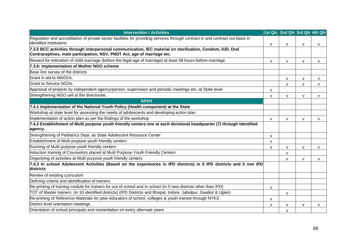| <b>Intervention / Activities</b>                                                                                                                                                      |              | 1st Qtr. 2nd Qtr 3rd Qtr 4th Qtr |              |              |
|---------------------------------------------------------------------------------------------------------------------------------------------------------------------------------------|--------------|----------------------------------|--------------|--------------|
| Regulation and accreditation of private sector facilities for providing services through contract in and contract out basis in<br>lidentified institutions                            | v            | v                                | $\mathsf{v}$ | $\mathsf{V}$ |
| 7.3.5 BCC activities through interpersonal communication, IEC material on sterilization, Condom, IUD, Oral<br>Contraceptives, male participation, NSV, PNDT Act, age of marriage etc. |              |                                  |              |              |
| Reward for intimation of child marriage (before the legal age of marriage) at least 48 hours before marriage                                                                          | $\mathsf{V}$ | v                                | $\mathsf{V}$ | $\mathsf{V}$ |
| 7.3.6: Implementation of Mother NGO scheme                                                                                                                                            |              |                                  |              |              |
| Base line survey of the districts                                                                                                                                                     |              |                                  |              |              |
| Grant in aid to MNGOs.                                                                                                                                                                |              | v                                | $\mathsf{V}$ | v            |
| <b>Grant to Service NGOs.</b>                                                                                                                                                         |              | $\mathsf{V}$                     | $\mathsf{V}$ | $\mathsf{V}$ |
| Appraisal of projects by independent agency/person, supervision and periodic meetings etc. at State level                                                                             | $\mathsf{V}$ |                                  |              |              |
| Strengthening NGO cell at the directorate.                                                                                                                                            | $\mathsf{V}$ | $\mathsf{V}$                     | $\mathsf{v}$ | $\mathsf{V}$ |
| <b>ARSH</b>                                                                                                                                                                           |              |                                  |              |              |
| 7.4.1 Implementation of the National Youth Policy (Health component) at the State                                                                                                     |              |                                  |              |              |
| Workshop at state level for assessing the needs of adolescents and developing action plan                                                                                             |              |                                  |              |              |
| Implementation of action plan as per the findings of the workshop                                                                                                                     | V            | v                                | $\mathsf{V}$ | v            |
| 7.4.2 Establishment of Multi purpose youth friendly centers one at each divisional headquarter (7) through identified<br>agency.                                                      |              |                                  |              |              |
| Strengthening of Pediatrics Dept. as State Adolescent Resource Center                                                                                                                 | $\mathsf{V}$ |                                  |              |              |
| Establishment of Multi purpose youth friendly centers                                                                                                                                 | $\mathsf{V}$ |                                  |              |              |
| Running of Multi purpose youth friendly centers                                                                                                                                       | v            | v                                | $\mathsf{V}$ | v            |
| Induction training of Counselors placed at Multi Purpose Youth Friendly Centers                                                                                                       |              | $\mathsf{V}$                     |              |              |
| Organizing of activities at Multi purpose youth friendly centers                                                                                                                      |              | v                                | $\mathsf{V}$ | $\mathsf{v}$ |
| 7.4.3 In school Adolescent Activities (Based on the experiences in IPD districts) in 5 IPD districts and 5 non IPD<br>districts                                                       |              |                                  |              |              |
| Review of existing curriculum                                                                                                                                                         |              |                                  |              |              |
| Defining criteria and identification of trainers                                                                                                                                      |              |                                  |              |              |
| Re-printing of training module for trainers for out of school and In school (in 5 new districts other than IPD)                                                                       | v            |                                  |              |              |
| TOT of Master trainers (in 10 identified districts) (IPD Districts and Bhopal, Indore, Jabalpur, Gwalior & Ujjain)                                                                    |              | v                                |              |              |
| Re-printing of Reference Materials for peer educators of school, colleges & youth trained through NYKS                                                                                | $\mathsf{V}$ |                                  |              |              |
| District level orientation meetings                                                                                                                                                   | v            | v                                | $\mathsf{V}$ | v            |
| Orientation of school principals and reorientation on every alternate years                                                                                                           |              | v                                |              |              |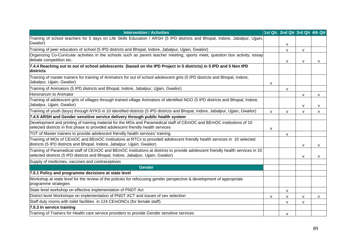| <b>Intervention / Activities</b>                                                                                                                                                                                      |              | 1st Qtr. 2nd Qtr 3rd Qtr 4th Qtr |              |              |
|-----------------------------------------------------------------------------------------------------------------------------------------------------------------------------------------------------------------------|--------------|----------------------------------|--------------|--------------|
| Training of school teachers for 5 days on Life Skills Education / ARSH (5 IPD districts and Bhopal, Indore, Jabalpur, Ujjain,<br>Gwalior)                                                                             |              | $\mathsf{V}$                     |              |              |
| Training of peer educators of school (5 IPD districts and Bhopal, Indore, Jabalpur, Ujjain, Gwalior)                                                                                                                  |              | $\mathsf{V}$                     | $\mathsf{V}$ |              |
| Organizing Co-Curricular activities in the schools such as parent teacher meeting, sports meet, question box activity, essay<br>debate competition etc.                                                               |              | V                                | v            | $\mathsf{V}$ |
| 7.4.4 Reaching out to out of school adolescents (based on the IPD Project in 5 districts) in 5 IPD and 5 Non IPD<br>districts                                                                                         |              |                                  |              |              |
| Training of master trainers for training of Animators for out of school adolescent girls (5 IPD districts and Bhopal, Indore,<br>Jabalpur, Ujjain, Gwalior)                                                           | $\mathsf{V}$ |                                  |              |              |
| Training of Animators (5 IPD districts and Bhopal, Indore, Jabalpur, Ujjain, Gwalior)                                                                                                                                 |              | $\mathsf{V}$                     |              |              |
| Honorarium to Animator                                                                                                                                                                                                |              |                                  | $\mathsf{V}$ | v            |
| Training of adolescent girls of villages through trained village Animators of identified NGO (5 IPD districts and Bhopal, Indore,<br>Jabalpur, Ujjain, Gwalior)                                                       |              |                                  | v            | V            |
| Training of youth (boys) through NYKS in 10 identified districts (5 IPD districts and Bhopal, Indore, Jabalpur, Ujjain, Gwalior)                                                                                      | $\mathsf{V}$ | $\mathsf{V}$                     | $\mathsf{v}$ | $\mathsf{V}$ |
| 7.4.5 ARSH and Gender sensitive service delivery through public health system                                                                                                                                         |              |                                  |              |              |
| Development and printing of training material for the MOs and Paramedical staff of CEmOC and BEmOC institutions of 10<br>selected districts in first phase to provided adolescent friendly health services            | v            |                                  |              |              |
| TOT of Master trainers to provide adolescent friendly health services' training                                                                                                                                       |              | $\mathsf{V}$                     |              |              |
| Training of MOs of CEmOC and BEmOC institutions at RTCs to provided adolescent friendly health services in 10 selected<br>districts (5 IPD districts and Bhopal, Indore, Jabalpur, Ujjain, Gwalior)                   |              |                                  | $\mathsf{V}$ | $\mathsf{V}$ |
| Training of Paramedical staff of CEmOC and BEmOC institutions at districts to provide adolescent friendly health services in 10<br>selected districts (5 IPD districts and Bhopal, Indore, Jabalpur, Ujjain, Gwalior) |              |                                  | v            | v            |
| Supply of medicines, vaccines and contraceptives                                                                                                                                                                      |              |                                  |              |              |
| <b>Gender</b>                                                                                                                                                                                                         |              |                                  |              |              |
| 7.5.1 Policy and programme decisions at state level                                                                                                                                                                   |              |                                  |              |              |
| Workshop at state level for the review of the policies for refocusing gender perspective & development of appropriate<br>programme strategies                                                                         |              |                                  |              |              |
| State level workshop on effective implementation of PNDT Act                                                                                                                                                          |              | V                                |              |              |
| District level Workshops on implementation of PNDT ACT and issues of sex selection                                                                                                                                    | v            | V                                | v            | $\mathsf{V}$ |
| Staff duty rooms with toilet facilities in 124 CEmONCs (for female staff).                                                                                                                                            |              | $\mathsf{V}$                     | $\mathsf{V}$ |              |
| 7.5.3 In service training                                                                                                                                                                                             |              |                                  |              |              |
| Training of Trainers for Health care service providers to provide Gender sensitive services                                                                                                                           |              | V                                |              |              |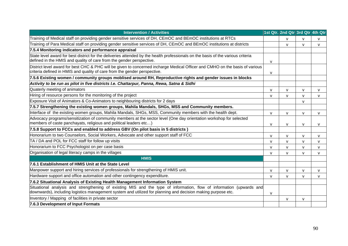| <b>Intervention / Activities</b>                                                                                                                                                                                                     |              | 1st Qtr. 2nd Qtr 3rd Qtr 4th Qtr |              |              |
|--------------------------------------------------------------------------------------------------------------------------------------------------------------------------------------------------------------------------------------|--------------|----------------------------------|--------------|--------------|
| Training of Medical staff on providing gender sensitive services of DH, CEmOC and BEmOC institutions at RTCs                                                                                                                         |              | $\mathsf{v}$                     | $\mathsf{v}$ | $\mathsf{V}$ |
| Training of Para Medical staff on providing gender sensitive services of DH, CEmOC and BEmOC institutions at districts                                                                                                               |              | V                                | $\mathsf{V}$ | v            |
| 7.5.4 Monitoring indicators and performance appraisal                                                                                                                                                                                |              |                                  |              |              |
| State level award for best district for the deliveries attended by the health professionals on the basis of the various criteria<br>defined in the HMIS and quality of care from the gender perspective.                             | v            |                                  |              |              |
| District level award for best CHC & PHC will be given to concerned incharge Medical Officer and CMHO on the basis of various<br>criteria defined in HMIS and quality of care from the gender perspective.                            | $\mathsf{v}$ |                                  |              |              |
| 7.5.6 Existing women / community groups moblised around RH, Reproductive rights and gender issues in blocks                                                                                                                          |              |                                  |              |              |
| Activity to be run as pilot in five districts I.e. Chattarpur, Panna, Rewa, Satna & Sidhi                                                                                                                                            |              |                                  |              |              |
| Quaterly meeting of animators                                                                                                                                                                                                        | $\mathsf{v}$ | v                                | $\mathsf{V}$ | v            |
| Hiring of resource persons for the monitoring of the project                                                                                                                                                                         | $\mathsf{v}$ | $\mathsf{v}$                     | $\mathsf{v}$ | v            |
| Exposure Visit of Animators & Co-Animators to neighbouring districts for 2 days                                                                                                                                                      |              |                                  | V            |              |
| 7.5.7 Strengthening the existing women groups, Mahila Mandals, SHGs, MSS and Community members.                                                                                                                                      |              |                                  |              |              |
| Interface of the existing women groups, Mahila Mandals, SHGs, MSS, Community members with the health dept.                                                                                                                           | v            | V                                | V            | v            |
| Advocacy programs/sensitization of community members at the sector level (One day orientation workshop for selected<br>members of caste panchayats, religious and political leaders etc)                                             | $\mathsf{v}$ | V                                | $\mathsf{V}$ | v            |
| 7.5.8 Support to FCCs and enabled to address GBV (On pilot basis in 5 districts)                                                                                                                                                     |              |                                  |              |              |
| Honorarium to two Counselors, Social Workers, Advocate and other support staff of FCC                                                                                                                                                | $\mathsf{v}$ | V                                | $\mathsf{V}$ | v            |
| TA / DA and POL for FCC staff for follow up visits                                                                                                                                                                                   | v            | V                                | $\mathsf{V}$ | v            |
| Honorarium to FCC Psychologist on per case basis                                                                                                                                                                                     | $\mathsf{v}$ | V                                | $\mathsf{V}$ | v            |
| Organisation of legal literacy camps in the villages                                                                                                                                                                                 | $\mathsf{v}$ | $\mathsf{V}$                     | $\mathsf{V}$ | v            |
| <b>HMIS</b>                                                                                                                                                                                                                          |              |                                  |              |              |
| 7.6.1 Establishment of HMIS Unit at the State Level                                                                                                                                                                                  |              |                                  |              |              |
| Manpower support and hiring services of professionals for strengthening of HMIS unit.                                                                                                                                                | v            | V                                | $\mathsf{V}$ | v            |
| Hardware support and office automation and other contingency expenditure.                                                                                                                                                            | $\mathsf{v}$ | $\mathsf{v}$                     | $\mathsf{V}$ | v            |
| 7.6.2 Situational Analysis of Existing Health Management Information System                                                                                                                                                          |              |                                  |              |              |
| Situational analysis and strengthening of existing MIS and the type of information, flow of information (upwards and<br>downwards), including logistics management system and utilized for planning and decision making purpose etc. | $\mathsf{v}$ |                                  |              |              |
| Inventory / Mapping of facilities in private sector                                                                                                                                                                                  |              | V                                | $\mathsf{V}$ |              |
| 7.6.3 Development of Input Formats                                                                                                                                                                                                   |              |                                  |              |              |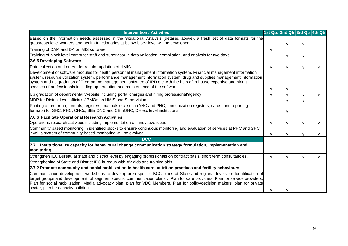| <b>Intervention / Activities</b>                                                                                                                                                                                                                                                                                                                                                                                                                            |              | 1st Qtr. 2nd Qtr 3rd Qtr 4th Qtr |              |              |
|-------------------------------------------------------------------------------------------------------------------------------------------------------------------------------------------------------------------------------------------------------------------------------------------------------------------------------------------------------------------------------------------------------------------------------------------------------------|--------------|----------------------------------|--------------|--------------|
| Based on the information needs assessed in the Situational Analysis (detailed above), a fresh set of data formats for the<br>grassroots level workers and health functionaries at below-block level will be developed.                                                                                                                                                                                                                                      |              | v                                | $\mathsf{v}$ |              |
| Training of DAM and DA on MIS software                                                                                                                                                                                                                                                                                                                                                                                                                      | v            |                                  |              |              |
| Training of block level computer staff and supervisor in data validation, compilation, and analysis for two days.                                                                                                                                                                                                                                                                                                                                           |              | $\mathsf{V}$                     | v            |              |
| 7.6.5 Developing Software                                                                                                                                                                                                                                                                                                                                                                                                                                   |              |                                  |              |              |
| Data collection and entry - for regular updation of HMIS                                                                                                                                                                                                                                                                                                                                                                                                    | $\mathsf{V}$ | $\mathsf{V}$                     | $\mathsf{V}$ | $\mathsf{V}$ |
| Development of software modules for health personnel management information system, Financial management information<br>system, resource utilization system, performance management information system, drug and supplies management information<br>system and up gradation of Programme management software of IPD etc with the help of in-house expertise and hiring<br>services of professionals including up gradation and maintenance of the software. | v            | v                                |              |              |
| Up gradation of departmental Website including portal charges and hiring professional/agency.                                                                                                                                                                                                                                                                                                                                                               | v            | $\mathsf{V}$                     | $\mathbf{v}$ | v            |
| MDP for District level officials / BMOs on HMIS and Supervision                                                                                                                                                                                                                                                                                                                                                                                             |              | $\mathsf{V}$                     | $\mathsf{V}$ |              |
| Printing of proforma, formats, registers, manuals etc. such (ANC and PNC, Immunization registers, cards, and reporting<br>formats) for SHC, PHC, CHCs, BEmONC and CEmONC, DH etc level institutions.                                                                                                                                                                                                                                                        |              | v                                |              |              |
| 7.6.6 Facilitate Operational Research Activities                                                                                                                                                                                                                                                                                                                                                                                                            |              |                                  |              |              |
| Operations research activities including implementation of innovative ideas.                                                                                                                                                                                                                                                                                                                                                                                | $\mathsf{V}$ | v                                | $\mathsf{V}$ | $\mathsf{V}$ |
| Community based monitoring in identified blocks to ensure continuous monitoring and evaluation of services at PHC and SHC<br>level, a system of community based monitoring will be evolved                                                                                                                                                                                                                                                                  | V            | v                                | v            | $\mathsf{V}$ |
| <b>BCC</b>                                                                                                                                                                                                                                                                                                                                                                                                                                                  |              |                                  |              |              |
| 7.7.1 Institutionalize capacity for behavioural change communication strategy formulation, implementation and<br>monitoring.                                                                                                                                                                                                                                                                                                                                |              |                                  |              |              |
| Strengthen IEC Bureau at state and district level by engaging professionals on contract basis/short term consultancies.                                                                                                                                                                                                                                                                                                                                     | v            | v                                | $\mathsf{v}$ | $\mathsf{V}$ |
| Strengthening of State and District IEC bureaus with AV aids and training aids.                                                                                                                                                                                                                                                                                                                                                                             |              |                                  |              |              |
| 7.7.2 Promote community and social mobilization in health care, nutrition practices and fertility behaviours                                                                                                                                                                                                                                                                                                                                                |              |                                  |              |              |
| Communication development workshops to develop area specific BCC plans at State and regional levels for Identification of<br>target groups and development of segment specific communication plans : Plan for care providers, Plan for service providers,<br>Plan for social mobilization, Media advocacy plan, plan for VDC Members. Plan for policy/decision makers, plan for private<br>sector, plan for capacity building                               | $\mathbf v$  |                                  |              |              |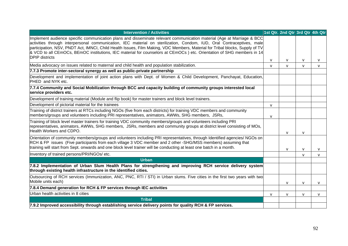| <b>Intervention / Activities</b>                                                                                                                                                                                                                                                                                                                                                                                                                                                                                                  |              | 1st Qtr. 2nd Qtr 3rd Qtr 4th Qtr |              |              |
|-----------------------------------------------------------------------------------------------------------------------------------------------------------------------------------------------------------------------------------------------------------------------------------------------------------------------------------------------------------------------------------------------------------------------------------------------------------------------------------------------------------------------------------|--------------|----------------------------------|--------------|--------------|
| Implement audience specific communication plans and disseminate relevant communication material (Age at Marriage & BCC<br>activities through interpersonal communication, IEC material on sterilization, Condom, IUD, Oral Contraceptives, male<br>participation, NSV, PNDT Act, IMNCI, Child Health Issues, Film Making, VDC Members, Material for Tribal blocks, Supply of TV<br>& VCD to all CEmOCs, BEmOC institutions, IEC material for counselors at CEmOCs) etc. Orientation of SHG members in 14<br><b>DPIP</b> districts |              |                                  |              |              |
|                                                                                                                                                                                                                                                                                                                                                                                                                                                                                                                                   | $\mathsf{V}$ | $\mathsf{V}$                     | $\mathsf{V}$ | $\mathsf{V}$ |
| Media advocacy on issues related to maternal and child health and population stabilization.                                                                                                                                                                                                                                                                                                                                                                                                                                       | $\mathsf{V}$ | $\mathsf{V}$                     | $\mathbf v$  | $\mathsf{V}$ |
| 7.7.3 Promote inter-sectoral synergy as well as public-private partnership                                                                                                                                                                                                                                                                                                                                                                                                                                                        |              |                                  |              |              |
| Development and implementation of joint action plans with Dept. of Women & Child Development, Panchayat, Education,<br>PHED and NYK etc.                                                                                                                                                                                                                                                                                                                                                                                          |              |                                  |              |              |
| 7.7.4 Community and Social Mobilization through BCC and capacity building of community groups interested local<br>service providers etc.                                                                                                                                                                                                                                                                                                                                                                                          |              |                                  |              |              |
| Development of training material (Module and flip book) for master trainers and block level trainers.                                                                                                                                                                                                                                                                                                                                                                                                                             |              |                                  |              |              |
| Development of pictorial material for the trainees                                                                                                                                                                                                                                                                                                                                                                                                                                                                                | v            |                                  |              |              |
| Training of district trainers at RTCs including NGOs (five from each districts) for training VDC members and community<br>members/groups and volunteers including PRI representatives, animators, AWWs, SHG members, JSRs,                                                                                                                                                                                                                                                                                                        | v            |                                  |              |              |
| Training of block level master trainers for training VDC community members/groups and volunteers including PRI<br>representatives, animators, AWWs, SHG members, JSRs, members and community groups at district level consisting of MOs,<br>Health Workers and CDPO.                                                                                                                                                                                                                                                              |              | $\mathsf{V}$                     | $\mathsf{V}$ |              |
| Orientation of community members/groups and volunteers including PRI representatives, through Identified agencies/ NGOs on<br>RCH & FP issues (Five participants from each village 3 VDC member and 2 other -SHG/MSS members) assuming that<br>training will start from Sept. onwards and one block level trainer will be conducting at least one batch in a month.                                                                                                                                                               |              | $\mathsf{V}$                     | $\mathsf{V}$ | v            |
| Inventory of trained persons/PRI/NGOs/ etc.                                                                                                                                                                                                                                                                                                                                                                                                                                                                                       |              |                                  | $\mathsf{v}$ | $\mathsf{V}$ |
| <b>Urban</b>                                                                                                                                                                                                                                                                                                                                                                                                                                                                                                                      |              |                                  |              |              |
| 7.8.2 Implementation of Urban Slum Health Plans for strengthening and improving RCH service delivery system<br>through existing health infrastructure in the identified cities.                                                                                                                                                                                                                                                                                                                                                   |              |                                  |              |              |
| Outsourcing of RCH services (Immunization, ANC, PNC, RTI / STI) in Urban slums. Five cities in the first two years with two<br>Mobile units each)                                                                                                                                                                                                                                                                                                                                                                                 |              | $\mathsf{V}$                     | $\mathsf{V}$ | $\mathsf{V}$ |
| 7.8.4 Demand generation for RCH & FP services through IEC activities                                                                                                                                                                                                                                                                                                                                                                                                                                                              |              |                                  |              |              |
| Urban health activities in 8 cities                                                                                                                                                                                                                                                                                                                                                                                                                                                                                               | $\mathsf{V}$ | $\mathsf{V}$                     | $\mathsf{v}$ | v            |
| <b>Tribal</b>                                                                                                                                                                                                                                                                                                                                                                                                                                                                                                                     |              |                                  |              |              |
| 7.9.2 Improved accessibility through establishing service delivery points for quality RCH & FP services.                                                                                                                                                                                                                                                                                                                                                                                                                          |              |                                  |              |              |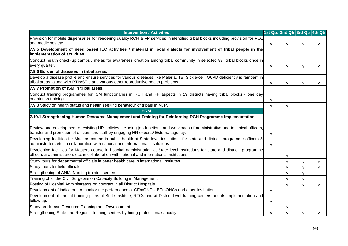| <b>Intervention / Activities</b>                                                                                                                                                                                                  |              | 1st Qtr. 2nd Qtr 3rd Qtr 4th Qtr |              |              |
|-----------------------------------------------------------------------------------------------------------------------------------------------------------------------------------------------------------------------------------|--------------|----------------------------------|--------------|--------------|
| Provision for mobile dispensaries for rendering quality RCH & FP services in identified tribal blocks including provision for POL<br>and medicines etc.                                                                           | $\mathsf{V}$ | v                                | v            | $\mathsf{V}$ |
| 7.9.5 Development of need based IEC activities / material in local dialects for involvement of tribal people in the<br>implementation of activities.                                                                              |              |                                  |              |              |
| Conduct health check-up camps / melas for awareness creation among tribal community in selected 89 tribal blocks once in<br>every quarter.                                                                                        | v            | V                                | v            | $\mathsf{V}$ |
| 7.9.6 Burden of diseases in tribal areas.                                                                                                                                                                                         |              |                                  |              |              |
| Develop a disease profile and ensure services for various diseases like Malaria, TB, Sickle-cell, G6PD deficiency is rampant in<br>tribal areas, along with RTIs/STIs and various other reproductive health problems.             | V            | V                                | v            | V            |
| 7.9.7 Promotion of ISM in tribal areas.                                                                                                                                                                                           |              |                                  |              |              |
| Conduct training programmes for ISM functionaries in RCH and FP aspects in 19 districts having tribal blocks - one day<br>orientation training.                                                                                   | V            |                                  |              |              |
| 7.9.8 Study on health status and health seeking behaviour of tribals in M. P.                                                                                                                                                     | $\mathsf{V}$ | $\mathsf{V}$                     |              |              |
| <b>HRM</b>                                                                                                                                                                                                                        |              |                                  |              |              |
| 7.10.1 Strengthening Human Resource Management and Training for Reinforcing RCH Programme Implementation                                                                                                                          |              |                                  |              |              |
| Review and development of existing HR policies including job functions and workloads of administrative and technical officers,<br>transfer and promotion of officers and staff by engaging HR experts/ External agency.           | $\mathsf{V}$ |                                  |              |              |
| Developing facilities for Masters course in public health at State level institutions for state and district programme officers &<br>administrators etc, in collaboration with national and international institutions.           | $\mathsf{V}$ |                                  |              |              |
| Developing facilities for Masters course in hospital administration at State level institutions for state and district programme<br>officers & administrators etc, in collaboration with national and international institutions. |              | $\mathsf{V}$                     |              |              |
| Study tours for departmental officials in better health care in international institutes.                                                                                                                                         |              | $\mathsf{V}$                     | $\mathsf{V}$ | $\mathsf{V}$ |
| Study tours for field officials                                                                                                                                                                                                   |              | $\mathsf{V}$                     | v            | $\mathsf{V}$ |
| Strengthening of ANM/ Nursing training centers                                                                                                                                                                                    |              | $\mathsf{V}$                     | v            |              |
| Training of all the Civil Surgeons on Capacity Building in Management                                                                                                                                                             |              | $\mathsf{V}$                     | $\mathsf{V}$ |              |
| Posting of Hospital Administrators on contract in all District Hospitals                                                                                                                                                          |              | V                                | v            | $\mathsf{V}$ |
| Development of indicators to monitor the performance at CEmONCs, BEmONCs and other Institutions.                                                                                                                                  | $\mathsf{V}$ |                                  |              |              |
| Development of annual training plans at State Institute, RTCs and at District level training centers and its implementation and<br>follow up.                                                                                     | $\mathsf{V}$ |                                  |              |              |
| Study on Human Resource Planning and Development                                                                                                                                                                                  |              | v                                |              |              |
| Strengthening State and Regional training centers by hiring professionals/faculty.                                                                                                                                                | v            | $\mathsf{V}$                     | v            | $\mathsf{V}$ |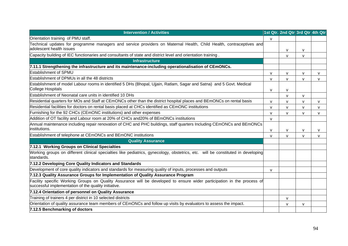| <b>Intervention / Activities</b>                                                                                                                                                |              | 1st Qtr. 2nd Qtr 3rd Qtr 4th Qtr |              |              |
|---------------------------------------------------------------------------------------------------------------------------------------------------------------------------------|--------------|----------------------------------|--------------|--------------|
| Orientation training of PMU staff.                                                                                                                                              |              |                                  |              |              |
| Technical updates for programme managers and service providers on Maternal Health, Child Health, contraceptives and<br>adolescent health issues                                 |              |                                  |              |              |
| Capacity building of IEC functionaries and consultants of state and district level and orientation training.                                                                    |              | $\mathsf{V}$                     | $\mathsf{V}$ |              |
| <b>Infrastructure</b>                                                                                                                                                           |              | v                                | $\mathsf{v}$ |              |
| 7.11.1 Strengthening the infrastructure and its maintenance-including operationalisation of CEmONCs.                                                                            |              |                                  |              |              |
| <b>Establishment of SPMU</b>                                                                                                                                                    |              |                                  |              |              |
| Establishment of DPMUs in all the 48 districts                                                                                                                                  | v            | v                                | $\mathsf{V}$ | v            |
| Establishment of model Labour rooms in identified 5 DHs (Bhopal, Ujjain, Ratlam, Sagar and Satna) and 5 Govt. Medical                                                           | $\mathsf{V}$ | $\mathsf{V}$                     | $\mathsf{V}$ | $\mathsf{V}$ |
| <b>College Hospitals</b>                                                                                                                                                        | $\mathsf{V}$ | v                                |              |              |
| Establishment of Neonatal care units in identified 10 DHs                                                                                                                       |              | $\mathsf{V}$                     | v            |              |
| Residential quarters for MOs and Staff at CEmONCs other than the district hospital places and BEmONCs on rental basis                                                           | $\mathsf{V}$ | v                                | V            | v            |
| Residential facilities for doctors on rental basis placed at CHCs identified as CEmONC institutions                                                                             | v            | v                                | v            | v            |
| Furnishing for the 92 CHCs (CEmONC institutions) and other expenses                                                                                                             | $\mathsf{V}$ | $\mathsf{V}$                     | $\mathsf{v}$ | v            |
| Addition of OT facility and Labour room at 20% of CHCs and20% of BEmONCs institutions                                                                                           | $\mathsf{V}$ |                                  |              |              |
| Annual maintenance including repair renovation of CHC and PHC buildings, staff quarters Including CEmONCs and BEmONCs                                                           |              |                                  |              |              |
| institutions.                                                                                                                                                                   | $\mathsf{V}$ | $\mathsf{V}$                     | v            | v            |
| Establishment of telephone at CEmONCs and BEmONC institutions                                                                                                                   | v            | $\mathsf{V}$                     | v            | $\mathsf{v}$ |
| <b>Quality Assurance</b>                                                                                                                                                        |              |                                  |              |              |
| 7.12.1 Working Groups on Clinical Specialties                                                                                                                                   |              |                                  |              |              |
| Working groups on different clinical specialties like pediatrics, gynecology, obstetrics, etc. will be constituted in developing<br>standards.                                  |              |                                  |              |              |
| 7.12.2 Developing Core Quality Indicators and Standards                                                                                                                         |              |                                  |              |              |
| Development of core quality indicators and standards for measuring quality of inputs, processes and outputs                                                                     | $\mathsf{V}$ |                                  |              |              |
| 7.12.3 Quality Assurance Groups for Implementation of Quality Assurance Program                                                                                                 |              |                                  |              |              |
| Facility specific Working Groups on Quality Assurance will be developed to ensure wider participation in the process of<br>successful implementation of the quality initiative. |              |                                  |              |              |
| 7.12.4 Orientation of personnel on Quality Assurance                                                                                                                            |              |                                  |              |              |
| Training of trainers 4 per district in 10 selected districts                                                                                                                    |              | $\mathsf{V}$                     |              |              |
| Orientation of quality assurance team members of CEmONCs and follow up visits by evaluators to assess the impact.                                                               |              | v                                | $\mathsf{V}$ |              |
| 7.12.5 Benchmarking of doctors                                                                                                                                                  |              |                                  |              |              |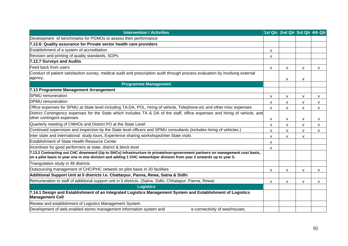| <b>Intervention / Activities</b>                                                                                                                                                                                                                     |              | 1st Qtr. 2nd Qtr 3rd Qtr 4th Qtr |              |              |
|------------------------------------------------------------------------------------------------------------------------------------------------------------------------------------------------------------------------------------------------------|--------------|----------------------------------|--------------|--------------|
| Development of benchmarks for PGMOs to assess their performance                                                                                                                                                                                      |              |                                  |              |              |
| 7.12.6: Quality assurance for Private sector health care providers                                                                                                                                                                                   |              |                                  |              |              |
| Establishment of a system of accreditation                                                                                                                                                                                                           | v            |                                  |              |              |
| Revision and printing of quality standards, SOPs                                                                                                                                                                                                     | $\mathsf{V}$ |                                  |              |              |
| 7.12.7 Surveys and Audits                                                                                                                                                                                                                            |              |                                  |              |              |
| Feed back from users                                                                                                                                                                                                                                 | V            | v                                | $\mathsf{v}$ | v            |
| Conduct of patient satisfaction survey, medical audit and prescription audit through process evaluation by involving external                                                                                                                        |              |                                  |              |              |
| agency.                                                                                                                                                                                                                                              |              | $\mathsf{V}$                     | $\mathsf{V}$ |              |
| <b>Programme Management</b>                                                                                                                                                                                                                          |              |                                  |              |              |
| 7.13 Programme Management Arrangement                                                                                                                                                                                                                |              |                                  |              |              |
| <b>SPMU</b> remuneration                                                                                                                                                                                                                             | v            | $\mathsf{V}$                     | $\mathsf{V}$ | $\mathsf{v}$ |
| DPMU remuneration                                                                                                                                                                                                                                    | $\mathsf{V}$ | v                                | $\mathsf{v}$ | $\mathsf{v}$ |
| Office expenses for SPMU at State level including TA-DA, POL, hiring of vehicle, Telephone etc and other misc expenses                                                                                                                               | $\mathsf{V}$ | v                                | $\mathsf{V}$ | v            |
| District Contingency expenses for the State which includes TA & DA of the staff, office expenses and hiring of vehicle, and                                                                                                                          |              |                                  |              |              |
| other contingent expenses                                                                                                                                                                                                                            | V            | v                                | $\mathsf{V}$ | $\vee$       |
| Quarterly meeting of CMHOs and District PO at the State Level                                                                                                                                                                                        | v            | v                                | $\mathsf{V}$ | $\mathsf{V}$ |
| Continued supervision and inspection by the State level officers and SPMU consultants (includes hiring of vehicles.)                                                                                                                                 | v            | v                                | $\mathsf{V}$ | $\mathsf{v}$ |
| Inter state and international study tours, Experience sharing workshops/inter State visits                                                                                                                                                           | $\mathsf{V}$ | $\mathsf{V}$                     | $\mathsf{V}$ |              |
| <b>Establishment of State Health Resource Center</b>                                                                                                                                                                                                 | v            |                                  |              |              |
| Incentives for good performers at state, district & block level                                                                                                                                                                                      | v            |                                  |              |              |
| 7.13.2 Contracting out CHC downward (Up to SHCs) infrastructure to private/non-government partners on management cost basis,<br>on a pilot basis in year one in one division and adding 1 CHC network/per division from year 2 onwards up to year 5. |              |                                  |              |              |
| Triangulation study in 48 districts                                                                                                                                                                                                                  |              |                                  |              |              |
| Outsourcing management of CHC/PHC network on pilot basis in 20 facilities                                                                                                                                                                            | V            | v                                | $\mathsf{V}$ | v            |
| Additional Support Unit at 5 districts I.e. Chattarpur, Panna, Rewa, Satna & Sidhi                                                                                                                                                                   |              |                                  |              |              |
| Remuneration to staff of additional support unit in 5 districts. (Satna, Sidhi, Chhatapur, Panna, Rewa)                                                                                                                                              | v            | v                                | $\mathsf{V}$ | $\mathsf{V}$ |
| <b>Logistics</b>                                                                                                                                                                                                                                     |              |                                  |              |              |
| 7.14.1 Design and Establishment of an Integrated Logistics Management System and Establishment of Logistics<br><b>Management Cell</b>                                                                                                                |              |                                  |              |              |
| Review and establishment of Logistics Management System.                                                                                                                                                                                             |              |                                  |              |              |
| Development of web enabled stores management information system and<br>e-connectivity of wearhouses.                                                                                                                                                 |              |                                  |              |              |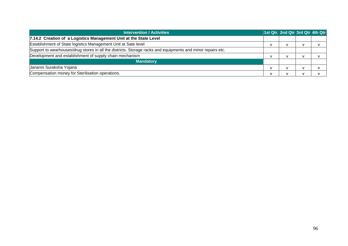| <b>Intervention / Activities</b>                                                                            | 1st Qtr. 2nd Qtr 3rd Qtr 4th Qtr |  |
|-------------------------------------------------------------------------------------------------------------|----------------------------------|--|
| 7.14.2 Creation of a Logistics Management Unit at the State Level                                           |                                  |  |
| Establishment of State logistics Management Unit at Sate level                                              |                                  |  |
| Support to wearhouses/drug stores in all the districts. Storage racks and equipments and minor repairs etc. |                                  |  |
| Development and establishment of supply chain mechanism                                                     |                                  |  |
| <b>Mandatory</b>                                                                                            |                                  |  |
| Jananni Suraksha Yojana                                                                                     |                                  |  |
| Compensation money for Sterilisation operations.                                                            |                                  |  |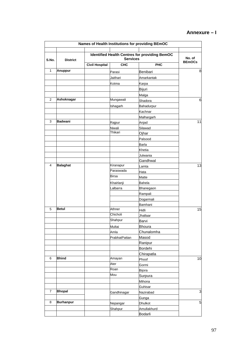### **Annexure – I**

|                |                  |                       |                 | Names of Health Institutions for providing BEmOC     |               |
|----------------|------------------|-----------------------|-----------------|------------------------------------------------------|---------------|
| S.No.          | <b>District</b>  |                       | <b>Services</b> | <b>Identified Health Centres for providing BemOC</b> | No. of        |
|                |                  | <b>Civil Hospital</b> | <b>CHC</b>      | <b>PHC</b>                                           | <b>BEmOCs</b> |
| $\mathbf{1}$   | <b>Anuppur</b>   |                       | Parasi          | Benibari                                             | 8             |
|                |                  |                       | Jaithari        | Amarkantak                                           |               |
|                |                  |                       | Kotma           | Karpa                                                |               |
|                |                  |                       |                 | Bijuri                                               |               |
|                |                  |                       |                 | Malga                                                |               |
| 2              | Ashoknagar       |                       | Mungawali       | Shadora                                              | 6             |
|                |                  |                       | Ishagarh        | Bahadurpur                                           |               |
|                |                  |                       |                 | Kachnar                                              |               |
|                |                  |                       |                 | Malhargarh                                           |               |
| 3              | <b>Badwani</b>   |                       | Rajpur          | Anjad                                                | 11            |
|                |                  |                       | Niwali          | Silawad                                              |               |
|                |                  |                       | Thikari         | Ojhar                                                |               |
|                |                  |                       |                 | Palsood                                              |               |
|                |                  |                       |                 | Barla                                                |               |
|                |                  |                       |                 | Khetia                                               |               |
|                |                  |                       |                 | Julwania                                             |               |
|                |                  |                       |                 | Gandhwal                                             |               |
| 4              | <b>Balaghat</b>  |                       | Kiranapur       | Lamta                                                | 13            |
|                |                  |                       | Paraswada       | Hata                                                 |               |
|                |                  |                       | Birsa           | Matte                                                |               |
|                |                  |                       | Khairlanji      | Bahela                                               |               |
|                |                  |                       | Lalbarra        | Bhanegaon                                            |               |
|                |                  |                       |                 | Rampali                                              |               |
|                |                  |                       |                 | Dogarmali                                            |               |
|                |                  |                       |                 | Bamhani                                              |               |
| 5              | <b>Betul</b>     |                       | Athner          | Hidli                                                | 15            |
|                |                  |                       | Chicholi        | Jhallaar                                             |               |
|                |                  |                       | Shahpur         | Barvi                                                |               |
|                |                  |                       | Multai          | Bhoura                                               |               |
|                |                  |                       | Amla            | Chunalomha                                           |               |
|                |                  |                       | PrabhatPattan   | Masod                                                |               |
|                |                  |                       |                 | Ranipur                                              |               |
|                |                  |                       |                 | <b>Bordehi</b>                                       |               |
|                |                  |                       |                 | Chirapatla                                           |               |
| 6              | <b>Bhind</b>     |                       | Amayan          | Phoof                                                | 10            |
|                |                  |                       | Ater            | Gormi                                                |               |
|                |                  |                       | Roan            | Bijora                                               |               |
|                |                  |                       | Mou             | Surpura                                              |               |
|                |                  |                       |                 | Mihona                                               |               |
|                |                  |                       |                 | Guhisar                                              |               |
| $\overline{7}$ | <b>Bhopal</b>    |                       | Gandhinagar     | Nazirabad                                            | 3             |
|                |                  |                       |                 | Gunga                                                |               |
| 8              | <b>Burhanpur</b> |                       | Nepangar        | Dhulkot                                              | 5             |
|                |                  |                       | Shahpur         | Amullakhurd                                          |               |
|                |                  |                       |                 | <b>Bodarli</b>                                       |               |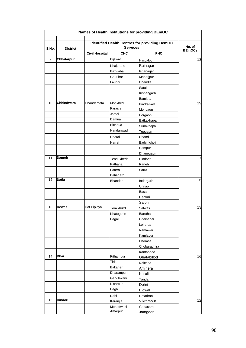| S.No. | <b>District</b> |                       | <b>Services</b> | <b>Identified Health Centres for providing BemOC</b> | No. of<br><b>BEmOCs</b> |
|-------|-----------------|-----------------------|-----------------|------------------------------------------------------|-------------------------|
|       |                 | <b>Civil Hospital</b> | <b>CHC</b>      | <b>PHC</b>                                           |                         |
| 9     | Chhatarpur      |                       | Bijawar         | Harpalpur                                            | 13                      |
|       |                 |                       | Khajuraho       | Rajnagar                                             |                         |
|       |                 |                       | <b>Baxwaha</b>  | Ishanagar                                            |                         |
|       |                 |                       | Gaurihar        | Maharjpur                                            |                         |
|       |                 |                       | Laundi          | Chandla                                              |                         |
|       |                 |                       |                 | Satai                                                |                         |
|       |                 |                       |                 | Kishangarh                                           |                         |
|       |                 |                       |                 | Bamitha                                              |                         |
| 10    | Chhindwara      | Chandameta            | Mohkhed         | Pindraikala                                          | 19                      |
|       |                 |                       | Parasia         | Mohgaon                                              |                         |
|       |                 |                       | Jamai           | Borgaon                                              |                         |
|       |                 |                       | Damua           | <b>Batkakhapa</b>                                    |                         |
|       |                 |                       | <b>Bichhua</b>  | Surlakhapa                                           |                         |
|       |                 |                       | Nandanwadi      | Teegaon                                              |                         |
|       |                 |                       | Chorai          | Chand                                                |                         |
|       |                 |                       | Harrai          | Badchicholi                                          |                         |
|       |                 |                       |                 | Rampur                                               |                         |
|       |                 |                       |                 | Dhanegaon                                            |                         |
| 11    | Damoh           |                       | Tendukheda      | Hindoria                                             |                         |
|       |                 |                       | Patharia        | Raneh                                                |                         |
|       |                 |                       | Patera          | Sarra                                                |                         |
|       |                 |                       | Batiagarh       |                                                      |                         |
| 12    | <b>Datia</b>    |                       | <b>Bhander</b>  | Indergarh                                            | 6                       |
|       |                 |                       |                 | Unnao                                                |                         |
|       |                 |                       |                 |                                                      |                         |
|       |                 |                       |                 | Basai<br>Baroni                                      |                         |
|       |                 |                       |                 |                                                      |                         |
| 13    | Dewas           | Hat Piplaya           |                 | Salon                                                | 13                      |
|       |                 |                       | Tonkkhurd       | Satwas                                               |                         |
|       |                 |                       | Khategaon       | Barotha                                              |                         |
|       |                 |                       | Bagali          | Udainagar                                            |                         |
|       |                 |                       |                 | Loharda                                              |                         |
|       |                 |                       |                 | Nemawar                                              |                         |
|       |                 |                       |                 | Kamlapur                                             |                         |
|       |                 |                       |                 | Bhorasa                                              |                         |
|       |                 |                       |                 | Chobaradhira                                         |                         |
|       |                 |                       |                 | Kantaphod                                            |                         |
| 14    | Dhar            |                       | Pithampur       | Ghatabillod                                          | 16                      |
|       |                 |                       | Tirla           | Nalchha                                              |                         |
|       |                 |                       | Bakaner         | Amjhera                                              |                         |
|       |                 |                       | Dharampuri      | Karoli                                               |                         |
|       |                 |                       | Gandhwani       | Tanda                                                |                         |
|       |                 |                       | Nisarpur        | Dehri                                                |                         |
|       |                 |                       | <b>Bagh</b>     | Bidwal                                               |                         |
|       |                 |                       | Dahi            | Umarban                                              |                         |
| 15    | <b>Dindori</b>  |                       | Karanjia        | Vikrampur                                            | 12                      |
|       |                 |                       | Mehadwani       | Gadasarai                                            |                         |
|       |                 |                       | Amarpur         | Jamgaon                                              |                         |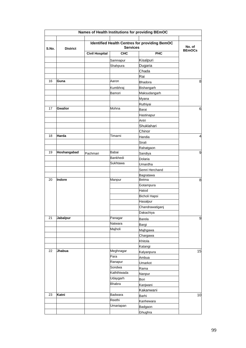|       |                 |                       |                 | Names of Health Institutions for providing BEmOC     |                         |
|-------|-----------------|-----------------------|-----------------|------------------------------------------------------|-------------------------|
| S.No. | <b>District</b> |                       | <b>Services</b> | <b>Identified Health Centres for providing BemOC</b> | No. of<br><b>BEmOCs</b> |
|       |                 | <b>Civil Hospital</b> | <b>CHC</b>      | <b>PHC</b>                                           |                         |
|       |                 |                       | Samnapur        | Kisalpuri                                            |                         |
|       |                 |                       | Shahpura        | Dugaria                                              |                         |
|       |                 |                       |                 | Chada                                                |                         |
|       |                 |                       |                 | Rai                                                  |                         |
| 16    | Guna            |                       | Aaron           | <b>Bhadora</b>                                       | 8                       |
|       |                 |                       | Kumbhraj        | Bishangarh                                           |                         |
|       |                 |                       | Bamori          | Maksudangarh                                         |                         |
|       |                 |                       |                 | Myana                                                |                         |
|       |                 |                       |                 | Ruthiyai                                             |                         |
| 17    | Gwalior         |                       | Mohna           | Barai                                                | 6                       |
|       |                 |                       |                 | Hastinapur                                           |                         |
|       |                 |                       |                 | Antri                                                |                         |
|       |                 |                       |                 | Shuklahari                                           |                         |
|       |                 |                       |                 | Chinor                                               |                         |
| 18    | Harda           |                       | Timarni         | Handia                                               | 4                       |
|       |                 |                       |                 | Sirali                                               |                         |
|       |                 |                       |                 |                                                      |                         |
| 19    | Hoshangabad     |                       | Babai           | Rahatgaon                                            | 9                       |
|       |                 | Pachmari              | Bankhedi        | Sandiya                                              |                         |
|       |                 |                       | Sukhtawa        | Dolaria                                              |                         |
|       |                 |                       |                 | Umardha                                              |                         |
|       |                 |                       |                 | Semri Herchand                                       |                         |
| 20    | Indore          |                       | Manpur          | Bagratawa<br>Betma                                   | 8                       |
|       |                 |                       |                 | Gotampura                                            |                         |
|       |                 |                       |                 | Hatod                                                |                         |
|       |                 |                       |                 | <b>Bicholi Hapsi</b>                                 |                         |
|       |                 |                       |                 |                                                      |                         |
|       |                 |                       |                 | Hasalpur                                             |                         |
|       |                 |                       |                 | Chandrawatiganj                                      |                         |
|       |                 |                       |                 | Dakachiya                                            |                         |
| 21    | <b>Jabalpur</b> |                       | Panagar         | Barela                                               | 9                       |
|       |                 |                       | Natwara         | Bargi                                                |                         |
|       |                 |                       | Majholi         | Majhgawa                                             |                         |
|       |                 |                       |                 | Chargawa                                             |                         |
|       |                 |                       |                 | Khitola                                              |                         |
|       |                 |                       |                 | Katangi                                              |                         |
| 22    | Jhabua          |                       | Meghnagar       | Kalyanpura                                           | 15                      |
|       |                 |                       | Para            | Ambua                                                |                         |
|       |                 |                       | Ranapur         | Umarkot                                              |                         |
|       |                 |                       | Sondwa          | Rama                                                 |                         |
|       |                 |                       | Kaththiwada     | Nanpur                                               |                         |
|       |                 |                       | Udaygarh        | Bori                                                 |                         |
|       |                 |                       | <b>Bhabra</b>   | Kanjwani                                             |                         |
|       |                 |                       |                 | Kakanwani                                            |                         |
| 23    | Katni           |                       | Badwara         | Barhi                                                | 10                      |
|       |                 |                       | Reethi          | Kanhewara                                            |                         |
|       |                 |                       | Umariapan       | Badgaon                                              |                         |
|       |                 |                       |                 | Ghughra                                              |                         |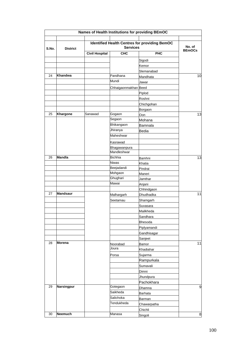|       |                   |                       |                                                                         | Names of Health Institutions for providing BEmOC |               |
|-------|-------------------|-----------------------|-------------------------------------------------------------------------|--------------------------------------------------|---------------|
| S.No. | <b>District</b>   |                       | <b>Identified Health Centres for providing BemOC</b><br><b>Services</b> |                                                  |               |
|       |                   | <b>Civil Hospital</b> | <b>CHC</b>                                                              | <b>PHC</b>                                       | <b>BEmOCs</b> |
|       |                   |                       |                                                                         | Sigodi                                           |               |
|       |                   |                       |                                                                         | Kemor                                            |               |
|       |                   |                       |                                                                         | Slemanabad                                       |               |
| 24    | <b>Khandwa</b>    |                       | Pandhana                                                                | Mandhata                                         | 10            |
|       |                   |                       | Mundi                                                                   | Jawar                                            |               |
|       |                   |                       | Chhaigaonmakhan Beed                                                    |                                                  |               |
|       |                   |                       |                                                                         | Piplod                                           |               |
|       |                   |                       |                                                                         | Roshni                                           |               |
|       |                   |                       |                                                                         | Chichgohan                                       |               |
|       |                   |                       |                                                                         | Borgaon                                          |               |
| 25    | Khargone          | Sanawad               | Gogaon                                                                  | Oon                                              | 13            |
|       |                   |                       | Segaon                                                                  | Mohana                                           |               |
|       |                   |                       | Bhikangaon                                                              | Bamnala                                          |               |
|       |                   |                       | Jhiranya                                                                | Bedia                                            |               |
|       |                   |                       | Maheshwar                                                               |                                                  |               |
|       |                   |                       | Kasrawad                                                                |                                                  |               |
|       |                   |                       | Bhagawanpura                                                            |                                                  |               |
|       |                   |                       | Mandleshwar                                                             |                                                  |               |
| 26    | <b>Mandla</b>     |                       | <b>Bichhia</b>                                                          | Bamhni                                           | 13            |
|       |                   |                       | <b>Niwas</b>                                                            | Khatia                                           |               |
|       |                   |                       | Beejadandi                                                              | Pindrai                                          |               |
|       |                   |                       | Mohgaon                                                                 | Maneri                                           |               |
|       |                   |                       | Ghughari                                                                | Jamthar                                          |               |
|       |                   |                       | Mawai                                                                   | Anjani                                           |               |
|       |                   |                       |                                                                         | Chhindgaon                                       |               |
| 27    | Mandsaur          |                       | Malhargarh                                                              | Dhudhadka                                        | 11            |
|       |                   |                       | Seetamau                                                                | Shamgarh                                         |               |
|       |                   |                       |                                                                         | Suvasara                                         |               |
|       |                   |                       |                                                                         | Mailkheda                                        |               |
|       |                   |                       |                                                                         | Sandhara                                         |               |
|       |                   |                       |                                                                         | Bhesoda                                          |               |
|       |                   |                       |                                                                         | Piplyamandi                                      |               |
|       |                   |                       |                                                                         | Gandhisagar                                      |               |
|       |                   |                       |                                                                         | Sanjeet                                          |               |
| 28    | <b>Morena</b>     |                       | Noorabad                                                                | Bamor                                            | 11            |
|       |                   |                       | Joura                                                                   | Khadiahar                                        |               |
|       |                   |                       | Porsa                                                                   | Sujarma                                          |               |
|       |                   |                       |                                                                         | Rampurkala                                       |               |
|       |                   |                       |                                                                         | Sumavali                                         |               |
|       |                   |                       |                                                                         | Dimni                                            |               |
|       |                   |                       |                                                                         | Jhundpura                                        |               |
|       |                   |                       |                                                                         | Pachokhara                                       |               |
| 29    | <b>Narsingpur</b> |                       | Gotegaon                                                                | Dhamna                                           | 9             |
|       |                   |                       | Saikheda                                                                | Barhata                                          |               |
|       |                   |                       | Salichoka                                                               | Barman                                           |               |
|       |                   |                       | Tendukheda                                                              | Chawarpatha                                      |               |
|       |                   |                       |                                                                         | Chichli                                          |               |
| 30    | <b>Neemuch</b>    |                       | Manasa                                                                  | Singoli                                          | 8             |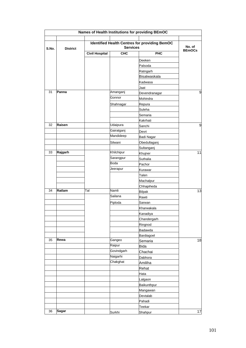|       |                 |                       |                 | Names of Health Institutions for providing BEmOC     |                         |
|-------|-----------------|-----------------------|-----------------|------------------------------------------------------|-------------------------|
| S.No. | <b>District</b> |                       | <b>Services</b> | <b>Identified Health Centres for providing BemOC</b> | No. of<br><b>BEmOCs</b> |
|       |                 | <b>Civil Hospital</b> | <b>CHC</b>      | PHC                                                  |                         |
|       |                 |                       |                 | Deeken                                               |                         |
|       |                 |                       |                 | Palsoda                                              |                         |
|       |                 |                       |                 | Ratngarh                                             |                         |
|       |                 |                       |                 | Bisalwaskala                                         |                         |
|       |                 |                       |                 | Kadwasa                                              |                         |
|       |                 |                       |                 | Jaat                                                 |                         |
| 31    | Panna           |                       | Amanganj        | Devendranagar                                        | 9                       |
|       |                 |                       | Gonnor          | Mohindra                                             |                         |
|       |                 |                       | Shahnagar       | Repura                                               |                         |
|       |                 |                       |                 | Suleha                                               |                         |
|       |                 |                       |                 | Semaria                                              |                         |
|       |                 |                       |                 | Kakrhati                                             |                         |
| 32    | Raisen          |                       | Udaipura        | Sanchi                                               | 9                       |
|       |                 |                       | Gairatganj      | Devri                                                |                         |
|       |                 |                       | Mandideep       | Badi Nagar                                           |                         |
|       |                 |                       | Silwani         | Obedullaganj                                         |                         |
|       |                 |                       |                 | Sultanganj                                           |                         |
| 33    | Rajgarh         |                       | Khilchipur      | Khujner                                              | 11                      |
|       |                 |                       | Sarangpur       | Suthalia                                             |                         |
|       |                 |                       | Boda            | Pachor                                               |                         |
|       |                 |                       | Jeerapur        | Kurawar                                              |                         |
|       |                 |                       |                 | Talen                                                |                         |
|       |                 |                       |                 | Machalpur                                            |                         |
|       |                 |                       |                 | Chhapiheda                                           |                         |
| 34    | Ratlam          | Tal                   | Namli           | <b>Bilpak</b>                                        | 13                      |
|       |                 |                       | Sailana         | Rawti                                                |                         |
|       |                 |                       | Piploda         | Sarwan                                               |                         |
|       |                 |                       |                 | Kharwakala                                           |                         |
|       |                 |                       |                 | Kanadiva                                             |                         |
|       |                 |                       |                 | Chandergarh                                          |                         |
|       |                 |                       |                 | Ringnod                                              |                         |
|       |                 |                       |                 | Badawda                                              |                         |
|       |                 |                       |                 | Bardiagoel                                           |                         |
| 35    | Rewa            |                       | Gangeo          | Semaria                                              | 18                      |
|       |                 |                       | Raipur          | <b>Bida</b>                                          |                         |
|       |                 |                       | Govindgarh      | Chachai                                              |                         |
|       |                 |                       | Naigarhi        | Dabhora                                              |                         |
|       |                 |                       | Chakghat        | Amiliha                                              |                         |
|       |                 |                       |                 | Rehat                                                |                         |
|       |                 |                       |                 | Hata                                                 |                         |
|       |                 |                       |                 | Lalgaon                                              |                         |
|       |                 |                       |                 | Baikunthpur                                          |                         |
|       |                 |                       |                 | Mangawan                                             |                         |
|       |                 |                       |                 | Devtalab                                             |                         |
|       |                 |                       |                 | Pahadi                                               |                         |
|       |                 |                       |                 | Teekar                                               |                         |
| 36    | <b>Sagar</b>    |                       | Surkhi          | Shahpur                                              | 17                      |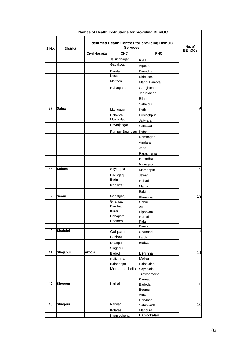| S.No. | <b>District</b> |                       | <b>Services</b>      | <b>Identified Health Centres for providing BemOC</b> | No. of<br><b>BEmOCs</b> |
|-------|-----------------|-----------------------|----------------------|------------------------------------------------------|-------------------------|
|       |                 | <b>Civil Hospital</b> | <b>CHC</b>           | <b>PHC</b>                                           |                         |
|       |                 |                       | Jaisinhnagar         | Rehli                                                |                         |
|       |                 |                       | Gadakota             | Agasod                                               |                         |
|       |                 |                       | Banda                | Baraidha                                             |                         |
|       |                 |                       | Kesali               | Khimlasa                                             |                         |
|       |                 |                       | Malthon              | Mandi Bamora                                         |                         |
|       |                 |                       | Rahatgarh            | Gourjhamar                                           |                         |
|       |                 |                       |                      | Jaruakheda                                           |                         |
|       |                 |                       |                      | Bilhara                                              |                         |
|       |                 |                       |                      | Sahajpur                                             |                         |
| 37    | Satna           |                       | Majhgawa             | Kothi                                                | 16                      |
|       |                 |                       |                      |                                                      |                         |
|       |                 |                       | Uchehra<br>Mukundpur | Birsinghpur                                          |                         |
|       |                 |                       | Devrajnagar          | Jaitwara                                             |                         |
|       |                 |                       |                      | Sohawal                                              |                         |
|       |                 |                       | Rampur Bgghelan      | Koter                                                |                         |
|       |                 |                       |                      | Ramnagar                                             |                         |
|       |                 |                       |                      | Amdara                                               |                         |
|       |                 |                       |                      | Jaso                                                 |                         |
|       |                 |                       |                      | Parasmania                                           |                         |
|       |                 |                       |                      | Barodha                                              |                         |
|       |                 |                       |                      | Nayagaon                                             |                         |
| 38    | <b>Sehore</b>   |                       | Shyampur             | Mardanpur                                            | 9                       |
|       |                 |                       | Bilkisganj           | Jawar                                                |                         |
|       |                 |                       | <b>Budni</b>         | Rehati                                               |                         |
|       |                 |                       | Ichhawar             | Maina                                                |                         |
|       |                 |                       |                      | <b>Baktara</b>                                       |                         |
| 39    | Seoni           |                       | Gopalganj            | Khawasa                                              | 13                      |
|       |                 |                       | Ghansaur             | Chhui                                                |                         |
|       |                 |                       | Barghat              | Ari                                                  |                         |
|       |                 |                       | Kurai                | Piparwani                                            |                         |
|       |                 |                       | Chhapara             | Rumal                                                |                         |
|       |                 |                       | Dhanora              | Palari                                               |                         |
|       | <b>Shahdol</b>  |                       |                      | Bamhni                                               |                         |
| 40    |                 |                       | Gohparu              | Channodi                                             | 7                       |
|       |                 |                       | <b>Budhar</b>        | Lafda                                                |                         |
|       |                 |                       | Dhanpuri             | <b>Budwa</b>                                         |                         |
|       |                 |                       | Singhpur             |                                                      |                         |
| 41    | Shajapur        | Akodia                | <b>Badod</b>         | Berchha                                              | 11                      |
|       |                 |                       | Nalkherha            | Maksi                                                |                         |
|       |                 |                       | Kalapeepal           | Polatkalan                                           |                         |
|       |                 |                       | Momanbadodia         | Soyatkala                                            |                         |
|       |                 |                       |                      | Tilawadmaina                                         |                         |
|       |                 |                       |                      | Kannad                                               |                         |
| 42    | <b>Sheopur</b>  |                       | Karhal               | <b>Badoda</b>                                        | 5                       |
|       |                 |                       |                      | <b>Beerpur</b>                                       |                         |
|       |                 |                       |                      | Agra                                                 |                         |
|       |                 |                       |                      | Dondhar                                              |                         |
| 43    | Shivpuri        |                       | Narwar               | Satanwada                                            | 10                      |
|       |                 |                       | Kolaras              | Manpura                                              |                         |
|       |                 |                       | Khaniadhana          | Bamorkalan                                           |                         |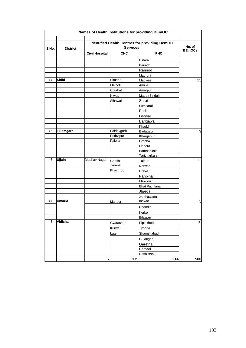|       |                  |                       |                 | Names of Health Institutions for providing BEmOC     |                         |
|-------|------------------|-----------------------|-----------------|------------------------------------------------------|-------------------------|
| S.No. | <b>District</b>  |                       | <b>Services</b> | <b>Identified Health Centres for providing BemOC</b> | No. of<br><b>BEmOCs</b> |
|       |                  | <b>Civil Hospital</b> | <b>CHC</b>      | PHC                                                  |                         |
|       |                  |                       |                 | Dinara                                               |                         |
|       |                  |                       |                 | Bairadh                                              |                         |
|       |                  |                       |                 | Rannod                                               |                         |
|       |                  |                       |                 | Magroni                                              |                         |
| 44    | Sidhi            |                       | Simaria         | <b>Madwas</b>                                        | 15                      |
|       |                  |                       | Majholi         | Amilia                                               |                         |
|       |                  |                       | Churhat         | Amarpur                                              |                         |
|       |                  |                       | <b>Niwas</b>    | Mada (Bindul)                                        |                         |
|       |                  |                       | Sihawal         | Sarai                                                |                         |
|       |                  |                       |                 | Lumsarai                                             |                         |
|       |                  |                       |                 | Podi                                                 |                         |
|       |                  |                       |                 | Deosar                                               |                         |
|       |                  |                       |                 | Barigawa                                             |                         |
|       |                  |                       |                 | Khaddi                                               |                         |
| 45    | <b>Tikamgarh</b> |                       | Baldevgarh      | Badagaon                                             | 9                       |
|       |                  |                       | Prithvipur      | Khargapur                                            |                         |
|       |                  |                       | Palera          | Orchha                                               |                         |
|       |                  |                       |                 | Lidhora                                              |                         |
|       |                  |                       |                 | Bamhorikala                                          |                         |
|       |                  |                       |                 | Taricharkala                                         |                         |
| 46    | <b>Ujjain</b>    | Madhav Nagar          | Ghatia          | Tajpur                                               | 12                      |
|       |                  |                       | Tarana          | Narwar                                               |                         |
|       |                  |                       | Khachrod        | Unhel                                                |                         |
|       |                  |                       |                 | Panbihar                                             |                         |
|       |                  |                       |                 | Makdon                                               |                         |
|       |                  |                       |                 | <b>Bhat Pachlana</b>                                 |                         |
|       |                  |                       |                 | Jharda                                               |                         |
|       |                  |                       |                 | Jhuthawada                                           |                         |
| 47    | <b>Umaria</b>    |                       | Manpur          | Indwar                                               | 5                       |
|       |                  |                       |                 | Chandia                                              |                         |
|       |                  |                       |                 | Kerkeli                                              |                         |
|       |                  |                       |                 | Bilaspur                                             |                         |
| 48    | Vidisha          |                       | Gyaraspur       | Piplakheda                                           | 10                      |
|       |                  |                       | Kurwai          | Tyonda                                               |                         |
|       |                  |                       | Lateri          | Shamshabad                                           |                         |
|       |                  |                       |                 | Gulabganj                                            |                         |
|       |                  |                       |                 |                                                      |                         |
|       |                  |                       |                 | Garetha                                              |                         |
|       |                  |                       |                 | Pathari<br>Rasolisahu                                |                         |
|       |                  |                       |                 |                                                      | 500                     |
|       |                  | 7                     | 179             | 314                                                  |                         |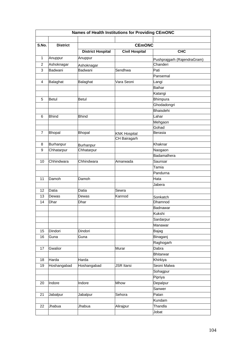|                | Names of Health Institutions for Providing CEmONC |                          |                       |                             |  |  |
|----------------|---------------------------------------------------|--------------------------|-----------------------|-----------------------------|--|--|
|                |                                                   |                          |                       |                             |  |  |
| S.No.          | <b>District</b>                                   |                          | <b>CEMONC</b>         |                             |  |  |
|                |                                                   | <b>District Hospital</b> | <b>Civil Hospital</b> | <b>CHC</b>                  |  |  |
| 1              | Anuppur                                           | Anuppur                  |                       | Pushprajgarh (RajendraGram) |  |  |
| $\overline{c}$ | Ashoknagar                                        | Ashoknagar               |                       | Chanderi                    |  |  |
| 3              | Badwani                                           | Badwani                  | Sendhwa               | Pati                        |  |  |
|                |                                                   |                          |                       | Pansemal                    |  |  |
| 4              | Balaghat                                          | Balaghat                 | Vara Seoni            | Langi                       |  |  |
|                |                                                   |                          |                       | <b>Baihar</b>               |  |  |
|                |                                                   |                          |                       | Katangi                     |  |  |
| 5              | <b>Betul</b>                                      | <b>Betul</b>             |                       | Bhimpura                    |  |  |
|                |                                                   |                          |                       | Ghodadongri                 |  |  |
|                |                                                   |                          |                       | <b>Bhaisdehi</b>            |  |  |
| 6              | <b>Bhind</b>                                      | <b>Bhind</b>             |                       | Lahar                       |  |  |
|                |                                                   |                          |                       | Mehgaon                     |  |  |
|                |                                                   |                          |                       | Gohad                       |  |  |
| $\overline{7}$ | <b>Bhopal</b>                                     | <b>Bhopal</b>            | <b>KNK Hospital</b>   | <b>Berasia</b>              |  |  |
|                |                                                   |                          | CH Bairagarh          |                             |  |  |
| 8              | Burhanpur                                         | Burhanpur                |                       | Khaknar                     |  |  |
| 9              | Chhatarpur                                        | Chhatarpur               |                       | Naogaon                     |  |  |
|                |                                                   |                          |                       | Badamalhera                 |  |  |
| 10             | Chhindwara                                        | Chhindwara               | Amarwada              | Saunsar                     |  |  |
|                |                                                   |                          |                       | Tamia                       |  |  |
|                |                                                   |                          |                       | Pandurna                    |  |  |
| 11             | Damoh                                             | Damoh                    |                       | Hata                        |  |  |
|                |                                                   |                          |                       | Jabera                      |  |  |
| 12             | Datia                                             | Datia                    | Sewra                 |                             |  |  |
| 13             | Dewas                                             | Dewas                    | Kannod                | Sonkatch                    |  |  |
| 14             | Dhar                                              | Dhar                     |                       | Dhamnod                     |  |  |
|                |                                                   |                          |                       | Badnawar                    |  |  |
|                |                                                   |                          |                       | Kukshi                      |  |  |
|                |                                                   |                          |                       | Sardarpur                   |  |  |
|                |                                                   |                          |                       | Manawar                     |  |  |
| 15             | Dindori                                           | Dindori                  |                       | Bajag                       |  |  |
| 16             | Guna                                              | Guna                     |                       | Binaganj                    |  |  |
|                |                                                   |                          |                       | Raghogarh                   |  |  |
| 17             | Gwalior                                           |                          | Murar                 | Dabra                       |  |  |
|                |                                                   |                          |                       | <b>Bhitarwar</b>            |  |  |
| 18             | Harda                                             | Harda                    |                       | Khirkiya                    |  |  |
| 19             | Hoshangabad                                       | Hoshangabad              | <b>JSR Itarsi</b>     | Seoni Malwa                 |  |  |
|                |                                                   |                          |                       | Sohagpur                    |  |  |
|                |                                                   |                          |                       | Pipriya                     |  |  |
| 20             | Indore                                            | Indore                   | Mhow                  | Depalpur                    |  |  |
|                |                                                   |                          |                       | Sanwer                      |  |  |
| 21             | Jabalpur                                          | Jabalpur                 | Sehora                | Patan                       |  |  |
|                |                                                   |                          |                       | Kundam                      |  |  |
| 22             | Jhabua                                            | Jhabua                   | Alirajpur             | Thandla                     |  |  |
|                |                                                   |                          |                       | Jobat                       |  |  |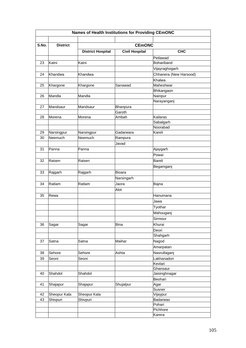|       | Names of Health Institutions for Providing CEmONC |                          |                       |                        |  |  |
|-------|---------------------------------------------------|--------------------------|-----------------------|------------------------|--|--|
|       |                                                   |                          |                       |                        |  |  |
| S.No. | <b>District</b>                                   |                          | <b>CEMONC</b>         |                        |  |  |
|       |                                                   | <b>District Hospital</b> | <b>Civil Hospital</b> | <b>CHC</b>             |  |  |
|       |                                                   |                          |                       | Petlawad               |  |  |
| 23    | Katni                                             | Katni                    |                       | Bohariband             |  |  |
|       |                                                   |                          |                       | Vijayraghogarh         |  |  |
| 24    | Khandwa                                           | Khandwa                  |                       | Chhanera (New Harsood) |  |  |
|       |                                                   |                          |                       | Khalwa                 |  |  |
| 25    | Khargone                                          | Khargone                 | Sanawad               | Maheshwar              |  |  |
|       |                                                   |                          |                       | Bhikangaon             |  |  |
| 26    | Mandla                                            | Mandla                   |                       | Nainpur                |  |  |
|       |                                                   |                          |                       | Narayanganj            |  |  |
| 27    | Mandsaur                                          | Mandsaur                 | Bhanpura              |                        |  |  |
|       |                                                   |                          | Garoth                |                        |  |  |
| 28    | Morena                                            | Morena                   | Ambah                 | Kailaras               |  |  |
|       |                                                   |                          |                       | Sabalgarh              |  |  |
|       |                                                   |                          |                       | Noorabad               |  |  |
| 29    | Narsingpur                                        | Narsingpur               | Gadarwara             | Kareli                 |  |  |
| 30    | Neemuch                                           | Neemuch                  | Rampura               |                        |  |  |
|       |                                                   |                          | Javad                 |                        |  |  |
| 31    | Panna                                             | Panna                    |                       | Ajaygarh               |  |  |
|       |                                                   |                          |                       | Powai                  |  |  |
| 32    | Raisen                                            | Raisen                   |                       | <b>Bareli</b>          |  |  |
|       |                                                   |                          |                       | Begamganj              |  |  |
| 33    | Rajgarh                                           | Rajgarh                  | Bioara                |                        |  |  |
|       |                                                   |                          | Narsingarh            |                        |  |  |
| 34    | Ratlam                                            | Ratlam                   | Jaora                 | Bajna                  |  |  |
|       |                                                   |                          | Alot                  |                        |  |  |
| 35    | Rewa                                              |                          |                       | Hanumana               |  |  |
|       |                                                   |                          |                       | Jawa                   |  |  |
|       |                                                   |                          |                       | Tyothar                |  |  |
|       |                                                   |                          |                       | Mahouganj              |  |  |
|       |                                                   |                          |                       | Sirmour                |  |  |
| 36    |                                                   | Sagar                    | <b>Bina</b>           | Khurai                 |  |  |
|       | Sagar                                             |                          |                       |                        |  |  |
|       |                                                   |                          |                       | Deori<br>Shahgarh      |  |  |
| 37    | Satna                                             | Satna                    | Maihar                | Nagod                  |  |  |
|       |                                                   |                          |                       |                        |  |  |
|       |                                                   |                          |                       | Amarpatan              |  |  |
| 38    | Sehore                                            | Sehore                   | Ashta                 | Nasrullaganj           |  |  |
| 39    | Seoni                                             | Seoni                    |                       | Lakhanadon             |  |  |
|       |                                                   |                          |                       | Kevlari<br>Ghansaur    |  |  |
| 40    | Shahdol                                           | Shahdol                  |                       | Jaisinghnagar          |  |  |
|       |                                                   |                          |                       | Beohari                |  |  |
| 41    | Shajapur                                          | Shajapur                 | Shujalpur             | Agar                   |  |  |
|       |                                                   |                          |                       | Susner                 |  |  |
| 42    | Sheopur Kala                                      | Sheopur Kala             |                       | Vijaypur               |  |  |
| 43    | Shivpuri                                          | Shivpuri                 |                       | <b>Badarwas</b>        |  |  |
|       |                                                   |                          |                       | Pohari                 |  |  |
|       |                                                   |                          |                       | Pichhore               |  |  |
|       |                                                   |                          |                       | Karera                 |  |  |